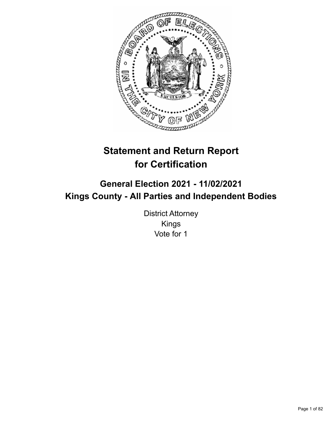

# **Statement and Return Report for Certification**

# **General Election 2021 - 11/02/2021 Kings County - All Parties and Independent Bodies**

District Attorney Kings Vote for 1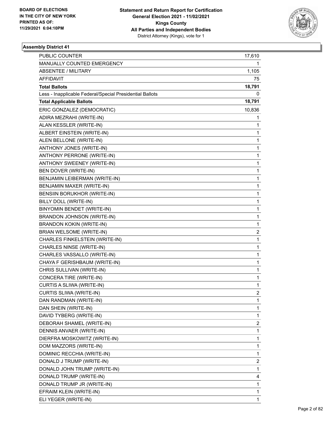

| PUBLIC COUNTER                                           | 17,610         |
|----------------------------------------------------------|----------------|
| MANUALLY COUNTED EMERGENCY                               | 1              |
| <b>ABSENTEE / MILITARY</b>                               | 1,105          |
| AFFIDAVIT                                                | 75             |
| <b>Total Ballots</b>                                     | 18,791         |
| Less - Inapplicable Federal/Special Presidential Ballots | 0              |
| <b>Total Applicable Ballots</b>                          | 18,791         |
| ERIC GONZALEZ (DEMOCRATIC)                               | 10,836         |
| ADIRA MEZRAHI (WRITE-IN)                                 | 1              |
| ALAN KESSLER (WRITE-IN)                                  | 1              |
| ALBERT EINSTEIN (WRITE-IN)                               | 1              |
| ALEN BELLONE (WRITE-IN)                                  | 1              |
| ANTHONY JONES (WRITE-IN)                                 | 1              |
| ANTHONY PERRONE (WRITE-IN)                               | $\mathbf{1}$   |
| ANTHONY SWEENEY (WRITE-IN)                               | 1              |
| BEN DOVER (WRITE-IN)                                     | $\mathbf 1$    |
| BENJAMIN LEIBERMAN (WRITE-IN)                            | 1              |
| BENJAMIN MAXER (WRITE-IN)                                | 1              |
| BENSIIN BORUKHOR (WRITE-IN)                              | $\mathbf 1$    |
| BILLY DOLL (WRITE-IN)                                    | $\mathbf{1}$   |
| BINYOMIN BENDET (WRITE-IN)                               | 1              |
| BRANDON JOHNSON (WRITE-IN)                               | $\mathbf 1$    |
| <b>BRANDON KOKIN (WRITE-IN)</b>                          | 1              |
| BRIAN WELSOME (WRITE-IN)                                 | 2              |
| CHARLES FINKELSTEIN (WRITE-IN)                           | $\mathbf 1$    |
| CHARLES NINSE (WRITE-IN)                                 | $\mathbf 1$    |
| CHARLES VASSALLO (WRITE-IN)                              | 1              |
| CHAYA F GERISHBAUM (WRITE-IN)                            | 1              |
| CHRIS SULLIVAN (WRITE-IN)                                | 1              |
| CONCERA TIRE (WRITE-IN)                                  | 1              |
| CURTIS A SLIWA (WRITE-IN)                                | $\mathbf{1}$   |
| CURTIS SLIWA (WRITE-IN)                                  | $\overline{c}$ |
| DAN RANDMAN (WRITE-IN)                                   | 1              |
| DAN SHEIN (WRITE-IN)                                     | 1              |
| DAVID TYBERG (WRITE-IN)                                  | 1              |
| DEBORAH SHAMEL (WRITE-IN)                                | 2              |
| DENNIS ANVAER (WRITE-IN)                                 | 1              |
| DIERFRA MOSKOWITZ (WRITE-IN)                             | 1              |
| DOM MAZZORS (WRITE-IN)                                   | 1              |
| DOMINIC RECCHIA (WRITE-IN)                               | 1              |
| DONALD J TRUMP (WRITE-IN)                                | 2              |
| DONALD JOHN TRUMP (WRITE-IN)                             | 1              |
| DONALD TRUMP (WRITE-IN)                                  | 4              |
| DONALD TRUMP JR (WRITE-IN)                               | 1              |
| EFRAIM KLEIN (WRITE-IN)                                  | 1              |
| ELI YEGER (WRITE-IN)                                     | 1              |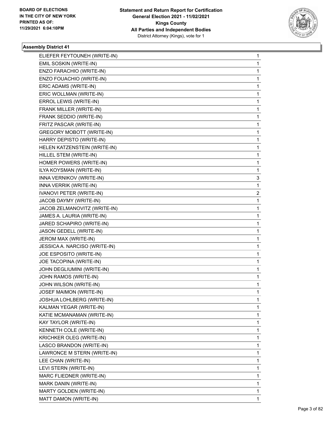

| ELIEFER FEYTOUNEH (WRITE-IN)     | 1 |
|----------------------------------|---|
| EMIL SOSKIN (WRITE-IN)           | 1 |
| ENZO FARACHIO (WRITE-IN)         | 1 |
| ENZO FOUACHIO (WRITE-IN)         | 1 |
| ERIC ADAMS (WRITE-IN)            | 1 |
| ERIC WOLLMAN (WRITE-IN)          | 1 |
| ERROL LEWIS (WRITE-IN)           | 1 |
| FRANK MILLER (WRITE-IN)          | 1 |
| FRANK SEDDIO (WRITE-IN)          | 1 |
| FRITZ PASCAR (WRITE-IN)          | 1 |
| <b>GREGORY MOBOTT (WRITE-IN)</b> | 1 |
| HARRY DEPISTO (WRITE-IN)         | 1 |
| HELEN KATZENSTEIN (WRITE-IN)     | 1 |
| HILLEL STEM (WRITE-IN)           | 1 |
| HOMER POWERS (WRITE-IN)          | 1 |
| ILYA KOYSMAN (WRITE-IN)          | 1 |
| INNA VERNIKOV (WRITE-IN)         | 3 |
| INNA VERRIK (WRITE-IN)           | 1 |
| <b>IVANOVI PETER (WRITE-IN)</b>  | 2 |
| JACOB DAYMY (WRITE-IN)           | 1 |
| JACOB ZELMANOVITZ (WRITE-IN)     | 1 |
| JAMES A. LAURIA (WRITE-IN)       | 1 |
| JARED SCHAPIRO (WRITE-IN)        | 1 |
| JASON GEDELL (WRITE-IN)          | 1 |
| JEROM MAX (WRITE-IN)             | 1 |
| JESSICA A. NARCISO (WRITE-IN)    | 1 |
| JOE ESPOSITO (WRITE-IN)          | 1 |
| JOE TACOPINA (WRITE-IN)          | 1 |
| JOHN DEGLIUMINI (WRITE-IN)       | 1 |
| JOHN RAMOS (WRITE-IN)            | 1 |
| JOHN WILSON (WRITE-IN)           | 1 |
| JOSEF MAIMON (WRITE-IN)          | 1 |
| JOSHUA LOHLBERG (WRITE-IN)       | 1 |
| KALMAN YEGAR (WRITE-IN)          | 1 |
| KATIE MCMANAMAN (WRITE-IN)       | 1 |
| KAY TAYLOR (WRITE-IN)            | 1 |
| KENNETH COLE (WRITE-IN)          | 1 |
| KRICHKER OLEG (WRITE-IN)         | 1 |
| LASCO BRANDON (WRITE-IN)         | 1 |
| LAWRONCE M STERN (WRITE-IN)      | 1 |
| LEE CHAN (WRITE-IN)              | 1 |
| LEVI STERN (WRITE-IN)            | 1 |
| MARC FLIEDNER (WRITE-IN)         | 1 |
| MARK DANIN (WRITE-IN)            | 1 |
| MARTY GOLDEN (WRITE-IN)          | 1 |
| MATT DAMON (WRITE-IN)            | 1 |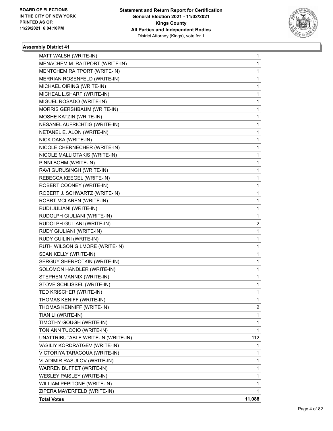

| MATT WALSH (WRITE-IN)              | 1      |
|------------------------------------|--------|
| MENACHEM M. RAITPORT (WRITE-IN)    | 1      |
| MENTCHEM RAITPORT (WRITE-IN)       | 1      |
| MERRIAN ROSENFELD (WRITE-IN)       | 1      |
| MICHAEL OIRING (WRITE-IN)          | 1      |
| MICHEAL L.SHARF (WRITE-IN)         | 1      |
| MIGUEL ROSADO (WRITE-IN)           | 1      |
| MORRIS GERSHBAUM (WRITE-IN)        | 1      |
| MOSHE KATZIN (WRITE-IN)            | 1      |
| NESANEL AUFRICHTIG (WRITE-IN)      | 1      |
| NETANEL E. ALON (WRITE-IN)         | 1      |
| NICK DAKA (WRITE-IN)               | 1      |
| NICOLE CHERNECHER (WRITE-IN)       | 1      |
| NICOLE MALLIOTAKIS (WRITE-IN)      | 1      |
| PINNI BOHM (WRITE-IN)              | 1      |
| RAVI GURUSINGH (WRITE-IN)          | 1      |
| REBECCA KEEGEL (WRITE-IN)          | 1      |
| ROBERT COONEY (WRITE-IN)           | 1      |
| ROBERT J. SCHWARTZ (WRITE-IN)      | 1      |
| ROBRT MCLAREN (WRITE-IN)           | 1      |
| RUDI JULIANI (WRITE-IN)            | 1      |
| RUDOLPH GIULIANI (WRITE-IN)        | 1      |
| RUDOLPH GULIANI (WRITE-IN)         | 2      |
| RUDY GIULIANI (WRITE-IN)           | 1      |
| RUDY GUILINI (WRITE-IN)            | 1      |
| RUTH WILSON GILMORE (WRITE-IN)     | 1      |
| SEAN KELLY (WRITE-IN)              | 1      |
| SERGUY SHERPOTKIN (WRITE-IN)       | 1      |
| SOLOMON HANDLER (WRITE-IN)         | 1      |
| STEPHEN MANNIX (WRITE-IN)          | 1      |
| STOVE SCHLISSEL (WRITE-IN)         | 1      |
| TED KRISCHER (WRITE-IN)            | 1      |
| THOMAS KENIFF (WRITE-IN)           | 1      |
| THOMAS KENNIFF (WRITE-IN)          | 2      |
| TIAN LI (WRITE-IN)                 | 1      |
| TIMOTHY GOUGH (WRITE-IN)           | 1      |
| TONIANN TUCCIO (WRITE-IN)          | 1      |
| UNATTRIBUTABLE WRITE-IN (WRITE-IN) | 112    |
| VASILIY KORDRATGEV (WRITE-IN)      | 1      |
| VICTORIYA TARACOUA (WRITE-IN)      | 1      |
| <b>VLADIMIR RASULOV (WRITE-IN)</b> | 1      |
| WARREN BUFFET (WRITE-IN)           | 1      |
| WESLEY PAISLEY (WRITE-IN)          | 1      |
| WILLIAM PEPITONE (WRITE-IN)        | 1      |
| ZIPERA MAYERFELD (WRITE-IN)        | 1      |
| <b>Total Votes</b>                 | 11,088 |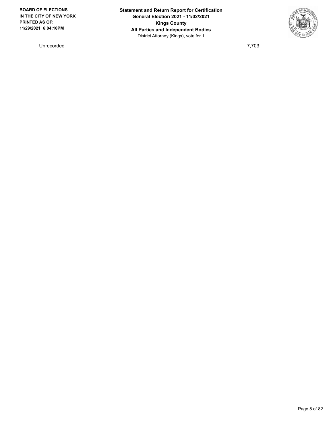Unrecorded 7,703

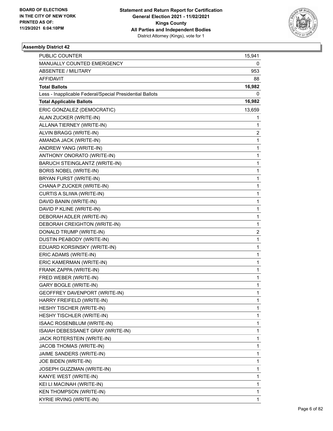

| PUBLIC COUNTER                                           | 15,941                  |
|----------------------------------------------------------|-------------------------|
| MANUALLY COUNTED EMERGENCY                               | 0                       |
| <b>ABSENTEE / MILITARY</b>                               | 953                     |
| AFFIDAVIT                                                | 88                      |
| <b>Total Ballots</b>                                     | 16,982                  |
| Less - Inapplicable Federal/Special Presidential Ballots | 0                       |
| <b>Total Applicable Ballots</b>                          | 16,982                  |
| ERIC GONZALEZ (DEMOCRATIC)                               | 13,659                  |
| ALAN ZUCKER (WRITE-IN)                                   | 1                       |
| ALLANA TIERNEY (WRITE-IN)                                | 1                       |
| ALVIN BRAGG (WRITE-IN)                                   | 2                       |
| AMANDA JACK (WRITE-IN)                                   | 1                       |
| ANDREW YANG (WRITE-IN)                                   | $\mathbf{1}$            |
| ANTHONY ONORATO (WRITE-IN)                               | 1                       |
| BARUCH STEINGLANTZ (WRITE-IN)                            | $\mathbf{1}$            |
| <b>BORIS NOBEL (WRITE-IN)</b>                            | 1                       |
| BRYAN FURST (WRITE-IN)                                   | 1                       |
| CHANA P ZUCKER (WRITE-IN)                                | 1                       |
| CURTIS A SLIWA (WRITE-IN)                                | $\mathbf{1}$            |
| DAVID BANIN (WRITE-IN)                                   | 1                       |
| DAVID P KLINE (WRITE-IN)                                 | $\mathbf{1}$            |
| DEBORAH ADLER (WRITE-IN)                                 | 1                       |
| DEBORAH CREIGHTON (WRITE-IN)                             | 1                       |
| DONALD TRUMP (WRITE-IN)                                  | $\overline{\mathbf{c}}$ |
| DUSTIN PEABODY (WRITE-IN)                                | $\mathbf{1}$            |
| EDUARD KORSINSKY (WRITE-IN)                              | 1                       |
| ERIC ADAMS (WRITE-IN)                                    | 1                       |
| ERIC KAMERMAN (WRITE-IN)                                 | 1                       |
| FRANK ZAPPA (WRITE-IN)                                   | 1                       |
| FRED WEBER (WRITE-IN)                                    | 1                       |
| <b>GARY BOGLE (WRITE-IN)</b>                             | 1                       |
| GEOFFREY DAVENPORT (WRITE-IN)                            | 1                       |
| HARRY FREIFELD (WRITE-IN)                                | 1                       |
| HESHY TISCHER (WRITE-IN)                                 | 1                       |
| HESHY TISCHLER (WRITE-IN)                                | 1                       |
| ISAAC ROSENBLUM (WRITE-IN)                               | 1                       |
| ISAIAH DEBESSANET GRAY (WRITE-IN)                        | 1                       |
| JACK ROTERSTEIN (WRITE-IN)                               | 1                       |
| JACOB THOMAS (WRITE-IN)                                  | 1                       |
| JAIME SANDERS (WRITE-IN)                                 | 1                       |
| JOE BIDEN (WRITE-IN)                                     | 1                       |
| JOSEPH GUZZMAN (WRITE-IN)                                | 1                       |
| KANYE WEST (WRITE-IN)                                    | 1                       |
| KEI LI MACINAH (WRITE-IN)                                | 1                       |
| <b>KEN THOMPSON (WRITE-IN)</b>                           | 1                       |
| KYRIE IRVING (WRITE-IN)                                  | 1                       |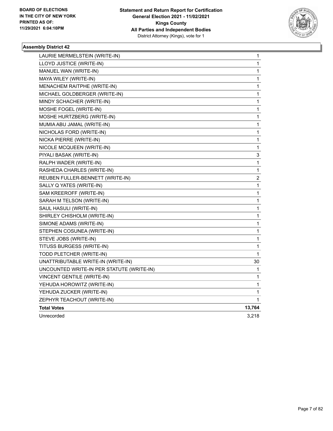

| LAURIE MERMELSTEIN (WRITE-IN)             | $\mathbf 1$  |
|-------------------------------------------|--------------|
| LLOYD JUSTICE (WRITE-IN)                  | 1            |
| MANUEL WAN (WRITE-IN)                     | 1            |
| MAYA WILEY (WRITE-IN)                     | 1            |
| MENACHEM RAITPHE (WRITE-IN)               | 1            |
| MICHAEL GOLDBERGER (WRITE-IN)             | 1            |
| MINDY SCHACHER (WRITE-IN)                 | 1            |
| MOSHE FOGEL (WRITE-IN)                    | 1            |
| MOSHE HURTZBERG (WRITE-IN)                | 1            |
| MUMIA ABU JAMAL (WRITE-IN)                | 1            |
| NICHOLAS FORD (WRITE-IN)                  | 1            |
| NICKA PIERRE (WRITE-IN)                   | 1            |
| NICOLE MCQUEEN (WRITE-IN)                 | 1            |
| PIYALI BASAK (WRITE-IN)                   | 3            |
| RALPH WADER (WRITE-IN)                    | 1            |
| RASHEDA CHARLES (WRITE-IN)                | 1            |
| REUBEN FULLER-BENNETT (WRITE-IN)          | 2            |
| SALLY Q YATES (WRITE-IN)                  | 1            |
| SAM KREEROFF (WRITE-IN)                   | 1            |
| SARAH M TELSON (WRITE-IN)                 | 1            |
| SAUL HASULI (WRITE-IN)                    | 1            |
| SHIRLEY CHISHOLM (WRITE-IN)               | 1            |
| SIMONE ADAMS (WRITE-IN)                   | 1            |
| STEPHEN COSUNEA (WRITE-IN)                | 1            |
| STEVE JOBS (WRITE-IN)                     | 1            |
| TITUSS BURGESS (WRITE-IN)                 | 1            |
| TODD PLETCHER (WRITE-IN)                  | 1            |
| UNATTRIBUTABLE WRITE-IN (WRITE-IN)        | 30           |
| UNCOUNTED WRITE-IN PER STATUTE (WRITE-IN) | 1            |
| VINCENT GENTILE (WRITE-IN)                | 1            |
| YEHUDA HOROWITZ (WRITE-IN)                | 1            |
| YEHUDA ZUCKER (WRITE-IN)                  | 1            |
| ZEPHYR TEACHOUT (WRITE-IN)                | $\mathbf{1}$ |
| <b>Total Votes</b>                        | 13,764       |
| Unrecorded                                | 3,218        |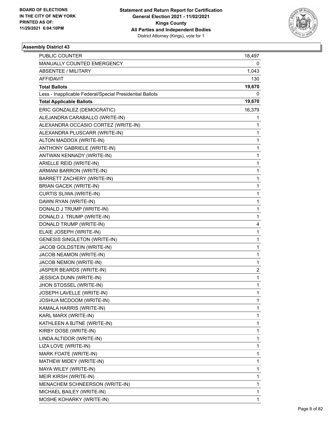

| PUBLIC COUNTER                                           | 18,497       |
|----------------------------------------------------------|--------------|
| MANUALLY COUNTED EMERGENCY                               | 0            |
| <b>ABSENTEE / MILITARY</b>                               | 1,043        |
| AFFIDAVIT                                                | 130          |
| <b>Total Ballots</b>                                     | 19,670       |
| Less - Inapplicable Federal/Special Presidential Ballots | 0            |
| <b>Total Applicable Ballots</b>                          | 19,670       |
| ERIC GONZALEZ (DEMOCRATIC)                               | 16,379       |
| ALEJANDRA CARABALLO (WRITE-IN)                           | 1            |
| ALEXANDRA OCCASIO CORTEZ (WRITE-IN)                      | 1            |
| ALEXANDRA PLUSCARR (WRITE-IN)                            | 1            |
| ALTON MADDOX (WRITE-IN)                                  | 1            |
| ANTHONY GABRIELE (WRITE-IN)                              | 1            |
| ANTWAN KENNADY (WRITE-IN)                                | 1            |
| ARIELLE REID (WRITE-IN)                                  | 1            |
| ARMANI BARRON (WRITE-IN)                                 | 1            |
| <b>BARRETT ZACHERY (WRITE-IN)</b>                        | 1            |
| <b>BRIAN GACEK (WRITE-IN)</b>                            | 1            |
| CURTIS SLIWA (WRITE-IN)                                  | $\mathbf{1}$ |
| DAWN RYAN (WRITE-IN)                                     | 1            |
| DONALD J TRUMP (WRITE-IN)                                | 1            |
| DONALD J. TRUMP (WRITE-IN)                               | 1            |
| DONALD TRUMP (WRITE-IN)                                  | 4            |
| ELAIE JOSEPH (WRITE-IN)                                  | 1            |
| <b>GENESIS SINGLETON (WRITE-IN)</b>                      | 1            |
| JACOB GOLDSTEIN (WRITE-IN)                               | 1            |
| JACOB NEAMON (WRITE-IN)                                  | 1            |
| JACOB NEMON (WRITE-IN)                                   | 1            |
| JASPER BEARDS (WRITE-IN)                                 | 2            |
| JESSICA DUNN (WRITE-IN)                                  | 1            |
| JHON STOSSEL (WRITE-IN)                                  | 1            |
| JOSEPH LAVELLE (WRITE-IN)                                | $\mathbf{1}$ |
| JOSHUA MCDOOM (WRITE-IN)                                 | 1            |
| KAMALA HARRIS (WRITE-IN)                                 | 1            |
| KARL MARX (WRITE-IN)                                     | 1            |
| KATHLEEN A BJTNE (WRITE-IN)                              | 1            |
| KIRBY DOSE (WRITE-IN)                                    | 1            |
| LINDA ALTIDOR (WRITE-IN)                                 | 1            |
| LIZA LOVE (WRITE-IN)                                     | 1            |
| MARK FOATE (WRITE-IN)                                    | 1            |
| MATHEW MIDEY (WRITE-IN)                                  | 1            |
| MAYA WILEY (WRITE-IN)                                    | 1            |
| MEIR KIRSH (WRITE-IN)                                    | 1            |
| MENACHEM SCHNEERSON (WRITE-IN)                           | 1            |
| MICHAEL BAILEY (WRITE-IN)                                | 1            |
| MOSHE KOHARKY (WRITE-IN)                                 | 1            |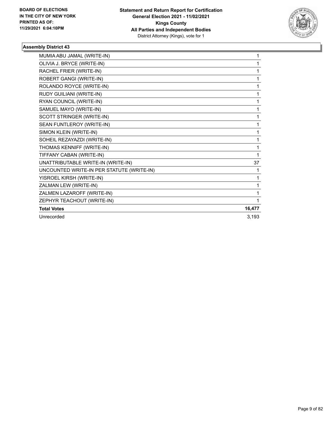

| MUMIA ABU JAMAL (WRITE-IN)                | 1      |
|-------------------------------------------|--------|
| OLIVIA J. BRYCE (WRITE-IN)                | 1      |
| RACHEL FRIER (WRITE-IN)                   | 1      |
| ROBERT GANGI (WRITE-IN)                   | 1      |
| ROLANDO ROYCE (WRITE-IN)                  | 1      |
| RUDY GUILIANI (WRITE-IN)                  | 1      |
| RYAN COUNCIL (WRITE-IN)                   | 1      |
| SAMUEL MAYO (WRITE-IN)                    | 1      |
| SCOTT STRINGER (WRITE-IN)                 | 1      |
| SEAN FUNTLEROY (WRITE-IN)                 | 1      |
| SIMON KLEIN (WRITE-IN)                    | 1      |
| SOHEIL REZAYAZDI (WRITE-IN)               | 1      |
| THOMAS KENNIFF (WRITE-IN)                 | 1      |
| TIFFANY CABAN (WRITE-IN)                  | 1      |
| UNATTRIBUTABLE WRITE-IN (WRITE-IN)        | 37     |
| UNCOUNTED WRITE-IN PER STATUTE (WRITE-IN) | 1      |
| YISROEL KIRSH (WRITE-IN)                  | 1      |
| ZALMAN LEW (WRITE-IN)                     | 1      |
| ZALMEN LAZAROFF (WRITE-IN)                | 1      |
| ZEPHYR TEACHOUT (WRITE-IN)                | 1      |
| <b>Total Votes</b>                        | 16,477 |
| Unrecorded                                | 3,193  |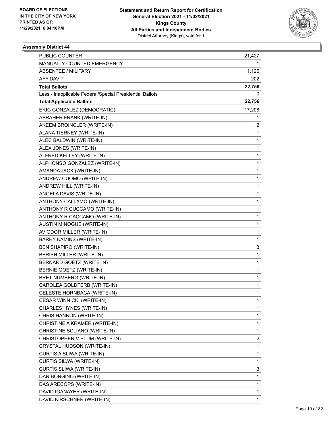

| <b>PUBLIC COUNTER</b>                                    | 21,427 |
|----------------------------------------------------------|--------|
| MANUALLY COUNTED EMERGENCY                               |        |
| <b>ABSENTEE / MILITARY</b>                               | 1,126  |
| AFFIDAVIT                                                | 202    |
| <b>Total Ballots</b>                                     | 22,756 |
| Less - Inapplicable Federal/Special Presidential Ballots | 0      |
| <b>Total Applicable Ballots</b>                          | 22,756 |
| ERIC GONZALEZ (DEMOCRATIC)                               | 17,208 |
| ABRAHER FRANK (WRITE-IN)                                 | 1      |
| AKEEM BROINCLER (WRITE-IN)                               | 2      |
| ALANA TIERNEY (WRITE-IN)                                 | 1      |
| ALEC BALDWIN (WRITE-IN)                                  | 1      |
| ALEX JONES (WRITE-IN)                                    | 1      |
| ALFRED KELLEY (WRITE-IN)                                 | 1      |
| ALPHONSO GONZALEZ (WRITE-IN)                             | 1      |
| AMANDA JACK (WRITE-IN)                                   | 1      |
| ANDREW CUOMO (WRITE-IN)                                  | 1      |
| ANDREW HILL (WRITE-IN)                                   | 1      |
| ANGELA DAVIS (WRITE-IN)                                  | 1      |
| ANTHONY CALLAMO (WRITE-IN)                               | 1      |
| ANTHONY R CUCCAMO (WRITE-IN)                             | 1      |
| ANTHONY R.CACCAMO (WRITE-IN)                             | 1      |
| AUSTIN MINOGUE (WRITE-IN)                                | 1      |
| AVIGDOR MILLER (WRITE-IN)                                | 1      |
| BARRY KAMINS (WRITE-IN)                                  | 1      |
| BEN SHAPIRO (WRITE-IN)                                   | 3      |
| BERISH MILTER (WRITE-IN)                                 | 1      |
| BERNARD GOETZ (WRITE-IN)                                 | 1      |
| BERNIE GOETZ (WRITE-IN)                                  | 1      |
| BRET NUMBERG (WRITE-IN)                                  | 1      |
| CAROLEA GOLDFERB (WRITE-IN)                              | 1      |
| CELESTE HORNBACA (WRITE-IN)                              | 1      |
| CESAR WINNICKI (WRITE-IN)                                | 1      |
| CHARLES HYNES (WRITE-IN)                                 | 1      |
| CHRIS HANNON (WRITE-IN)                                  | 1      |
| CHRISTINE A KRAMER (WRITE-IN)                            | 1      |
| CHRISTINE SCLIANO (WRITE-IN)                             | 1      |
| CHRISTOPHER V BLUM (WRITE-IN)                            | 2      |
| CRYSTAL HUDSON (WRITE-IN)                                | 1      |
| CURTIS A SLIWA (WRITE-IN)                                | 1      |
| CURTIS SILWA (WRITE-IN)                                  | 1      |
| CURTIS SLIWA (WRITE-IN)                                  | 3      |
| DAN BONGINO (WRITE-IN)                                   | 1      |
| DAS ARECOPS (WRITE-IN)                                   | 1      |
| DAVID IGANAYER (WRITE-IN)                                | 1      |
| DAVID KIRSCHNER (WRITE-IN)                               | 1      |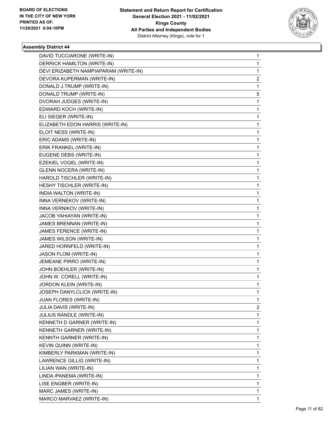

| DAVID TUCCIARONE (WRITE-IN)           | 1 |
|---------------------------------------|---|
| DERRICK HAMILTON (WRITE-IN)           | 1 |
| DEVI ERIZABETH NAMPIAPARAM (WRITE-IN) | 1 |
| DEVORA KUPERMAN (WRITE-IN)            | 2 |
| DONALD J.TRUMP (WRITE-IN)             | 1 |
| DONALD TRUMP (WRITE-IN)               | 5 |
| DVORAH JUDGES (WRITE-IN)              | 1 |
| EDWARD KOCH (WRITE-IN)                | 1 |
| ELI SIEGER (WRITE-IN)                 | 1 |
| ELIZABETH EDON HARRIS (WRITE-IN)      | 1 |
| ELOIT NESS (WRITE-IN)                 | 1 |
| ERIC ADAMS (WRITE-IN)                 | 1 |
| ERIK FRANKEL (WRITE-IN)               | 1 |
| EUGENE DEBS (WRITE-IN)                | 1 |
| EZEKIEL VOGEL (WRITE-IN)              | 1 |
| <b>GLENN NOCERA (WRITE-IN)</b>        | 1 |
| HAROLD TISCHLER (WRITE-IN)            | 1 |
| HESHY TISCHLER (WRITE-IN)             | 1 |
| INDIA WALTON (WRITE-IN)               | 1 |
| INNA VERNEKOV (WRITE-IN)              | 1 |
| INNA VERNIKOV (WRITE-IN)              | 1 |
| JACOB YAHIAYAN (WRITE-IN)             | 1 |
| JAMES BRENNAN (WRITE-IN)              | 1 |
| JAMES FERENCE (WRITE-IN)              | 1 |
| JAMES WILSON (WRITE-IN)               | 1 |
| JARED HORNFELD (WRITE-IN)             | 1 |
| JASON FLOM (WRITE-IN)                 | 1 |
| JEMEANE PIRRO (WRITE-IN)              | 1 |
| JOHN BOEHLER (WRITE-IN)               | 1 |
| JOHN W. CORELL (WRITE-IN)             | 1 |
| JORDON KLEIN (WRITE-IN)               | 1 |
| JOSEPH DANYLCLICK (WRITE-IN)          | 1 |
| <b>JUAN FLORES (WRITE-IN)</b>         | 1 |
| JULIA DAVIS (WRITE-IN)                | 2 |
| JULIUS RANDLE (WRITE-IN)              | 1 |
| KENNETH D GARNER (WRITE-IN)           | 1 |
| KENNETH GARNER (WRITE-IN)             | 1 |
| KENNTH GARNER (WRITE-IN)              | 1 |
| KEVIN QUINN (WRITE-IN)                | 1 |
| KIMBERLY PARKMAN (WRITE-IN)           | 1 |
| LAWRENCE GILLIG (WRITE-IN)            | 1 |
| LILIAN WAN (WRITE-IN)                 | 1 |
| LINDA IPANEMA (WRITE-IN)              | 1 |
| LISE ENGBER (WRITE-IN)                | 1 |
| MARC JAMES (WRITE-IN)                 | 1 |
| MARCO MARVAEZ (WRITE-IN)              | 1 |
|                                       |   |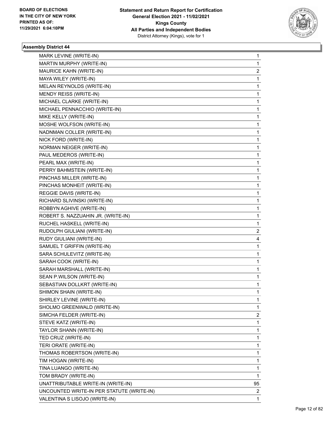

| MARK LEVINE (WRITE-IN)                    | 1  |
|-------------------------------------------|----|
| MARTIN MURPHY (WRITE-IN)                  | 1  |
| MAURICE KAHN (WRITE-IN)                   | 2  |
| MAYA WILEY (WRITE-IN)                     | 1  |
| MELAN REYNOLDS (WRITE-IN)                 | 1  |
| MENDY REISS (WRITE-IN)                    | 1  |
| MICHAEL CLARKE (WRITE-IN)                 | 1  |
| MICHAEL PENNACCHIO (WRITE-IN)             | 1  |
| MIKE KELLY (WRITE-IN)                     | 1  |
| MOSHE WOLFSON (WRITE-IN)                  | 1  |
| NADNMAN COLLER (WRITE-IN)                 | 1  |
| NICK FORD (WRITE-IN)                      | 1  |
| NORMAN NEIGER (WRITE-IN)                  | 1  |
| PAUL MEDEROS (WRITE-IN)                   | 1  |
| PEARL MAX (WRITE-IN)                      | 1  |
| PERRY BAHMSTEIN (WRITE-IN)                | 1  |
| PINCHAS MILLER (WRITE-IN)                 | 1  |
| PINCHAS MONHEIT (WRITE-IN)                | 1  |
| REGGIE DAVIS (WRITE-IN)                   | 1  |
| RICHARD SLIVINSKI (WRITE-IN)              | 1  |
| ROBBYN AGHIVE (WRITE-IN)                  | 1  |
| ROBERT S. NAZZUAHIN JR. (WRITE-IN)        | 1  |
| RUCHEL HASKELL (WRITE-IN)                 | 1  |
| RUDOLPH GIULIANI (WRITE-IN)               | 2  |
| RUDY GIULIANI (WRITE-IN)                  | 4  |
| SAMUEL T GRIFFIN (WRITE-IN)               | 1  |
| SARA SCHULEVITZ (WRITE-IN)                | 1  |
| SARAH COOK (WRITE-IN)                     | 1  |
| SARAH MARSHALL (WRITE-IN)                 | 1  |
| SEAN P.WILSON (WRITE-IN)                  | 1  |
| SEBASTIAN DOLLKRT (WRITE-IN)              | 1  |
| SHIMON SHAIN (WRITE-IN)                   | 1  |
| SHIRLEY LEVINE (WRITE-IN)                 | 1  |
| SHOLMO GREENWALD (WRITE-IN)               | 1  |
| SIMCHA FELDER (WRITE-IN)                  | 2  |
| STEVE KATZ (WRITE-IN)                     | 1  |
| TAYLOR SHANN (WRITE-IN)                   | 1  |
| TED CRUZ (WRITE-IN)                       | 1  |
| TERI ORATE (WRITE-IN)                     | 1  |
| THOMAS ROBERTSON (WRITE-IN)               | 1  |
| TIM HOGAN (WRITE-IN)                      | 1  |
| TINA LUANGO (WRITE-IN)                    | 1  |
| TOM BRADY (WRITE-IN)                      | 1  |
| UNATTRIBUTABLE WRITE-IN (WRITE-IN)        | 95 |
| UNCOUNTED WRITE-IN PER STATUTE (WRITE-IN) | 2  |
| VALENTINA S LISOJO (WRITE-IN)             | 1  |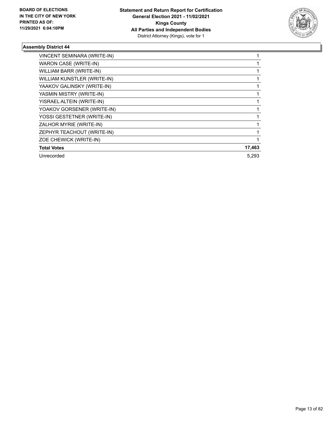

| VINCENT SEMINARA (WRITE-IN) |        |
|-----------------------------|--------|
| WARON CASE (WRITE-IN)       |        |
| WILLIAM BARR (WRITE-IN)     |        |
| WILLIAM KUNSTLER (WRITE-IN) |        |
| YAAKOV GALINSKY (WRITE-IN)  |        |
| YASMIN MISTRY (WRITE-IN)    |        |
| YISRAEL ALTEIN (WRITE-IN)   |        |
| YOAKOV GORSENER (WRITE-IN)  |        |
| YOSSI GESTETNER (WRITE-IN)  |        |
| ZALHOR MYRIE (WRITE-IN)     |        |
| ZEPHYR TEACHOUT (WRITE-IN)  |        |
| ZOE CHEWICK (WRITE-IN)      |        |
| <b>Total Votes</b>          | 17,463 |
| Unrecorded                  | 5.293  |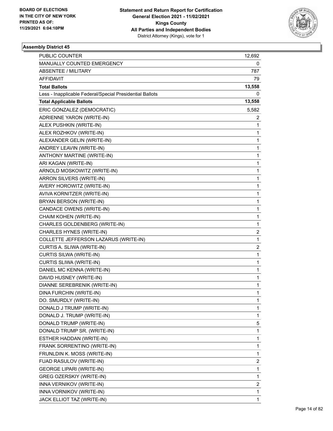

| PUBLIC COUNTER                                           | 12,692       |
|----------------------------------------------------------|--------------|
| MANUALLY COUNTED EMERGENCY                               | 0            |
| <b>ABSENTEE / MILITARY</b>                               | 787          |
| <b>AFFIDAVIT</b>                                         | 79           |
| <b>Total Ballots</b>                                     | 13,558       |
| Less - Inapplicable Federal/Special Presidential Ballots | 0            |
| <b>Total Applicable Ballots</b>                          | 13,558       |
| ERIC GONZALEZ (DEMOCRATIC)                               | 5,582        |
| ADRIENNE YARON (WRITE-IN)                                | 2            |
| ALEX PUSHKIN (WRITE-IN)                                  | 1            |
| ALEX ROZHKOV (WRITE-IN)                                  | 1            |
| ALEXANDER GELIN (WRITE-IN)                               | 1            |
| ANDREY LEAVIN (WRITE-IN)                                 | 1            |
| ANTHONY MARTINE (WRITE-IN)                               | 1            |
| ARI KAGAN (WRITE-IN)                                     | $\mathbf 1$  |
| ARNOLD MOSKOWITZ (WRITE-IN)                              | 1            |
| ARRON SILVERS (WRITE-IN)                                 | 1            |
| AVERY HOROWITZ (WRITE-IN)                                | 1            |
| AVIVA KORNITZER (WRITE-IN)                               | 1            |
| BRYAN BERSON (WRITE-IN)                                  | 1            |
| CANDACE OWENS (WRITE-IN)                                 | $\mathbf 1$  |
| CHAIM KOHEN (WRITE-IN)                                   | 1            |
| CHARLES GOLDENBERG (WRITE-IN)                            | 1            |
| CHARLES HYNES (WRITE-IN)                                 | 2            |
| COLLETTE JEFFERSON LAZARUS (WRITE-IN)                    | 1            |
| CURTIS A. SLIWA (WRITE-IN)                               | 2            |
| CURTIS SILWA (WRITE-IN)                                  | $\mathbf{1}$ |
| CURTIS SLIWA (WRITE-IN)                                  | 1            |
| DANIEL MC KENNA (WRITE-IN)                               | 1            |
| DAVID HUSNEY (WRITE-IN)                                  | 1            |
| DIANNE SEREBRENIK (WRITE-IN)                             | 1            |
| DINA FURCHIN (WRITE-IN)                                  | 1            |
| DO. SMURDLY (WRITE-IN)                                   | 1            |
| DONALD J TRUMP (WRITE-IN)                                | 1            |
| DONALD J. TRUMP (WRITE-IN)                               | 1            |
| DONALD TRUMP (WRITE-IN)                                  | 5            |
| DONALD TRUMP SR. (WRITE-IN)                              | 1            |
| ESTHER HADDAN (WRITE-IN)                                 | 1            |
| FRANK SORRENTINO (WRITE-IN)                              | 1            |
| FRUNLDIN K. MOSS (WRITE-IN)                              | 1            |
| FUAD RASULOV (WRITE-IN)                                  | 2            |
| <b>GEORGE LIPARI (WRITE-IN)</b>                          | $\mathbf 1$  |
| <b>GREG OZERSKIY (WRITE-IN)</b>                          | 1            |
| INNA VERNIKOV (WRITE-IN)                                 | 2            |
| INNA VORNIKOV (WRITE-IN)                                 | 1            |
| JACK ELLIOT TAZ (WRITE-IN)                               | 1            |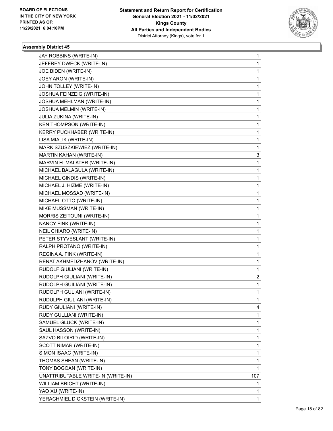

| JAY ROBBINS (WRITE-IN)             | 1           |  |
|------------------------------------|-------------|--|
| JEFFREY DWECK (WRITE-IN)           | 1           |  |
| JOE BIDEN (WRITE-IN)               | 1           |  |
| JOEY ARON (WRITE-IN)               | $\mathbf 1$ |  |
| JOHN TOLLEY (WRITE-IN)             | 1           |  |
| JOSHUA FEINZEIG (WRITE-IN)         | 1           |  |
| JOSHUA MEHLMAN (WRITE-IN)          | 1           |  |
| JOSHUA MELMIN (WRITE-IN)           | 1           |  |
| JULIA ZUKINA (WRITE-IN)            | 1           |  |
| <b>KEN THOMPSON (WRITE-IN)</b>     | 1           |  |
| <b>KERRY PUCKHABER (WRITE-IN)</b>  | 1           |  |
| LISA MIALIK (WRITE-IN)             | 1           |  |
| MARK SZUSZKIEWIEZ (WRITE-IN)       | 1           |  |
| MARTIN KAHAN (WRITE-IN)            | 3           |  |
| MARVIN H. MALATER (WRITE-IN)       | 1           |  |
| MICHAEL BALAGULA (WRITE-IN)        | 1           |  |
| MICHAEL GINDIS (WRITE-IN)          | 1           |  |
| MICHAEL J. HIZME (WRITE-IN)        | 1           |  |
| MICHAEL MOSSAD (WRITE-IN)          | 1           |  |
| MICHAEL OTTO (WRITE-IN)            | 1           |  |
| MIKE MUSSMAN (WRITE-IN)            | 1           |  |
| MORRIS ZEITOUNI (WRITE-IN)         | 1           |  |
| NANCY FINK (WRITE-IN)              | 1           |  |
| NEIL CHIARO (WRITE-IN)             | 1           |  |
| PETER STYVESLANT (WRITE-IN)        | 1           |  |
| RALPH PROTANO (WRITE-IN)           | 1           |  |
| REGINA A. FINK (WRITE-IN)          | 1           |  |
| RENAT AKHMEDZHANOV (WRITE-IN)      | 1           |  |
| RUDOLF GIULIANI (WRITE-IN)         | 1           |  |
| RUDOLPH GIULIANI (WRITE-IN)        | 2           |  |
| RUDOLPH GUILIANI (WRITE-IN)        | 1           |  |
| RUDOLPH GULIANI (WRITE-IN)         | 1           |  |
| RUDULPH GIULIANI (WRITE-IN)        | 1           |  |
| RUDY GIULIANI (WRITE-IN)           | 4           |  |
| RUDY GULLIANI (WRITE-IN)           | 1           |  |
| SAMUEL GLUCK (WRITE-IN)            | 1           |  |
| SAUL HASSON (WRITE-IN)             | 1           |  |
| SAZVO BILOIRID (WRITE-IN)          | 1           |  |
| SCOTT NIMAR (WRITE-IN)             | 1           |  |
| SIMON ISAAC (WRITE-IN)             | 1           |  |
| THOMAS SHEAN (WRITE-IN)            | 1           |  |
| TONY BOGOAN (WRITE-IN)             | 1           |  |
| UNATTRIBUTABLE WRITE-IN (WRITE-IN) | 107         |  |
| WILLIAM BRICHT (WRITE-IN)          | 1           |  |
| YAO XU (WRITE-IN)                  | 1           |  |
| YERACHMIEL DICKSTEIN (WRITE-IN)    | 1           |  |
|                                    |             |  |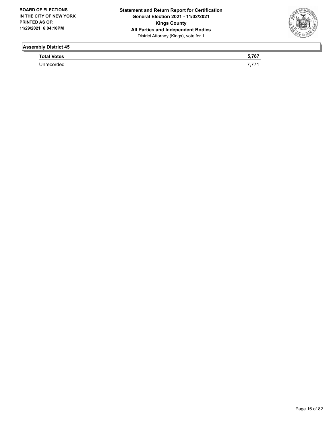

**Total Votes 5,787** 

Unrecorded 7,771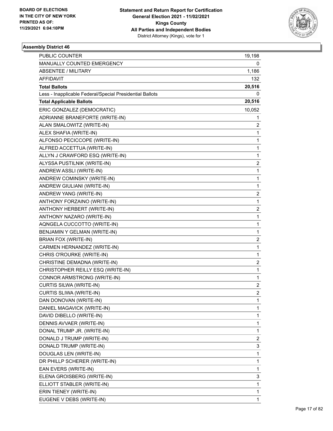

| <b>PUBLIC COUNTER</b>                                    | 19,198         |
|----------------------------------------------------------|----------------|
| MANUALLY COUNTED EMERGENCY                               | 0              |
| <b>ABSENTEE / MILITARY</b>                               | 1,186          |
| AFFIDAVIT                                                | 132            |
| <b>Total Ballots</b>                                     | 20,516         |
| Less - Inapplicable Federal/Special Presidential Ballots | 0              |
| <b>Total Applicable Ballots</b>                          | 20,516         |
| ERIC GONZALEZ (DEMOCRATIC)                               | 10,052         |
| ADRIANNE BRANEFORTE (WRITE-IN)                           | 1              |
| ALAN SMALOWITZ (WRITE-IN)                                | 2              |
| ALEX SHAFIA (WRITE-IN)                                   | 1              |
| ALFONSO PECICCOPE (WRITE-IN)                             | 1              |
| ALFRED ACCETTUA (WRITE-IN)                               | 1              |
| ALLYN J CRAWFORD ESQ (WRITE-IN)                          | 1              |
| ALYSSA PUSTILNIK (WRITE-IN)                              | 2              |
| ANDREW ASSLI (WRITE-IN)                                  | 1              |
| ANDREW COMINSKY (WRITE-IN)                               | 1              |
| ANDREW GIULIANI (WRITE-IN)                               | 1              |
| ANDREW YANG (WRITE-IN)                                   | 2              |
| ANTHONY FORZAINO (WRITE-IN)                              | 1              |
| ANTHONY HERBERT (WRITE-IN)                               | 2              |
| ANTHONY NAZARO (WRITE-IN)                                | 1              |
| AQNGELA CUCCOTTO (WRITE-IN)                              | 1              |
| BENJAMIN Y GELMAN (WRITE-IN)                             | 1              |
| BRIAN FOX (WRITE-IN)                                     | $\overline{2}$ |
| CARMEN HERNANDEZ (WRITE-IN)                              | 1              |
| CHRIS O'ROURKE (WRITE-IN)                                | 1              |
| CHRISTINE DEMADNA (WRITE-IN)                             | $\overline{2}$ |
| CHRISTOPHER REILLY ESQ (WRITE-IN)                        | 1              |
| CONNOR ARMSTRONG (WRITE-IN)                              | 1              |
| CURTIS SILWA (WRITE-IN)                                  | $\overline{2}$ |
| CURTIS SLIWA (WRITE-IN)                                  | 2              |
| DAN DONOVAN (WRITE-IN)                                   | 1              |
| DANIEL MAGAVICK (WRITE-IN)                               | 1              |
| DAVID DIBELLO (WRITE-IN)                                 | 1              |
| DENNIS AVVAER (WRITE-IN)                                 | 1              |
| DONAL TRUMP JR. (WRITE-IN)                               | 1              |
| DONALD J TRUMP (WRITE-IN)                                | 2              |
| DONALD TRUMP (WRITE-IN)                                  | 3              |
| DOUGLAS LEN (WRITE-IN)                                   | 1              |
| DR PHILLP SCHERER (WRITE-IN)                             | 1              |
| EAN EVERS (WRITE-IN)                                     | 1              |
| ELENA GROISBERG (WRITE-IN)                               | 3              |
| ELLIOTT STABLER (WRITE-IN)                               | 1              |
| ERIN TIENEY (WRITE-IN)                                   | 1              |
| EUGENE V DEBS (WRITE-IN)                                 | 1              |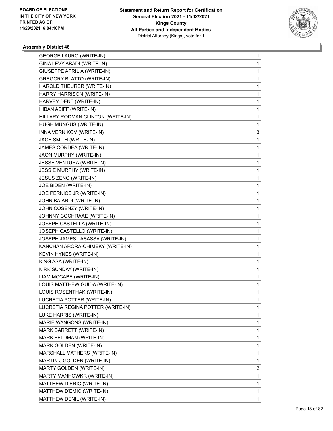

| <b>GEORGE LAURO (WRITE-IN)</b>    | 1 |
|-----------------------------------|---|
| GINA LEVY ABADI (WRITE-IN)        | 1 |
| GIUSEPPE APRILIA (WRITE-IN)       | 1 |
| <b>GREGORY BLATTO (WRITE-IN)</b>  | 1 |
| HAROLD THEURER (WRITE-IN)         | 1 |
| HARRY HARRISON (WRITE-IN)         | 1 |
| HARVEY DENT (WRITE-IN)            | 1 |
| HIBAN ABIFF (WRITE-IN)            | 1 |
| HILLARY RODMAN CLINTON (WRITE-IN) | 1 |
| HUGH MUNGUS (WRITE-IN)            | 1 |
| INNA VERNIKOV (WRITE-IN)          | 3 |
| JACE SMITH (WRITE-IN)             | 1 |
| JAMES CORDEA (WRITE-IN)           | 1 |
| JAON MURPHY (WRITE-IN)            | 1 |
| JESSE VENTURA (WRITE-IN)          | 1 |
| JESSIE MURPHY (WRITE-IN)          | 1 |
| JESUS ZENO (WRITE-IN)             | 1 |
| JOE BIDEN (WRITE-IN)              | 1 |
| JOE PERNICE JR (WRITE-IN)         | 1 |
| JOHN BAIARDI (WRITE-IN)           | 1 |
| JOHN COSENZY (WRITE-IN)           | 1 |
| JOHNNY COCHRAAE (WRITE-IN)        | 1 |
| JOSEPH CASTELLA (WRITE-IN)        | 1 |
| JOSEPH CASTELLO (WRITE-IN)        | 1 |
| JOSEPH JAMES LASASSA (WRITE-IN)   | 1 |
| KANCHAN ARORA-CHIMEKY (WRITE-IN)  | 1 |
| KEVIN HYNES (WRITE-IN)            | 1 |
| KING ASA (WRITE-IN)               | 1 |
| KIRK SUNDAY (WRITE-IN)            | 1 |
| LIAM MCCABE (WRITE-IN)            | 1 |
| LOUIS MATTHEW GUIDA (WRITE-IN)    | 1 |
| LOUIS ROSENTHAK (WRITE-IN)        | 1 |
| LUCRETIA POTTER (WRITE-IN)        | 1 |
| LUCRETIA REGINA POTTER (WRITE-IN) | 1 |
| LUKE HARRIS (WRITE-IN)            | 1 |
| MARIE WANGONS (WRITE-IN)          | 1 |
| MARK BARRETT (WRITE-IN)           | 1 |
| MARK FELDMAN (WRITE-IN)           | 1 |
| MARK GOLDEN (WRITE-IN)            | 1 |
| MARSHALL MATHERS (WRITE-IN)       | 1 |
| MARTIN J GOLDEN (WRITE-IN)        | 1 |
| MARTY GOLDEN (WRITE-IN)           | 2 |
| MARTY MANHOWKR (WRITE-IN)         | 1 |
| MATTHEW D ERIC (WRITE-IN)         | 1 |
| MATTHEW D'EMIC (WRITE-IN)         | 1 |
| MATTHEW DENIL (WRITE-IN)          | 1 |
|                                   |   |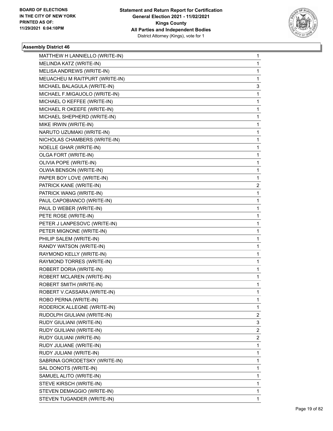

| MATTHEW H LANNIELLO (WRITE-IN) | 1 |
|--------------------------------|---|
| MELINDA KATZ (WRITE-IN)        | 1 |
| MELISA ANDREWS (WRITE-IN)      | 1 |
| MEUACHEU M RAITPURT (WRITE-IN) | 1 |
| MICHAEL BALAGULA (WRITE-IN)    | 3 |
| MICHAEL F.MIGAUOLO (WRITE-IN)  | 1 |
| MICHAEL O KEFFEE (WRITE-IN)    | 1 |
| MICHAEL R OKEEFE (WRITE-IN)    | 1 |
| MICHAEL SHEPHERD (WRITE-IN)    | 1 |
| MIKE IRWIN (WRITE-IN)          | 1 |
| NARUTO UZUMAKI (WRITE-IN)      | 1 |
| NICHOLAS CHAMBERS (WRITE-IN)   | 1 |
| NOELLE GHAR (WRITE-IN)         | 1 |
| OLGA FORT (WRITE-IN)           | 1 |
| OLIVIA POPE (WRITE-IN)         | 1 |
| OLWIA BENSON (WRITE-IN)        | 1 |
| PAPER BOY LOVE (WRITE-IN)      | 1 |
| PATRICK KANE (WRITE-IN)        | 2 |
| PATRICK WANG (WRITE-IN)        | 1 |
| PAUL CAPOBIANCO (WRITE-IN)     | 1 |
| PAUL D WEBER (WRITE-IN)        | 1 |
| PETE ROSE (WRITE-IN)           | 1 |
| PETER J LANPESOVC (WRITE-IN)   | 1 |
| PETER MIGNONE (WRITE-IN)       | 1 |
| PHILIP SALEM (WRITE-IN)        | 1 |
| RANDY WATSON (WRITE-IN)        | 1 |
| RAYMOND KELLY (WRITE-IN)       | 1 |
| RAYMOND TORRES (WRITE-IN)      | 1 |
| ROBERT DORIA (WRITE-IN)        | 1 |
| ROBERT MCLAREN (WRITE-IN)      | 1 |
| ROBERT SMITH (WRITE-IN)        | 1 |
| ROBERT V.CASSARA (WRITE-IN)    | 1 |
| ROBO PERNA (WRITE-IN)          | 1 |
| RODERICK ALLEGNE (WRITE-IN)    | 1 |
| RUDOLPH GIULIANI (WRITE-IN)    | 2 |
| RUDY GIULIANI (WRITE-IN)       | 3 |
| RUDY GUILIANI (WRITE-IN)       | 2 |
| RUDY GULIANI (WRITE-IN)        | 2 |
| RUDY JULIANE (WRITE-IN)        | 1 |
| RUDY JULIANI (WRITE-IN)        | 1 |
| SABRINA GORODETSKY (WRITE-IN)  | 1 |
| SAL DONOTS (WRITE-IN)          | 1 |
| SAMUEL ALITO (WRITE-IN)        | 1 |
| STEVE KIRSCH (WRITE-IN)        | 1 |
| STEVEN DEMAGGIO (WRITE-IN)     | 1 |
| STEVEN TUGANDER (WRITE-IN)     | 1 |
|                                |   |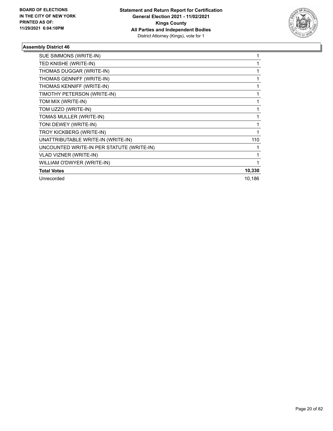

| SUE SIMMONS (WRITE-IN)                    |        |
|-------------------------------------------|--------|
| TED KNISHE (WRITE-IN)                     |        |
| THOMAS DUGGAR (WRITE-IN)                  |        |
| THOMAS GENNIFF (WRITE-IN)                 |        |
| THOMAS KENNIFF (WRITE-IN)                 |        |
| TIMOTHY PETERSON (WRITE-IN)               |        |
| TOM MIX (WRITE-IN)                        |        |
| TOM UZZO (WRITE-IN)                       |        |
| TOMAS MULLER (WRITE-IN)                   |        |
| TONI DEWEY (WRITE-IN)                     |        |
| TROY KICKBERG (WRITE-IN)                  |        |
| UNATTRIBUTABLE WRITE-IN (WRITE-IN)        | 110    |
| UNCOUNTED WRITE-IN PER STATUTE (WRITE-IN) |        |
| VLAD VIZNER (WRITE-IN)                    |        |
| WILLIAM O'DWYER (WRITE-IN)                |        |
| <b>Total Votes</b>                        | 10,330 |
| Unrecorded                                | 10,186 |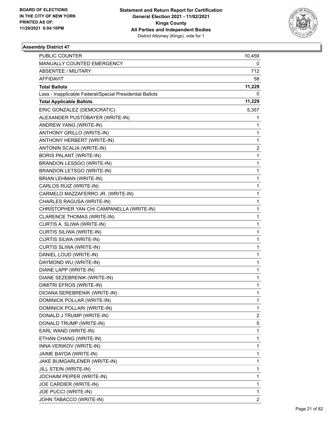

| PUBLIC COUNTER                                           | 10,459       |
|----------------------------------------------------------|--------------|
| MANUALLY COUNTED EMERGENCY                               | 0            |
| <b>ABSENTEE / MILITARY</b>                               | 712          |
| <b>AFFIDAVIT</b>                                         | 58           |
| <b>Total Ballots</b>                                     | 11,229       |
| Less - Inapplicable Federal/Special Presidential Ballots | 0            |
| <b>Total Applicable Ballots</b>                          | 11,229       |
| ERIC GONZALEZ (DEMOCRATIC)                               | 5,357        |
| ALEXANDER PUSTOBAYER (WRITE-IN)                          | 1            |
| ANDREW YANG (WRITE-IN)                                   | 1            |
| ANTHONY GRILLO (WRITE-IN)                                | 1            |
| ANTHONY HERBERT (WRITE-IN)                               | 1            |
| ANTONIN SCALIA (WRITE-IN)                                | 2            |
| <b>BORIS PALANT (WRITE-IN)</b>                           | 1            |
| BRANDON LESSGO (WRITE-IN)                                | $\mathbf 1$  |
| <b>BRANDON LETSGO (WRITE-IN)</b>                         | 1            |
| BRIAN LEHMAN (WRITE-IN)                                  | 1            |
| CARLOS RUIZ (WRITE-IN)                                   | 1            |
| CARMELO MAZZAFERRO JR. (WRITE-IN)                        | $\mathbf 1$  |
| CHARLES RAGUSA (WRITE-IN)                                | 1            |
| CHRISTOPHER YAN CHI CAMPANELLA (WRITE-IN)                | $\mathbf 1$  |
| CLARENCE THOMAS (WRITE-IN)                               | 1            |
| CURTIS A. SLIWA (WRITE-IN)                               | 1            |
| CURTIS SILIWA (WRITE-IN)                                 | 1            |
| CURTIS SILWA (WRITE-IN)                                  | $\mathbf 1$  |
| CURTIS SLIWA (WRITE-IN)                                  | 1            |
| DANIEL LOUD (WRITE-IN)                                   | 1            |
| DAYMOND WU (WRITE-IN)                                    | 1            |
| DIANE LAPP (WRITE-IN)                                    | 1            |
| DIANE SEZEBRENIK (WRITE-IN)                              | 1            |
| DIMITRI EFROS (WRITE-IN)                                 | $\mathbf{1}$ |
| DIOANA SEREBRENIK (WRITE-IN)                             | 1            |
| DOMINICK POLLAR (WRITE-IN)                               | 1            |
| DOMINICK POLLARI (WRITE-IN)                              | 1            |
| DONALD J TRUMP (WRITE-IN)                                | 2            |
| DONALD TRUMP (WRITE-IN)                                  | 5            |
| EARL WAND (WRITE-IN)                                     | 1            |
| ETHAN CHANG (WRITE-IN)                                   | 1            |
| INNA VERIKOV (WRITE-IN)                                  | 1            |
| JAIME BAYDA (WRITE-IN)                                   | 1            |
| JAKE BUMGARLENER (WRITE-IN)                              | 1            |
| JILL STEIN (WRITE-IN)                                    | 1            |
| JOCHAIM PEIPER (WRITE-IN)                                | 1            |
| JOE CARDIER (WRITE-IN)                                   | 1            |
| JOE PUCCI (WRITE-IN)                                     | 1            |
| JOHN TABACCO (WRITE-IN)                                  | 2            |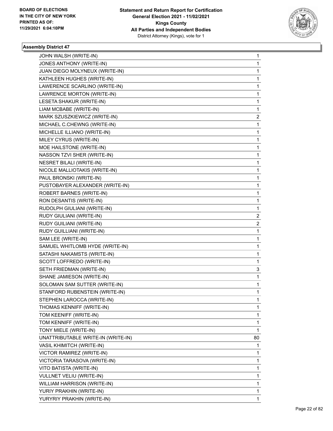

| JOHN WALSH (WRITE-IN)              | 1                       |
|------------------------------------|-------------------------|
| JONES ANTHONY (WRITE-IN)           | $\mathbf{1}$            |
| JUAN DIEGO MOLYNEUX (WRITE-IN)     | $\mathbf 1$             |
| KATHLEEN HUGHES (WRITE-IN)         | 1                       |
| LAWERENCE SCARLINO (WRITE-IN)      | 1                       |
| LAWRENCE MORTON (WRITE-IN)         | 1                       |
| LESETA SHAKUR (WRITE-IN)           | 1                       |
| LIAM MCBABE (WRITE-IN)             | 1                       |
| MARK SZUSZKIEWICZ (WRITE-IN)       | 2                       |
| MICHAEL C.CHEWNG (WRITE-IN)        | 1                       |
| MICHELLE ILLIANO (WRITE-IN)        | 1                       |
| MILEY CYRUS (WRITE-IN)             | 1                       |
| MOE HAILSTONE (WRITE-IN)           | 1                       |
| NASSON TZVI SHER (WRITE-IN)        | 1                       |
| <b>NESRET BILALI (WRITE-IN)</b>    | $\mathbf 1$             |
| NICOLE MALLIOTAKIS (WRITE-IN)      | 1                       |
| PAUL BRONSKI (WRITE-IN)            | 1                       |
| PUSTOBAYER ALEXANDER (WRITE-IN)    | 1                       |
| <b>ROBERT BARNES (WRITE-IN)</b>    | 1                       |
| RON DESANTIS (WRITE-IN)            | 1                       |
| RUDOLPH GIULIANI (WRITE-IN)        | $\mathbf 1$             |
| RUDY GIULIANI (WRITE-IN)           | 2                       |
| RUDY GUILIANI (WRITE-IN)           | $\overline{\mathbf{c}}$ |
| RUDY GUILLIANI (WRITE-IN)          | $\mathbf 1$             |
| SAM LEE (WRITE-IN)                 | 1                       |
| SAMUEL WHITLOMB HYDE (WRITE-IN)    | 1                       |
| SATASHI NAKAMSTS (WRITE-IN)        | 1                       |
| SCOTT LOFFREDO (WRITE-IN)          | 1                       |
| SETH FRIEDMAN (WRITE-IN)           | 3                       |
| SHANE JAMIESON (WRITE-IN)          | 1                       |
| SOLOMAN SAM SUTTER (WRITE-IN)      | 1                       |
| STANFORD RUBENSTEIN (WRITE-IN)     | $\mathbf{1}$            |
| STEPHEN LAROCCA (WRITE-IN)         | 1                       |
| THOMAS KENNIFF (WRITE-IN)          | 1                       |
| TOM KEENIFF (WRITE-IN)             | 1                       |
| TOM KENNIFF (WRITE-IN)             | 1                       |
| TONY MIELE (WRITE-IN)              | 1                       |
| UNATTRIBUTABLE WRITE-IN (WRITE-IN) | 80                      |
| VASIL KHIMITCH (WRITE-IN)          | 1                       |
| VICTOR RAMIREZ (WRITE-IN)          | 1                       |
| VICTORIA TARASOVA (WRITE-IN)       | 1                       |
| VITO BATISTA (WRITE-IN)            | 1                       |
| VULLNET VELIU (WRITE-IN)           | 1                       |
| WILLIAM HARRISON (WRITE-IN)        | 1                       |
| YURIY PRAKHIN (WRITE-IN)           | 1                       |
| YURYRIY PRAKHIN (WRITE-IN)         | 1                       |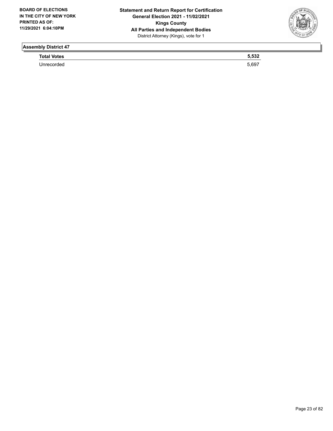

**Total Votes 5,532** 

Unrecorded 5,697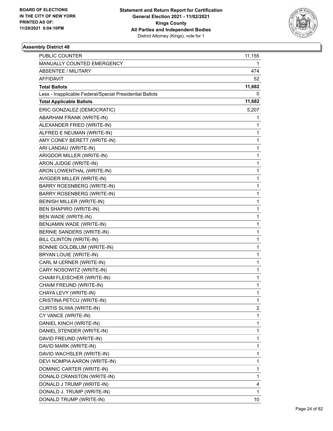

| <b>PUBLIC COUNTER</b>                                    | 11,155       |
|----------------------------------------------------------|--------------|
| MANUALLY COUNTED EMERGENCY                               | 1            |
| <b>ABSENTEE / MILITARY</b>                               | 474          |
| AFFIDAVIT                                                | 52           |
| <b>Total Ballots</b>                                     | 11,682       |
| Less - Inapplicable Federal/Special Presidential Ballots | 0            |
| <b>Total Applicable Ballots</b>                          | 11,682       |
| ERIC GONZALEZ (DEMOCRATIC)                               | 5,207        |
| <b>ABARHAM FRANK (WRITE-IN)</b>                          | 1            |
| ALEXANDER FRIED (WRITE-IN)                               | 1            |
| ALFRED E NEUMAN (WRITE-IN)                               | 1            |
| AMY CONEY BERETT (WRITE-IN)                              | 1            |
| ARI LANDAU (WRITE-IN)                                    | $\mathbf 1$  |
| ARIGDOR MILLER (WRITE-IN)                                | $\mathbf 1$  |
| ARON JUDGE (WRITE-IN)                                    | 1            |
| ARON LOWENTHAL (WRITE-IN)                                | $\mathbf 1$  |
| AVIGDER MILLER (WRITE-IN)                                | 1            |
| <b>BARRY ROESNBERG (WRITE-IN)</b>                        | 1            |
| <b>BARRY ROSENBERG (WRITE-IN)</b>                        | $\mathbf 1$  |
| <b>BEINISH MILLER (WRITE-IN)</b>                         | $\mathbf 1$  |
| <b>BEN SHAPIRO (WRITE-IN)</b>                            | 1            |
| BEN WADE (WRITE-IN)                                      | $\mathbf 1$  |
| BENJAMIN WADE (WRITE-IN)                                 | 1            |
| BERNIE SANDERS (WRITE-IN)                                | 1            |
| BILL CLINTON (WRITE-IN)                                  | $\mathbf 1$  |
| <b>BONNIE GOLDBLUM (WRITE-IN)</b>                        | $\mathbf 1$  |
| BRYAN LOUIE (WRITE-IN)                                   | 1            |
| CARL M LERNER (WRITE-IN)                                 | $\mathbf 1$  |
| CARY NOSOWITZ (WRITE-IN)                                 | 1            |
| CHAIM FLEISCHER (WRITE-IN)                               | 1            |
| CHAIM FREUND (WRITE-IN)                                  | $\mathbf{1}$ |
| CHAYA LEVY (WRITE-IN)                                    | $\mathbf{1}$ |
| CRISTINA PETCU (WRITE-IN)                                | 1            |
| CURTIS SLIWA (WRITE-IN)                                  | 2            |
| CY VANCE (WRITE-IN)                                      | 1            |
| DANIEL KINCH (WRITE-IN)                                  | 1            |
| DANIEL STENDER (WRITE-IN)                                | 1            |
| DAVID FREUND (WRITE-IN)                                  | 1            |
| DAVID MARK (WRITE-IN)                                    | 1            |
| DAVID WACHSLER (WRITE-IN)                                | 1            |
| DEVI NOMPIA AARON (WRITE-IN)                             | 1            |
| DOMINIC CARTER (WRITE-IN)                                | 1            |
| DONALD CRANSTON (WRITE-IN)                               | 1            |
| DONALD J TRUMP (WRITE-IN)                                | 4            |
| DONALD J. TRUMP (WRITE-IN)                               | 1            |
| DONALD TRUMP (WRITE-IN)                                  | 10           |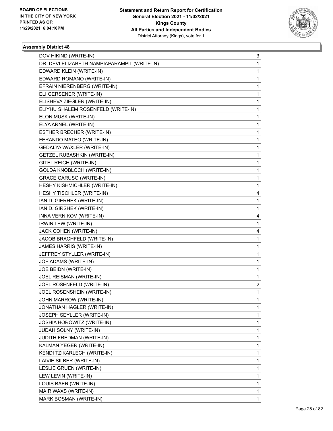

| DOV HIKIND (WRITE-IN)                        | 3 |
|----------------------------------------------|---|
| DR. DEVI ELIZABETH NAMPIAPARAMPIL (WRITE-IN) | 1 |
| EDWARD KLEIN (WRITE-IN)                      | 1 |
| EDWARD ROMANO (WRITE-IN)                     | 1 |
| EFRAIN NIERENBERG (WRITE-IN)                 | 1 |
| ELI GERSENER (WRITE-IN)                      | 1 |
| ELISHEVA ZIEGLER (WRITE-IN)                  | 1 |
| ELIYHU SHALEM ROSENFELD (WRITE-IN)           | 1 |
| ELON MUSK (WRITE-IN)                         | 1 |
| ELYA ARNEL (WRITE-IN)                        | 1 |
| ESTHER BRECHER (WRITE-IN)                    | 1 |
| FERANDO MATEO (WRITE-IN)                     | 1 |
| GEDALYA WAXLER (WRITE-IN)                    | 1 |
| GETZEL RUBASHKIN (WRITE-IN)                  | 1 |
| GITEL REICH (WRITE-IN)                       | 1 |
| GOLDA KNOBLOCH (WRITE-IN)                    | 1 |
| <b>GRACE CARUSO (WRITE-IN)</b>               | 1 |
| HESHY KISHMICHLER (WRITE-IN)                 | 1 |
| HESHY TISCHLER (WRITE-IN)                    | 4 |
| IAN D. GIERHEK (WRITE-IN)                    | 1 |
| IAN D. GIRSHEK (WRITE-IN)                    | 1 |
| INNA VERNIKOV (WRITE-IN)                     | 4 |
| IRWIN LEW (WRITE-IN)                         | 1 |
| JACK COHEN (WRITE-IN)                        | 4 |
| JACOB BRACHFELD (WRITE-IN)                   | 1 |
| JAMES HARRIS (WRITE-IN)                      | 1 |
| JEFFREY STYLLER (WRITE-IN)                   | 1 |
| JOE ADAMS (WRITE-IN)                         | 1 |
| JOE BEIDN (WRITE-IN)                         | 1 |
| JOEL REISMAN (WRITE-IN)                      | 1 |
| JOEL ROSENFELD (WRITE-IN)                    | 2 |
| JOEL ROSENSHEIN (WRITE-IN)                   | 1 |
| JOHN MARROW (WRITE-IN)                       | 1 |
| JONATHAN HAGLER (WRITE-IN)                   | 1 |
| JOSEPH SEYLLER (WRITE-IN)                    | 1 |
| JOSHIA HOROWITZ (WRITE-IN)                   | 1 |
| JUDAH SOLNY (WRITE-IN)                       | 1 |
| JUDITH FREDMAN (WRITE-IN)                    | 1 |
| KALMAN YEGER (WRITE-IN)                      | 1 |
| KENDI TZIKARLECH (WRITE-IN)                  | 1 |
| LAIVIE SILBER (WRITE-IN)                     | 1 |
| LESLIE GRUEN (WRITE-IN)                      | 1 |
| LEW LEVIN (WRITE-IN)                         | 1 |
| LOUIS BAER (WRITE-IN)                        | 1 |
| MAIR WAXS (WRITE-IN)                         | 1 |
| MARK BOSMAN (WRITE-IN)                       | 1 |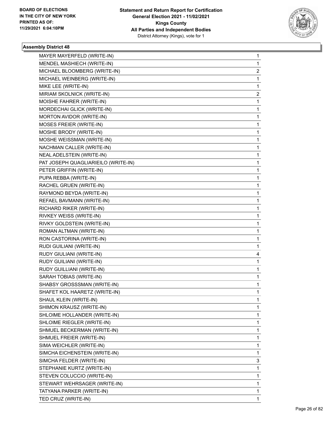

| MAYER MAYERFELD (WRITE-IN)          | 1                       |
|-------------------------------------|-------------------------|
| MENDEL MASHIECH (WRITE-IN)          | 1                       |
| MICHAEL BLOOMBERG (WRITE-IN)        | $\overline{\mathbf{c}}$ |
| MICHAEL WEINBERG (WRITE-IN)         | 1                       |
| MIKE LEE (WRITE-IN)                 | 1                       |
| MIRIAM SKOLNICK (WRITE-IN)          | 2                       |
| MOISHE FAHRER (WRITE-IN)            | 1                       |
| MORDECHAI GLICK (WRITE-IN)          | 1                       |
| MORTON AVIDOR (WRITE-IN)            | 1                       |
| MOSES FREIER (WRITE-IN)             | 1                       |
| MOSHE BRODY (WRITE-IN)              | 1                       |
| MOSHE WEISSMAN (WRITE-IN)           | 1                       |
| NACHMAN CALLER (WRITE-IN)           | 1                       |
| NEAL ADELSTEIN (WRITE-IN)           | 1                       |
| PAT JOSEPH QUAGLIARIEILO (WRITE-IN) | 1                       |
| PETER GRIFFIN (WRITE-IN)            | 1                       |
| PUPA REBBA (WRITE-IN)               | 1                       |
| RACHEL GRUEN (WRITE-IN)             | 1                       |
| RAYMOND BEYDA (WRITE-IN)            | 1                       |
| REFAEL BAVMANN (WRITE-IN)           | 1                       |
| RICHARD RIKER (WRITE-IN)            | 1                       |
| RIVKEY WEISS (WRITE-IN)             | 1                       |
| RIVKY GOLDSTEIN (WRITE-IN)          | 1                       |
| ROMAN ALTMAN (WRITE-IN)             | 1                       |
| RON CASTORINA (WRITE-IN)            | 1                       |
| RUDI GUILIANI (WRITE-IN)            | 1                       |
| RUDY GIULIANI (WRITE-IN)            | 4                       |
| RUDY GUILIANI (WRITE-IN)            | 1                       |
| RUDY GUILLIANI (WRITE-IN)           | 1                       |
| SARAH TOBIAS (WRITE-IN)             | 1                       |
| SHABSY GROSSSMAN (WRITE-IN)         | 1                       |
| SHAFET KOL HAARETZ (WRITE-IN)       | 1                       |
| SHAUL KLEIN (WRITE-IN)              | 1                       |
| SHIMON KRAUSZ (WRITE-IN)            | 1                       |
| SHLOIME HOLLANDER (WRITE-IN)        | 1                       |
| SHLOIME RIEGLER (WRITE-IN)          | 1                       |
| SHMUEL BECKERMAN (WRITE-IN)         | 1                       |
| SHMUEL FREIER (WRITE-IN)            | 1                       |
| SIMA WEICHLER (WRITE-IN)            | 1                       |
| SIMCHA EICHENSTEIN (WRITE-IN)       | 1                       |
| SIMCHA FELDER (WRITE-IN)            | 3                       |
| STEPHANIE KURTZ (WRITE-IN)          | 1                       |
| STEVEN COLUCCIO (WRITE-IN)          | 1                       |
| STEWART WEHRSAGER (WRITE-IN)        | 1                       |
| TATYANA PARKER (WRITE-IN)           | 1                       |
| TED CRUZ (WRITE-IN)                 | 1                       |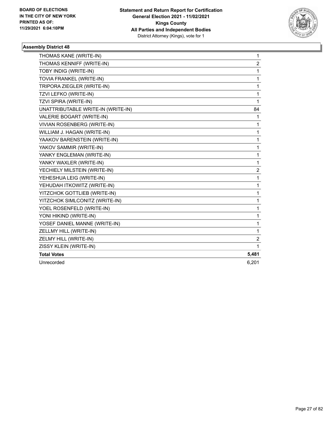

| THOMAS KANE (WRITE-IN)             | $\mathbf{1}$   |
|------------------------------------|----------------|
| THOMAS KENNIFF (WRITE-IN)          | $\overline{2}$ |
| TOBY INDIG (WRITE-IN)              | 1              |
| TOVIA FRANKEL (WRITE-IN)           | 1              |
| TRIPORA ZIEGLER (WRITE-IN)         | 1              |
| TZVI LEFKO (WRITE-IN)              | 1              |
| TZVI SPIRA (WRITE-IN)              | 1              |
| UNATTRIBUTABLE WRITE-IN (WRITE-IN) | 84             |
| VALERIE BOGART (WRITE-IN)          | 1              |
| VIVIAN ROSENBERG (WRITE-IN)        | 1              |
| WILLIAM J. HAGAN (WRITE-IN)        | 1              |
| YAAKOV BARENSTEIN (WRITE-IN)       | 1              |
| YAKOV SAMMIR (WRITE-IN)            | 1              |
| YANKY ENGLEMAN (WRITE-IN)          | 1              |
| YANKY WAXLER (WRITE-IN)            | 1              |
| YECHIELY MILSTEIN (WRITE-IN)       | 2              |
| YEHESHUA LEIG (WRITE-IN)           | $\mathbf{1}$   |
| YEHUDAH ITKOWITZ (WRITE-IN)        | 1              |
| YITZCHOK GOTTLIEB (WRITE-IN)       | 1              |
| YITZCHOK SIMLCONITZ (WRITE-IN)     | $\mathbf 1$    |
| YOEL ROSENFELD (WRITE-IN)          | 1              |
| YONI HIKIND (WRITE-IN)             | 1              |
| YOSEF DANIEL MANNE (WRITE-IN)      | 1              |
| ZELLMY HILL (WRITE-IN)             | 1              |
| ZELMY HILL (WRITE-IN)              | 2              |
| ZISSY KLEIN (WRITE-IN)             | 1              |
| <b>Total Votes</b>                 | 5,481          |
| Unrecorded                         | 6,201          |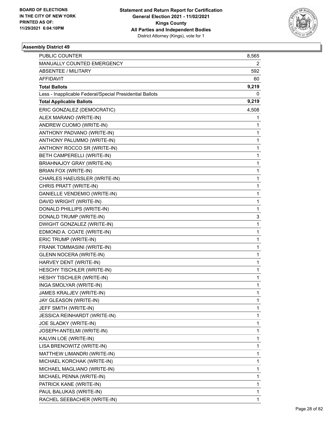

| PUBLIC COUNTER                                           | 8,565 |
|----------------------------------------------------------|-------|
| MANUALLY COUNTED EMERGENCY                               | 2     |
| <b>ABSENTEE / MILITARY</b>                               | 592   |
| AFFIDAVIT                                                | 60    |
| <b>Total Ballots</b>                                     | 9,219 |
| Less - Inapplicable Federal/Special Presidential Ballots | 0     |
| <b>Total Applicable Ballots</b>                          | 9,219 |
| ERIC GONZALEZ (DEMOCRATIC)                               | 4,508 |
| ALEX MARANO (WRITE-IN)                                   | 1     |
| ANDREW CUOMO (WRITE-IN)                                  | 1     |
| ANTHONY PADVANO (WRITE-IN)                               | 1     |
| ANTHONY PALUMMO (WRITE-IN)                               | 1     |
| ANTHONY ROCCO SR (WRITE-IN)                              | 1     |
| BETH CAMPERELLI (WRITE-IN)                               | 1     |
| <b>BRIAHNAJOY GRAY (WRITE-IN)</b>                        | 1     |
| BRIAN FOX (WRITE-IN)                                     | 1     |
| CHARLES HAEUSSLER (WRITE-IN)                             | 1     |
| CHRIS PRATT (WRITE-IN)                                   | 1     |
| DANIELLE VENDEMIO (WRITE-IN)                             | 1     |
| DAVID WRIGHT (WRITE-IN)                                  | 1     |
| DONALD PHILLIPS (WRITE-IN)                               | 1     |
| DONALD TRUMP (WRITE-IN)                                  | 3     |
| DWIGHT GONZALEZ (WRITE-IN)                               | 1     |
| EDMOND A. COATE (WRITE-IN)                               | 1     |
| ERIC TRUMP (WRITE-IN)                                    | 1     |
| FRANK TOMMASINI (WRITE-IN)                               | 1     |
| <b>GLENN NOCERA (WRITE-IN)</b>                           | 1     |
| HARVEY DENT (WRITE-IN)                                   | 1     |
| HESCHY TISCHLER (WRITE-IN)                               | 1     |
| HESHY TISCHLER (WRITE-IN)                                | 1     |
| INGA SMOLYAR (WRITE-IN)                                  | 1     |
| JAMES KRALJEV (WRITE-IN)                                 | 1     |
| JAY GLEASON (WRITE-IN)                                   | 1     |
| JEFF SMITH (WRITE-IN)                                    | 1     |
| JESSICA REINHARDT (WRITE-IN)                             | 1     |
| JOE SLADKY (WRITE-IN)                                    | 1     |
| JOSEPH ANTELMI (WRITE-IN)                                | 1     |
| KALVIN LOE (WRITE-IN)                                    | 1     |
| LISA BRENOWITZ (WRITE-IN)                                | 1     |
| MATTHEW LIMANDRI (WRITE-IN)                              | 1     |
| MICHAEL KORCHAK (WRITE-IN)                               | 1     |
| MICHAEL MAGLIANO (WRITE-IN)                              | 1     |
| MICHAEL PENNA (WRITE-IN)                                 | 1     |
| PATRICK KANE (WRITE-IN)                                  | 1     |
| PAUL BALUKAS (WRITE-IN)                                  | 1     |
| RACHEL SEEBACHER (WRITE-IN)                              | 1     |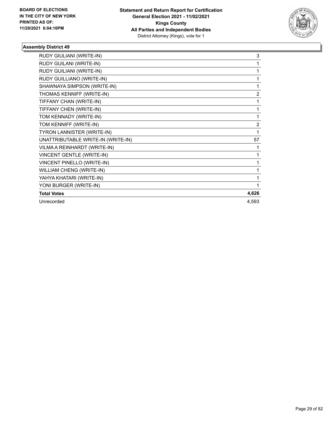

| RUDY GIULIANI (WRITE-IN)           | 3              |
|------------------------------------|----------------|
| RUDY GUILANI (WRITE-IN)            |                |
| RUDY GUILIANI (WRITE-IN)           | 1              |
| RUDY GUILLIANO (WRITE-IN)          |                |
| SHAWNAYA SIMPSON (WRITE-IN)        |                |
| THOMAS KENNIFF (WRITE-IN)          | $\overline{2}$ |
| TIFFANY CHAN (WRITE-IN)            |                |
| TIFFANY CHEN (WRITE-IN)            | 1              |
| TOM KENNADY (WRITE-IN)             | 1              |
| TOM KENNIFF (WRITE-IN)             | $\overline{2}$ |
| TYRON LANNISTER (WRITE-IN)         |                |
| UNATTRIBUTABLE WRITE-IN (WRITE-IN) | 57             |
| VILMA A REINHARDT (WRITE-IN)       |                |
| <b>VINCENT GENTLE (WRITE-IN)</b>   |                |
| <b>VINCENT PINELLO (WRITE-IN)</b>  | 1              |
| WILLIAM CHENG (WRITE-IN)           |                |
| YAHYA KHATARI (WRITE-IN)           | 1              |
| YONI BURGER (WRITE-IN)             |                |
| <b>Total Votes</b>                 | 4,626          |
| Unrecorded                         | 4,593          |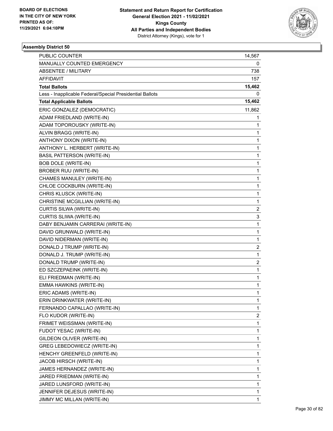

| <b>PUBLIC COUNTER</b>                                    | 14,567 |
|----------------------------------------------------------|--------|
| MANUALLY COUNTED EMERGENCY                               | 0      |
| <b>ABSENTEE / MILITARY</b>                               | 738    |
| AFFIDAVIT                                                | 157    |
| <b>Total Ballots</b>                                     | 15,462 |
| Less - Inapplicable Federal/Special Presidential Ballots | 0      |
| <b>Total Applicable Ballots</b>                          | 15,462 |
| ERIC GONZALEZ (DEMOCRATIC)                               | 11,862 |
| ADAM FRIEDLAND (WRITE-IN)                                | 1      |
| ADAM TOPOROUSKY (WRITE-IN)                               | 1      |
| ALVIN BRAGG (WRITE-IN)                                   | 1      |
| ANTHONY DIXON (WRITE-IN)                                 | 1      |
| ANTHONY L. HERBERT (WRITE-IN)                            | 1      |
| <b>BASIL PATTERSON (WRITE-IN)</b>                        | 1      |
| <b>BOB DOLE (WRITE-IN)</b>                               | 1      |
| <b>BROBER RUU (WRITE-IN)</b>                             | 1      |
| CHAMES MANULEY (WRITE-IN)                                | 1      |
| CHLOE COCKBURN (WRITE-IN)                                | 1      |
| CHRIS KLUSCK (WRITE-IN)                                  | 1      |
| CHRISTINE MCGILLIAN (WRITE-IN)                           | 1      |
| CURTIS SILWA (WRITE-IN)                                  | 2      |
| CURTIS SLIWA (WRITE-IN)                                  | 3      |
| DABY BENJAMIN CARRERAI (WRITE-IN)                        | 1      |
| DAVID GRUNWALD (WRITE-IN)                                | 1      |
| DAVID NIDERMAN (WRITE-IN)                                | 1      |
| DONALD J TRUMP (WRITE-IN)                                | 2      |
| DONALD J. TRUMP (WRITE-IN)                               | 1      |
| DONALD TRUMP (WRITE-IN)                                  | 2      |
| ED SZCZEPAEINK (WRITE-IN)                                | 1      |
| ELI FRIEDMAN (WRITE-IN)                                  | 1      |
| EMMA HAWKINS (WRITE-IN)                                  | 1      |
| ERIC ADAMS (WRITE-IN)                                    | 1      |
| ERIN DRINKWATER (WRITE-IN)                               | 1      |
| FERNANDO CAPALLAO (WRITE-IN)                             | 1      |
| FLO KUDOR (WRITE-IN)                                     | 2      |
| FRIMET WEISSMAN (WRITE-IN)                               | 1      |
| FUDOT YESAC (WRITE-IN)                                   | 1      |
| GILDEON OLIVER (WRITE-IN)                                | 1      |
| GREG LEBEDOWIECZ (WRITE-IN)                              | 1      |
| HENCHY GREENFELD (WRITE-IN)                              | 1      |
| JACOB HIRSCH (WRITE-IN)                                  | 1      |
| JAMES HERNANDEZ (WRITE-IN)                               | 1      |
| JARED FRIEDMAN (WRITE-IN)                                | 1      |
| JARED LUNSFORD (WRITE-IN)                                | 1      |
| JENNIFER DEJESUS (WRITE-IN)                              | 1      |
| JIMMY MC MILLAN (WRITE-IN)                               | 1      |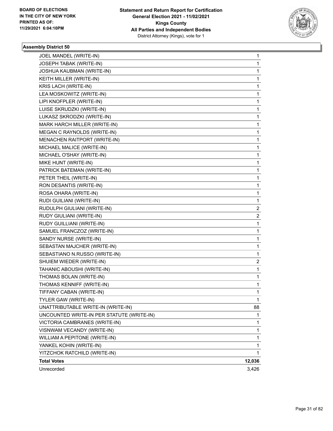

| JOEL MANDEL (WRITE-IN)                    | 1                       |
|-------------------------------------------|-------------------------|
| JOSEPH TABAK (WRITE-IN)                   | 1                       |
| JOSHUA KAUBMAN (WRITE-IN)                 | 1                       |
| KEITH MILLER (WRITE-IN)                   | $\mathbf 1$             |
| KRIS LACH (WRITE-IN)                      | 1                       |
| LEA MOSKOWITZ (WRITE-IN)                  | 1                       |
| LIPI KNOFPLER (WRITE-IN)                  | 1                       |
| LUISE SKRUDZKI (WRITE-IN)                 | 1                       |
| LUKASZ SKRODZKI (WRITE-IN)                | 1                       |
| MARK HARCH MILLER (WRITE-IN)              | $\mathbf 1$             |
| MEGAN C RAYNOLDS (WRITE-IN)               | 1                       |
| MENACHEN RAITPORT (WRITE-IN)              | 1                       |
| MICHAEL MALICE (WRITE-IN)                 | 1                       |
| MICHAEL O'SHAY (WRITE-IN)                 | 1                       |
| MIKE HUNT (WRITE-IN)                      | 1                       |
| PATRICK BATEMAN (WRITE-IN)                | $\mathbf{1}$            |
| PETER THEIL (WRITE-IN)                    | 1                       |
| RON DESANTIS (WRITE-IN)                   | 1                       |
| ROSA OHARA (WRITE-IN)                     | 1                       |
| RUDI GUILIANI (WRITE-IN)                  | 1                       |
| RUDULPH GIULIANI (WRITE-IN)               | 2                       |
| RUDY GIULIANI (WRITE-IN)                  | $\overline{\mathbf{c}}$ |
| RUDY GUILLIANI (WRITE-IN)                 | 1                       |
| SAMUEL FRANCZOZ (WRITE-IN)                | 1                       |
| SANDY NURSE (WRITE-IN)                    | 1                       |
| SEBASTAN MAJCHER (WRITE-IN)               | 1                       |
| SEBASTIANO N.RUSSO (WRITE-IN)             | 1                       |
| SHUIEM WIEDER (WRITE-IN)                  | $\overline{\mathbf{c}}$ |
| TAHANIC ABOUSHI (WRITE-IN)                | 1                       |
| THOMAS BOLAN (WRITE-IN)                   | 1                       |
| THOMAS KENNIFF (WRITE-IN)                 | 1                       |
| TIFFANY CABAN (WRITE-IN)                  | 1                       |
| TYLER GAW (WRITE-IN)                      | 1                       |
| UNATTRIBUTABLE WRITE-IN (WRITE-IN)        | 88                      |
| UNCOUNTED WRITE-IN PER STATUTE (WRITE-IN) | 1                       |
| VICTORIA CAMBRANES (WRITE-IN)             | 1                       |
| VISNWAM VECANDY (WRITE-IN)                | 1                       |
| WILLIAM A PEPITONE (WRITE-IN)             | 1                       |
| YANKEL KOHIN (WRITE-IN)                   | 1                       |
| YITZCHOK RATCHILD (WRITE-IN)              | 1                       |
| <b>Total Votes</b>                        | 12,036                  |
| Unrecorded                                | 3,426                   |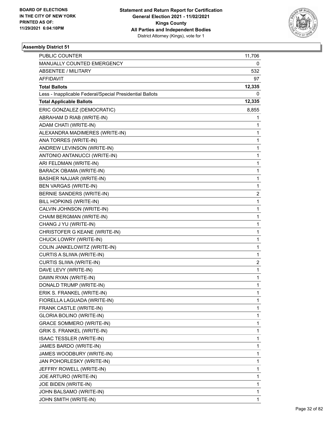

| <b>PUBLIC COUNTER</b>                                    | 11,706       |
|----------------------------------------------------------|--------------|
| MANUALLY COUNTED EMERGENCY                               | 0            |
| <b>ABSENTEE / MILITARY</b>                               | 532          |
| AFFIDAVIT                                                | 97           |
| <b>Total Ballots</b>                                     | 12,335       |
| Less - Inapplicable Federal/Special Presidential Ballots | 0            |
| <b>Total Applicable Ballots</b>                          | 12,335       |
| ERIC GONZALEZ (DEMOCRATIC)                               | 8,855        |
| ABRAHAM D RIAB (WRITE-IN)                                | 1            |
| ADAM CHATI (WRITE-IN)                                    | 1            |
| ALEXANDRA MADIMERES (WRITE-IN)                           | 1            |
| ANA TORRES (WRITE-IN)                                    | 1            |
| ANDREW LEVINSON (WRITE-IN)                               | 1            |
| ANTONIO ANTANUCCI (WRITE-IN)                             | 1            |
| ARI FELDMAN (WRITE-IN)                                   | $\mathbf 1$  |
| BARACK OBAMA (WRITE-IN)                                  | 1            |
| BASHER NAJJAR (WRITE-IN)                                 | 1            |
| <b>BEN VARGAS (WRITE-IN)</b>                             | 1            |
| BERNIE SANDERS (WRITE-IN)                                | 2            |
| BILL HOPKINS (WRITE-IN)                                  | 1            |
| CALVIN JOHNSON (WRITE-IN)                                | $\mathbf{1}$ |
| CHAIM BERGMAN (WRITE-IN)                                 | 1            |
| CHANG J YU (WRITE-IN)                                    | 1            |
| CHRISTOFER G KEANE (WRITE-IN)                            | 1            |
| CHUCK LOWRY (WRITE-IN)                                   | 1            |
| COLIN JANKELOWITZ (WRITE-IN)                             | 1            |
| CURTIS A SLIWA (WRITE-IN)                                | 1            |
| CURTIS SLIWA (WRITE-IN)                                  | 2            |
| DAVE LEVY (WRITE-IN)                                     | 1            |
| DAWN RYAN (WRITE-IN)                                     | 1            |
| DONALD TRUMP (WRITE-IN)                                  | 1            |
| ERIK S. FRANKEL (WRITE-IN)                               | 1            |
| FIORELLA LAGUADA (WRITE-IN)                              | 1            |
| FRANK CASTLE (WRITE-IN)                                  | 1            |
| GLORIA BOLINO (WRITE-IN)                                 | 1            |
| <b>GRACE SOMMERO (WRITE-IN)</b>                          | 1            |
| GRIK S. FRANKEL (WRITE-IN)                               | 1            |
| ISAAC TESSLER (WRITE-IN)                                 | 1            |
| JAMES BARDO (WRITE-IN)                                   | 1            |
| JAMES WOODBURY (WRITE-IN)                                | 1            |
| JAN POHORLESKY (WRITE-IN)                                | 1            |
| JEFFRY ROWELL (WRITE-IN)                                 | 1            |
| JOE ARTURO (WRITE-IN)                                    | 1            |
| JOE BIDEN (WRITE-IN)                                     | 1            |
| JOHN BALSAMO (WRITE-IN)                                  | 1            |
| JOHN SMITH (WRITE-IN)                                    | 1            |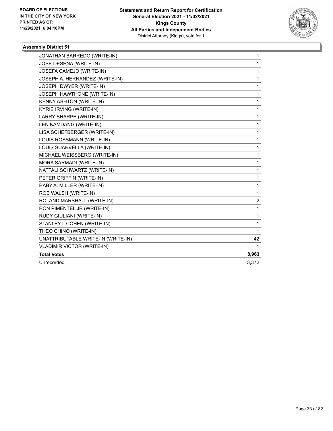

| JONATHAN BARREDO (WRITE-IN)        | 1     |
|------------------------------------|-------|
| JOSE DESENA (WRITE-IN)             | 1     |
| JOSEFA CAMEJO (WRITE-IN)           | 1     |
| JOSEPH A. HERNANDEZ (WRITE-IN)     | 1     |
| JOSEPH DWYER (WRITE-IN)            | 1     |
| JOSEPH HAWTHONE (WRITE-IN)         | 1     |
| KENNY ASHTON (WRITE-IN)            | 1     |
| <b>KYRIE IRVING (WRITE-IN)</b>     | 1     |
| LARRY SHARPE (WRITE-IN)            | 1     |
| LEN KAMDANG (WRITE-IN)             | 1     |
| LISA SCHEFBERGER (WRITE-IN)        | 1     |
| LOUIS ROSSMANN (WRITE-IN)          | 1     |
| LOUIS SUARVELLA (WRITE-IN)         | 1     |
| MICHAEL WEISSBERG (WRITE-IN)       | 1     |
| MORA SARMADI (WRITE-IN)            | 1     |
| NATTALI SCHWARTZ (WRITE-IN)        | 1     |
| PETER GRIFFIN (WRITE-IN)           | 1     |
| RABY A. MILLER (WRITE-IN)          | 1     |
| ROB WALSH (WRITE-IN)               | 1     |
| ROLAND MARSHALL (WRITE-IN)         | 2     |
| RON PIMENTEL JR (WRITE-IN)         | 1     |
| RUDY GIULIANI (WRITE-IN)           | 1     |
| STANLEY L COHEN (WRITE-IN)         | 1     |
| THEO CHINO (WRITE-IN)              | 1     |
| UNATTRIBUTABLE WRITE-IN (WRITE-IN) | 42    |
| <b>VLADIMIR VICTOR (WRITE-IN)</b>  | 1     |
| <b>Total Votes</b>                 | 8,963 |
| Unrecorded                         | 3,372 |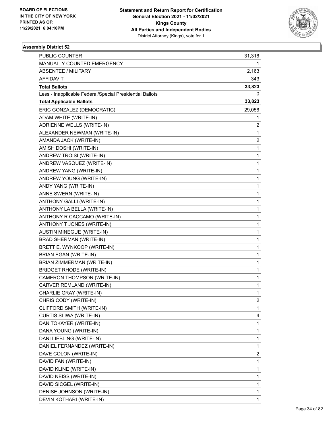

| <b>PUBLIC COUNTER</b>                                    | 31,316                  |
|----------------------------------------------------------|-------------------------|
| MANUALLY COUNTED EMERGENCY                               | 1                       |
| <b>ABSENTEE / MILITARY</b>                               | 2,163                   |
| AFFIDAVIT                                                | 343                     |
| <b>Total Ballots</b>                                     | 33,823                  |
| Less - Inapplicable Federal/Special Presidential Ballots | 0                       |
| <b>Total Applicable Ballots</b>                          | 33,823                  |
| ERIC GONZALEZ (DEMOCRATIC)                               | 29,056                  |
| ADAM WHITE (WRITE-IN)                                    | 1                       |
| ADRIENNE WELLS (WRITE-IN)                                | 2                       |
| ALEXANDER NEWMAN (WRITE-IN)                              | 1                       |
| AMANDA JACK (WRITE-IN)                                   | 2                       |
| AMISH DOSHI (WRITE-IN)                                   | $\mathbf 1$             |
| ANDREW TROISI (WRITE-IN)                                 | 1                       |
| ANDREW VASQUEZ (WRITE-IN)                                | $\mathbf 1$             |
| ANDREW YANG (WRITE-IN)                                   | 1                       |
| ANDREW YOUNG (WRITE-IN)                                  | 1                       |
| ANDY YANG (WRITE-IN)                                     | $\mathbf 1$             |
| ANNE SWERN (WRITE-IN)                                    | $\mathbf 1$             |
| ANTHONY GALLI (WRITE-IN)                                 | 1                       |
| ANTHONY LA BELLA (WRITE-IN)                              | $\mathbf 1$             |
| ANTHONY R CACCAMO (WRITE-IN)                             | 1                       |
| ANTHONY T JONES (WRITE-IN)                               | 1                       |
| <b>AUSTIN MINEGUE (WRITE-IN)</b>                         | $\mathbf 1$             |
| BRAD SHERMAN (WRITE-IN)                                  | $\mathbf 1$             |
| BRETT E. WYNKOOP (WRITE-IN)                              | 1                       |
| <b>BRIAN EGAN (WRITE-IN)</b>                             | $\mathbf 1$             |
| BRIAN ZIMMERMAN (WRITE-IN)                               | 1                       |
| <b>BRIDGET RHODE (WRITE-IN)</b>                          | 1                       |
| CAMERON THOMPSON (WRITE-IN)                              | $\mathbf{1}$            |
| CARVER REMLAND (WRITE-IN)                                | 1                       |
| CHARLIE GRAY (WRITE-IN)                                  | 1                       |
| CHRIS CODY (WRITE-IN)                                    | 2                       |
| CLIFFORD SMITH (WRITE-IN)                                | 1                       |
| CURTIS SLIWA (WRITE-IN)                                  | 4                       |
| DAN TOKAYER (WRITE-IN)                                   | $\mathbf{1}$            |
| DANA YOUNG (WRITE-IN)                                    | $\mathbf 1$             |
| DANI LIEBLING (WRITE-IN)                                 | 1                       |
| DANIEL FERNANDEZ (WRITE-IN)                              | $\mathbf{1}$            |
| DAVE COLON (WRITE-IN)                                    | $\overline{\mathbf{c}}$ |
| DAVID FAN (WRITE-IN)                                     | 1                       |
| DAVID KLINE (WRITE-IN)                                   | $\mathbf{1}$            |
| DAVID NEISS (WRITE-IN)                                   | 1                       |
| DAVID SICGEL (WRITE-IN)                                  | 1                       |
| DENISE JOHNSON (WRITE-IN)                                | 1                       |
| DEVIN KOTHARI (WRITE-IN)                                 | $\mathbf{1}$            |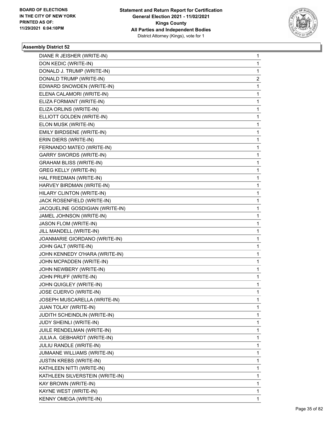

| DIANE R JEISHER (WRITE-IN)      | 1 |
|---------------------------------|---|
| DON KEDIC (WRITE-IN)            | 1 |
| DONALD J. TRUMP (WRITE-IN)      | 1 |
| DONALD TRUMP (WRITE-IN)         | 2 |
| EDWARD SNOWDEN (WRITE-IN)       | 1 |
| ELENA CALAMORI (WRITE-IN)       | 1 |
| ELIZA FORMANT (WRITE-IN)        | 1 |
| ELIZA ORLINS (WRITE-IN)         | 1 |
| ELLIOTT GOLDEN (WRITE-IN)       | 1 |
| ELON MUSK (WRITE-IN)            | 1 |
| EMILY BIRDSENE (WRITE-IN)       | 1 |
| ERIN DIERS (WRITE-IN)           | 1 |
| FERNANDO MATEO (WRITE-IN)       | 1 |
| <b>GARRY SWORDS (WRITE-IN)</b>  | 1 |
| <b>GRAHAM BLISS (WRITE-IN)</b>  | 1 |
| <b>GREG KELLY (WRITE-IN)</b>    | 1 |
| HAL FRIEDMAN (WRITE-IN)         | 1 |
| HARVEY BIRDMAN (WRITE-IN)       | 1 |
| HILARY CLINTON (WRITE-IN)       | 1 |
| JACK ROSENFIELD (WRITE-IN)      | 1 |
| JACQUELINE GOSDIGIAN (WRITE-IN) | 1 |
| JAMEL JOHNSON (WRITE-IN)        | 1 |
| JASON FLOM (WRITE-IN)           | 1 |
| JILL MANDELL (WRITE-IN)         | 1 |
| JOANMARIE GIORDANO (WRITE-IN)   | 1 |
| JOHN GALT (WRITE-IN)            | 1 |
| JOHN KENNEDY O'HARA (WRITE-IN)  | 1 |
| JOHN MCPADDEN (WRITE-IN)        | 1 |
| JOHN NEWBERY (WRITE-IN)         | 1 |
| JOHN PRUFF (WRITE-IN)           | 1 |
| JOHN QUIGLEY (WRITE-IN)         | 1 |
| JOSE CUERVO (WRITE-IN)          | 1 |
| JOSEPH MUSCARELLA (WRITE-IN)    | 1 |
| JUAN TOLAY (WRITE-IN)           | 1 |
| JUDITH SCHEINDLIN (WRITE-IN)    | 1 |
| JUDY SHEINLI (WRITE-IN)         | 1 |
| JUILE RENDELMAN (WRITE-IN)      | 1 |
| JULIA A. GEBHARDT (WRITE-IN)    | 1 |
| <b>JULIU RANDLE (WRITE-IN)</b>  | 1 |
| JUMAANE WILLIAMS (WRITE-IN)     | 1 |
| <b>JUSTIN KREBS (WRITE-IN)</b>  | 1 |
| KATHLEEN NITTI (WRITE-IN)       | 1 |
| KATHLEEN SILVERSTEIN (WRITE-IN) | 1 |
| KAY BROWN (WRITE-IN)            | 1 |
| KAYNE WEST (WRITE-IN)           | 1 |
| KENNY OMEGA (WRITE-IN)          | 1 |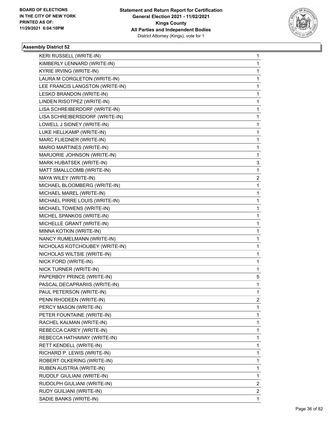

| KERI RUSSELL (WRITE-IN)         | 1                       |
|---------------------------------|-------------------------|
| KIMBERLY LENNARD (WRITE-IN)     | 1                       |
| <b>KYRIE IRVING (WRITE-IN)</b>  | 1                       |
| LAURA M CORGLETON (WRITE-IN)    | 1                       |
| LEE FRANCIS LANGSTON (WRITE-IN) | 1                       |
| LESKO BRANDON (WRITE-IN)        | 1                       |
| LINDEN RISOTPEZ (WRITE-IN)      | 1                       |
| LISA SCHREIBERDORF (WRITE-IN)   | 1                       |
| LISA SCHREIBERSDORF (WRITE-IN)  | 1                       |
| LOWELL J SIDNEY (WRITE-IN)      | 1                       |
| LUKE HELLKAMP (WRITE-IN)        | 1                       |
| MARC FLIEDNER (WRITE-IN)        | 1                       |
| MARIO MARTINES (WRITE-IN)       | 1                       |
| MARJORIE JOHNSON (WRITE-IN)     | 1                       |
| MARK HUBATSEK (WRITE-IN)        | 3                       |
| MATT SMALLCOMB (WRITE-IN)       | 1                       |
| MAYA WILEY (WRITE-IN)           | 2                       |
| MICHAEL BLOOMBERG (WRITE-IN)    | $\mathbf{1}$            |
| MICHAEL MAREL (WRITE-IN)        | 1                       |
| MICHAEL PIRRE LOUIS (WRITE-IN)  | 1                       |
| MICHAEL TOWENS (WRITE-IN)       | $\mathbf 1$             |
| MICHEL SPANKOS (WRITE-IN)       | 1                       |
| MICHELLE GRANT (WRITE-IN)       | 1                       |
| MINNA KOTKIN (WRITE-IN)         | 1                       |
| NANCY RUMELMANN (WRITE-IN)      | 1                       |
| NICHOLAS KOTCHOUBEY (WRITE-IN)  | 1                       |
| NICHOLAS WILTSIE (WRITE-IN)     | $\mathbf 1$             |
| NICK FORD (WRITE-IN)            | 1                       |
| NICK TURNER (WRITE-IN)          | 1                       |
| PAPERBOY PRINCE (WRITE-IN)      | 5                       |
| PASCAL DECAPRARIIS (WRITE-IN)   | 1                       |
| PAUL PETERSON (WRITE-IN)        | 1                       |
| PENN RHODEEN (WRITE-IN)         | 2                       |
| PERCY MASON (WRITE-IN)          | 1                       |
| PETER FOUNTAINE (WRITE-IN)      | 1                       |
| RACHEL KALMAN (WRITE-IN)        | 1                       |
| REBECCA CAREY (WRITE-IN)        | 1                       |
| REBECCA HATHAWAY (WRITE-IN)     | 1                       |
| RETT KENDELL (WRITE-IN)         | 1                       |
| RICHARD P. LEWIS (WRITE-IN)     | 1                       |
| ROBERT OLKERING (WRITE-IN)      | 1                       |
| RUBEN AUSTRIA (WRITE-IN)        | 1                       |
| RUDOLF GIULIANI (WRITE-IN)      | 1                       |
| RUDOLPH GIULIANI (WRITE-IN)     | 2                       |
| RUDY GUILIANI (WRITE-IN)        | $\overline{\mathbf{c}}$ |
| SADIE BANKS (WRITE-IN)          | 1                       |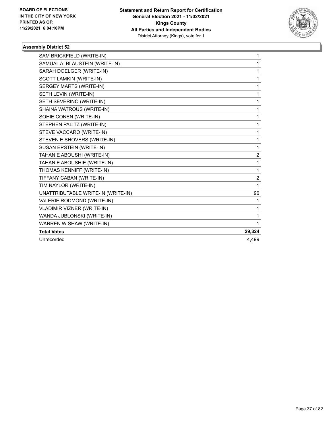

| SAM BRICKFIELD (WRITE-IN)          | 1                       |
|------------------------------------|-------------------------|
| SAMUAL A. BLAUSTEIN (WRITE-IN)     | 1                       |
| SARAH DOELGER (WRITE-IN)           | 1                       |
| SCOTT LAMKIN (WRITE-IN)            | 1                       |
| SERGEY MARTS (WRITE-IN)            | 1                       |
| SETH LEVIN (WRITE-IN)              | 1                       |
| SETH SEVERINO (WRITE-IN)           | 1                       |
| SHAINA WATROUS (WRITE-IN)          | 1                       |
| SOHIE CONEN (WRITE-IN)             | 1                       |
| STEPHEN PALITZ (WRITE-IN)          | 1                       |
| STEVE VACCARO (WRITE-IN)           | 1                       |
| STEVEN E SHOVERS (WRITE-IN)        | 1                       |
| SUSAN EPSTEIN (WRITE-IN)           | 1                       |
| TAHANIE ABOUSHI (WRITE-IN)         | $\overline{\mathbf{c}}$ |
| TAHANIE ABOUSHIE (WRITE-IN)        | 1                       |
| THOMAS KENNIFF (WRITE-IN)          | 1                       |
| TIFFANY CABAN (WRITE-IN)           | $\overline{\mathbf{c}}$ |
| TIM NAYLOR (WRITE-IN)              | 1                       |
| UNATTRIBUTABLE WRITE-IN (WRITE-IN) | 96                      |
| VALERIE RODMOND (WRITE-IN)         | 1                       |
| VLADIMIR VIZNER (WRITE-IN)         | 1                       |
| WANDA JUBLONSKI (WRITE-IN)         | 1                       |
| WARREN W SHAW (WRITE-IN)           | 1                       |
| <b>Total Votes</b>                 | 29,324                  |
| Unrecorded                         | 4.499                   |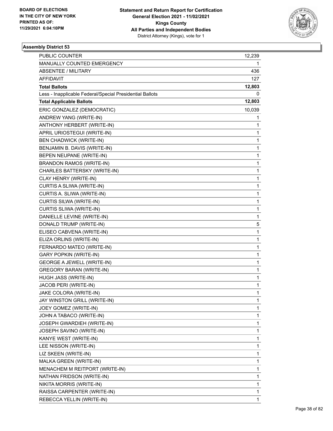

| <b>PUBLIC COUNTER</b>                                    | 12,239       |
|----------------------------------------------------------|--------------|
| MANUALLY COUNTED EMERGENCY                               | 1            |
| <b>ABSENTEE / MILITARY</b>                               | 436          |
| AFFIDAVIT                                                | 127          |
| <b>Total Ballots</b>                                     | 12,803       |
| Less - Inapplicable Federal/Special Presidential Ballots | 0            |
| <b>Total Applicable Ballots</b>                          | 12,803       |
| ERIC GONZALEZ (DEMOCRATIC)                               | 10,039       |
| ANDREW YANG (WRITE-IN)                                   | 1            |
| ANTHONY HERBERT (WRITE-IN)                               | 1            |
| APRIL URIOSTEGUI (WRITE-IN)                              | 1            |
| <b>BEN CHADWICK (WRITE-IN)</b>                           | $\mathbf 1$  |
| BENJAMIN B. DAVIS (WRITE-IN)                             | $\mathbf 1$  |
| BEPEN NEUPANE (WRITE-IN)                                 | 1            |
| <b>BRANDON RAMOS (WRITE-IN)</b>                          | $\mathbf 1$  |
| CHARLES BATTERSKY (WRITE-IN)                             | 1            |
| CLAY HENRY (WRITE-IN)                                    | 1            |
| CURTIS A SLIWA (WRITE-IN)                                | $\mathbf 1$  |
| CURTIS A. SLIWA (WRITE-IN)                               | $\mathbf 1$  |
| CURTIS SILWA (WRITE-IN)                                  | 1            |
| CURTIS SLIWA (WRITE-IN)                                  | $\mathbf 1$  |
| DANIELLE LEVINE (WRITE-IN)                               | 1            |
| DONALD TRUMP (WRITE-IN)                                  | 5            |
| ELISEO CABVENA (WRITE-IN)                                | $\mathbf 1$  |
| ELIZA ORLINS (WRITE-IN)                                  | $\mathbf 1$  |
| FERNARDO MATEO (WRITE-IN)                                | 1            |
| <b>GARY POPKIN (WRITE-IN)</b>                            | $\mathbf 1$  |
| <b>GEORGE A JEWELL (WRITE-IN)</b>                        | 1            |
| <b>GREGORY BARAN (WRITE-IN)</b>                          | 1            |
| HUGH JASS (WRITE-IN)                                     | $\mathbf{1}$ |
| JACOB PERI (WRITE-IN)                                    | 1            |
| JAKE COLORA (WRITE-IN)                                   | 1            |
| JAY WINSTON GRILL (WRITE-IN)                             | 1            |
| JOEY GOMEZ (WRITE-IN)                                    | 1            |
| JOHN A TABACO (WRITE-IN)                                 | 1            |
| JOSEPH GWARDIEH (WRITE-IN)                               | $\mathbf{1}$ |
| JOSEPH SAVINO (WRITE-IN)                                 | 1            |
| KANYE WEST (WRITE-IN)                                    | 1            |
| LEE NISSON (WRITE-IN)                                    | 1            |
| LIZ SKEEN (WRITE-IN)                                     | 1            |
| MALKA GREEN (WRITE-IN)                                   | 1            |
| MENACHEM M REITPORT (WRITE-IN)                           | $\mathbf{1}$ |
| NATHAN FRIDSON (WRITE-IN)                                | 1            |
| NIKITA MORRIS (WRITE-IN)                                 | 1            |
| RAISSA CARPENTER (WRITE-IN)                              | 1            |
| REBECCA YELLIN (WRITE-IN)                                | 1            |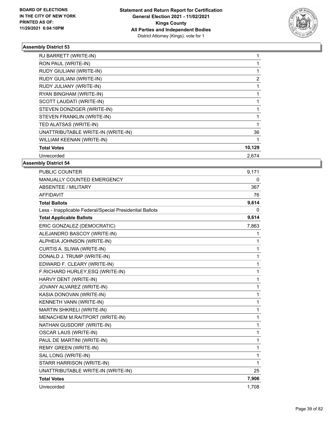

| RJ BARRETT (WRITE-IN)              |        |
|------------------------------------|--------|
| RON PAUL (WRITE-IN)                |        |
| RUDY GIULIANI (WRITE-IN)           |        |
| RUDY GUILIANI (WRITE-IN)           | 2      |
| RUDY JULIANY (WRITE-IN)            |        |
| RYAN BINGHAM (WRITE-IN)            |        |
| SCOTT LAUDATI (WRITE-IN)           |        |
| STEVEN DONZIGER (WRITE-IN)         |        |
| STEVEN FRANKLIN (WRITE-IN)         |        |
| TED ALATSAS (WRITE-IN)             |        |
| UNATTRIBUTABLE WRITE-IN (WRITE-IN) | 36     |
| WILLIAM KEENAN (WRITE-IN)          |        |
| <b>Total Votes</b>                 | 10,129 |
| Unrecorded                         | 2,674  |

| <b>PUBLIC COUNTER</b>                                    | 9,171 |
|----------------------------------------------------------|-------|
| MANUALLY COUNTED EMERGENCY                               | 0     |
| <b>ABSENTEE / MILITARY</b>                               | 367   |
| <b>AFFIDAVIT</b>                                         | 76    |
| <b>Total Ballots</b>                                     | 9,614 |
| Less - Inapplicable Federal/Special Presidential Ballots | 0     |
| <b>Total Applicable Ballots</b>                          | 9,614 |
| ERIC GONZALEZ (DEMOCRATIC)                               | 7,863 |
| ALEJANDRO BASCOY (WRITE-IN)                              | 1     |
| ALPHEIA JOHNSON (WRITE-IN)                               | 1     |
| CURTIS A. SLIWA (WRITE-IN)                               | 1     |
| DONALD J. TRUMP (WRITE-IN)                               | 1     |
| EDWARD F. CLEARY (WRITE-IN)                              | 1     |
| F.RICHARD HURLEY, ESQ (WRITE-IN)                         | 1     |
| HARVY DENT (WRITE-IN)                                    | 1     |
| JOVANY ALVAREZ (WRITE-IN)                                | 1     |
| KASIA DONOVAN (WRITE-IN)                                 | 1     |
| KENNETH VANN (WRITE-IN)                                  | 1     |
| MARTIN SHKRELI (WRITE-IN)                                | 1     |
| MENACHEM M.RAITPORT (WRITE-IN)                           | 1     |
| NATHAN GUSDORF (WRITE-IN)                                | 1     |
| <b>OSCAR LAUS (WRITE-IN)</b>                             | 1     |
| PAUL DE MARTINI (WRITE-IN)                               | 1     |
| <b>REMY GREEN (WRITE-IN)</b>                             | 1     |
| SAL LONG (WRITE-IN)                                      | 1     |
| STARR HARRISON (WRITE-IN)                                | 1     |
| UNATTRIBUTABLE WRITE-IN (WRITE-IN)                       | 25    |
| <b>Total Votes</b>                                       | 7,906 |
| Unrecorded                                               | 1.708 |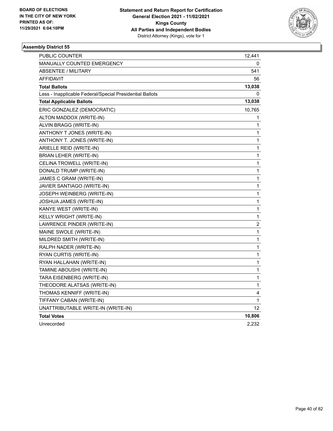

| PUBLIC COUNTER                                           | 12,441                  |
|----------------------------------------------------------|-------------------------|
| MANUALLY COUNTED EMERGENCY                               | 0                       |
| <b>ABSENTEE / MILITARY</b>                               | 541                     |
| AFFIDAVIT                                                | 56                      |
| <b>Total Ballots</b>                                     | 13,038                  |
| Less - Inapplicable Federal/Special Presidential Ballots | 0                       |
| <b>Total Applicable Ballots</b>                          | 13,038                  |
| ERIC GONZALEZ (DEMOCRATIC)                               | 10,765                  |
| ALTON MADDOX (WRITE-IN)                                  | 1                       |
| ALVIN BRAGG (WRITE-IN)                                   | 1                       |
| ANTHONY T JONES (WRITE-IN)                               | 1                       |
| ANTHONY T. JONES (WRITE-IN)                              | 1                       |
| ARIELLE REID (WRITE-IN)                                  | 1                       |
| BRIAN LEHER (WRITE-IN)                                   | $\mathbf{1}$            |
| CELINA TROWELL (WRITE-IN)                                | $\mathbf{1}$            |
| DONALD TRUMP (WRITE-IN)                                  | 1                       |
| JAMES C GRAM (WRITE-IN)                                  | $\mathbf 1$             |
| JAVIER SANTIAGO (WRITE-IN)                               | 1                       |
| JOSEPH WEINBERG (WRITE-IN)                               | 1                       |
| JOSHUA JAMES (WRITE-IN)                                  | 1                       |
| KANYE WEST (WRITE-IN)                                    | 1                       |
| KELLY WRIGHT (WRITE-IN)                                  | 1                       |
| LAWRENCE PINDER (WRITE-IN)                               | $\overline{\mathbf{c}}$ |
| MAINE SWOLE (WRITE-IN)                                   | 1                       |
| MILDRED SMITH (WRITE-IN)                                 | 1                       |
| RALPH NADER (WRITE-IN)                                   | 1                       |
| RYAN CURTIS (WRITE-IN)                                   | $\mathbf 1$             |
| RYAN HALLAHAN (WRITE-IN)                                 | 1                       |
| TAMINE ABOUSHI (WRITE-IN)                                | 1                       |
| TARA EISENBERG (WRITE-IN)                                | 1                       |
| THEODORE ALATSAS (WRITE-IN)                              | 1                       |
| THOMAS KENNIFF (WRITE-IN)                                | 4                       |
| TIFFANY CABAN (WRITE-IN)                                 | 1                       |
| UNATTRIBUTABLE WRITE-IN (WRITE-IN)                       | 12                      |
| <b>Total Votes</b>                                       | 10,806                  |
| Unrecorded                                               | 2,232                   |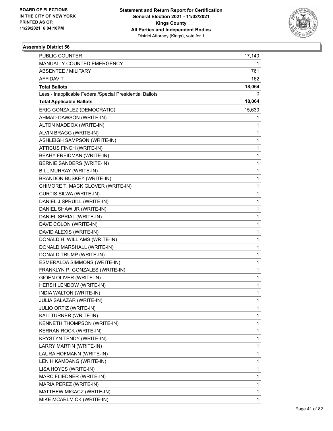

| <b>PUBLIC COUNTER</b>                                    | 17,140       |
|----------------------------------------------------------|--------------|
| MANUALLY COUNTED EMERGENCY                               | 1            |
| <b>ABSENTEE / MILITARY</b>                               | 761          |
| AFFIDAVIT                                                | 162          |
| <b>Total Ballots</b>                                     | 18,064       |
| Less - Inapplicable Federal/Special Presidential Ballots | 0            |
| <b>Total Applicable Ballots</b>                          | 18,064       |
| ERIC GONZALEZ (DEMOCRATIC)                               | 15,630       |
| AHMAD DAWSON (WRITE-IN)                                  | 1            |
| ALTON MADDOX (WRITE-IN)                                  | 1            |
| ALVIN BRAGG (WRITE-IN)                                   | 1            |
| ASHLEIGH SAMPSON (WRITE-IN)                              | 1            |
| ATTICUS FINCH (WRITE-IN)                                 | 1            |
| BEAHY FREIDMAN (WRITE-IN)                                | 1            |
| BERNIE SANDERS (WRITE-IN)                                | $\mathbf{1}$ |
| BILL MURRAY (WRITE-IN)                                   | 1            |
| BRANDON BUSKEY (WRITE-IN)                                | 1            |
| CHIMORE T. MACK GLOVER (WRITE-IN)                        | 1            |
| CURTIS SILWA (WRITE-IN)                                  | 1            |
| DANIEL J SPRUILL (WRITE-IN)                              | 1            |
| DANIEL SHAW JR (WRITE-IN)                                | $\mathbf{1}$ |
| DANIEL SPRIAL (WRITE-IN)                                 | 1            |
| DAVE COLON (WRITE-IN)                                    | 1            |
| DAVID ALEXIS (WRITE-IN)                                  | 1            |
| DONALD H. WILLIAMS (WRITE-IN)                            | 1            |
| DONALD MARSHALL (WRITE-IN)                               | 1            |
| DONALD TRUMP (WRITE-IN)                                  | $\mathbf{1}$ |
| ESMERALDA SIMMONS (WRITE-IN)                             | 1            |
| FRANKLYN P. GONZALES (WRITE-IN)                          | 1            |
| GIOEN OLIVER (WRITE-IN)                                  | 1            |
| HERSH LENDOW (WRITE-IN)                                  | 1            |
| INDIA WALTON (WRITE-IN)                                  | 1            |
| JULIA SALAZAR (WRITE-IN)                                 | 1            |
| JULIO ORTIZ (WRITE-IN)                                   | 1            |
| KALI TURNER (WRITE-IN)                                   | 1            |
| KENNETH THOMPSON (WRITE-IN)                              | 1            |
| KERRAN ROCK (WRITE-IN)                                   | 1            |
| KRYSTYN TENDY (WRITE-IN)                                 | 1            |
| LARRY MARTIN (WRITE-IN)                                  | 1            |
| LAURA HOFMANN (WRITE-IN)                                 | 1            |
| LEN H KAMDANG (WRITE-IN)                                 | 1            |
| LISA HOYES (WRITE-IN)                                    | 1            |
| MARC FLIEDNER (WRITE-IN)                                 | 1            |
| MARIA PEREZ (WRITE-IN)                                   | 1            |
| MATTHEW MIGACZ (WRITE-IN)                                | 1            |
| MIKE MCARLMICK (WRITE-IN)                                | 1            |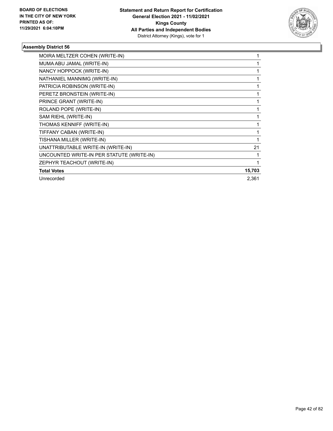

| MOIRA MELTZER COHEN (WRITE-IN)            |        |
|-------------------------------------------|--------|
| MUMA ABU JAMAL (WRITE-IN)                 |        |
| NANCY HOPPOCK (WRITE-IN)                  |        |
| NATHANIEL MANNIMG (WRITE-IN)              |        |
| PATRICIA ROBINSON (WRITE-IN)              |        |
| PERETZ BRONSTEIN (WRITE-IN)               |        |
| PRINCE GRANT (WRITE-IN)                   |        |
| ROLAND POPE (WRITE-IN)                    |        |
| SAM RIEHL (WRITE-IN)                      |        |
| THOMAS KENNIFF (WRITE-IN)                 |        |
| TIFFANY CABAN (WRITE-IN)                  |        |
| TISHANA MILLER (WRITE-IN)                 |        |
| UNATTRIBUTABLE WRITE-IN (WRITE-IN)        | 21     |
| UNCOUNTED WRITE-IN PER STATUTE (WRITE-IN) |        |
| ZEPHYR TEACHOUT (WRITE-IN)                | 1      |
| <b>Total Votes</b>                        | 15,703 |
| Unrecorded                                | 2,361  |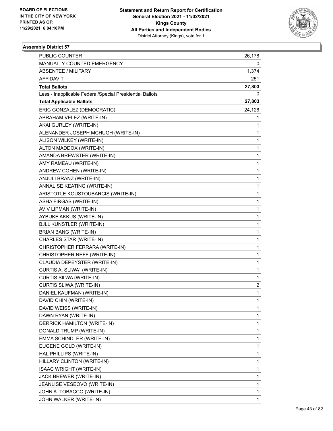

| <b>PUBLIC COUNTER</b>                                    | 26,178 |
|----------------------------------------------------------|--------|
| MANUALLY COUNTED EMERGENCY                               | 0      |
| <b>ABSENTEE / MILITARY</b>                               | 1,374  |
| AFFIDAVIT                                                | 251    |
| <b>Total Ballots</b>                                     | 27,803 |
| Less - Inapplicable Federal/Special Presidential Ballots | 0      |
| <b>Total Applicable Ballots</b>                          | 27,803 |
| ERIC GONZALEZ (DEMOCRATIC)                               | 24,126 |
| ABRAHAM VELEZ (WRITE-IN)                                 | 1      |
| AKAI GURLEY (WRITE-IN)                                   | 1      |
| ALENANDER JOSEPH MCHUGH (WRITE-IN)                       | 1      |
| ALISON WILKEY (WRITE-IN)                                 | 1      |
| ALTON MADDOX (WRITE-IN)                                  | 1      |
| AMANDA BREWSTER (WRITE-IN)                               | 1      |
| AMY RAMEAU (WRITE-IN)                                    | 1      |
| ANDREW COHEN (WRITE-IN)                                  | 1      |
| ANJULI BRANZ (WRITE-IN)                                  | 1      |
| ANNALISE KEATING (WRITE-IN)                              | 1      |
| ARISTOTLE KOUSTOUBARCIS (WRITE-IN)                       | 1      |
| ASHA FIRGAS (WRITE-IN)                                   | 1      |
| AVIV LIPMAN (WRITE-IN)                                   | 1      |
| AYBUKE AKKUS (WRITE-IN)                                  | 1      |
| <b>BJLL KUNSTLER (WRITE-IN)</b>                          | 1      |
| <b>BRIAN BANG (WRITE-IN)</b>                             | 1      |
| CHARLES STAR (WRITE-IN)                                  | 1      |
| CHRISTOPHER FERRARA (WRITE-IN)                           | 1      |
| CHRISTOPHER NEFF (WRITE-IN)                              | 1      |
| CLAUDIA DEPEYSTER (WRITE-IN)                             | 1      |
| CURTIS A. SLIWA` (WRITE-IN)                              | 1      |
| CURTIS SILWA (WRITE-IN)                                  | 1      |
| CURTIS SLIWA (WRITE-IN)                                  | 2      |
| DANIEL KAUFMAN (WRITE-IN)                                | 1      |
| DAVID CHIN (WRITE-IN)                                    | 1      |
| DAVID WEISS (WRITE-IN)                                   | 1      |
| DAWN RYAN (WRITE-IN)                                     | 1      |
| DERRICK HAMILTON (WRITE-IN)                              | 1      |
| DONALD TRUMP (WRITE-IN)                                  | 1      |
| EMMA SCHINDLER (WRITE-IN)                                | 1      |
| EUGENE GOLD (WRITE-IN)                                   | 1      |
| HAL PHILLIPS (WRITE-IN)                                  | 1      |
| HILLARY CLINTON (WRITE-IN)                               | 1      |
| <b>ISAAC WRIGHT (WRITE-IN)</b>                           | 1      |
| JACK BREWER (WRITE-IN)                                   | 1      |
| JEANLISE VESEOVO (WRITE-IN)                              | 1      |
| JOHN A. TOBACCO (WRITE-IN)                               | 1      |
| JOHN WALKER (WRITE-IN)                                   | 1      |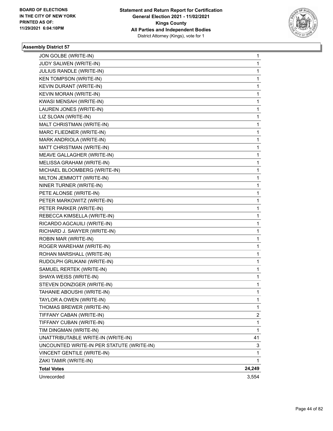

| JON GOLBE (WRITE-IN)                      | 1            |
|-------------------------------------------|--------------|
| JUDY SALWEN (WRITE-IN)                    | 1            |
| JULIUS RANDLE (WRITE-IN)                  | $\mathbf{1}$ |
| <b>KEN TOMPSON (WRITE-IN)</b>             | 1            |
| KEVIN DURANT (WRITE-IN)                   | 1            |
| KEVIN MORAN (WRITE-IN)                    | 1            |
| KWASI MENSAH (WRITE-IN)                   | 1            |
| LAUREN JONES (WRITE-IN)                   | 1            |
| LIZ SLOAN (WRITE-IN)                      | $\mathbf{1}$ |
| MALT CHRISTMAN (WRITE-IN)                 | 1            |
| MARC FLIEDNER (WRITE-IN)                  | 1            |
| MARK ANDRIOLA (WRITE-IN)                  | 1            |
| MATT CHRISTMAN (WRITE-IN)                 | 1            |
| MEAVE GALLAGHER (WRITE-IN)                | 1            |
| MELISSA GRAHAM (WRITE-IN)                 | $\mathbf 1$  |
| MICHAEL BLOOMBERG (WRITE-IN)              | 1            |
| MILTON JEMMOTT (WRITE-IN)                 | 1            |
| NINER TURNER (WRITE-IN)                   | 1            |
| PETE ALONSE (WRITE-IN)                    | 1            |
| PETER MARKOWITZ (WRITE-IN)                | 1            |
| PETER PARKER (WRITE-IN)                   | $\mathbf 1$  |
| REBECCA KIMSELLA (WRITE-IN)               | 1            |
| RICARDO AGCAUILI (WRITE-IN)               | 1            |
| RICHARD J. SAWYER (WRITE-IN)              | 1            |
| ROBIN MAR (WRITE-IN)                      | 1            |
| ROGER WAREHAM (WRITE-IN)                  | 1            |
| ROHAN MARSHALL (WRITE-IN)                 | $\mathbf{1}$ |
| RUDOLPH GRUKANI (WRITE-IN)                | 1            |
| SAMUEL RERTEK (WRITE-IN)                  | 1            |
| SHAYA WEISS (WRITE-IN)                    | 1            |
| STEVEN DONZIGER (WRITE-IN)                | 1            |
| TAHANIE ABOUSHI (WRITE-IN)                | 1            |
| TAYLOR A.OWEN (WRITE-IN)                  | 1            |
| THOMAS BREWER (WRITE-IN)                  | 1            |
| TIFFANY CABAN (WRITE-IN)                  | 2            |
| TIFFANY CUBAN (WRITE-IN)                  | $\mathbf{1}$ |
| TIM DINGMAN (WRITE-IN)                    | 1            |
| UNATTRIBUTABLE WRITE-IN (WRITE-IN)        | 41           |
| UNCOUNTED WRITE-IN PER STATUTE (WRITE-IN) | 3            |
| VINCENT GENTILE (WRITE-IN)                | 1            |
| ZAKI TAMIR (WRITE-IN)                     | 1.           |
| <b>Total Votes</b>                        | 24,249       |
| Unrecorded                                | 3,554        |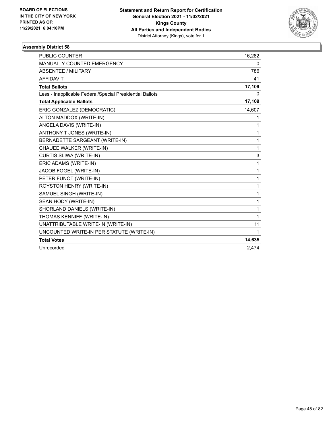

| <b>PUBLIC COUNTER</b>                                    | 16,282      |
|----------------------------------------------------------|-------------|
| MANUALLY COUNTED EMERGENCY                               | 0           |
| ABSENTEE / MILITARY                                      | 786         |
| <b>AFFIDAVIT</b>                                         | 41          |
| <b>Total Ballots</b>                                     | 17,109      |
| Less - Inapplicable Federal/Special Presidential Ballots | 0           |
| <b>Total Applicable Ballots</b>                          | 17,109      |
| ERIC GONZALEZ (DEMOCRATIC)                               | 14,607      |
| ALTON MADDOX (WRITE-IN)                                  | 1           |
| ANGELA DAVIS (WRITE-IN)                                  | 1           |
| ANTHONY T JONES (WRITE-IN)                               | 1           |
| BERNADETTE SARGEANT (WRITE-IN)                           | 1           |
| CHAUEE WALKER (WRITE-IN)                                 | 1           |
| CURTIS SLIWA (WRITE-IN)                                  | 3           |
| ERIC ADAMS (WRITE-IN)                                    | 1           |
| JACOB FOGEL (WRITE-IN)                                   | 1           |
| PETER FUNOT (WRITE-IN)                                   | 1           |
| ROYSTON HENRY (WRITE-IN)                                 | 1           |
| SAMUEL SINGH (WRITE-IN)                                  | 1           |
| SEAN HODY (WRITE-IN)                                     | 1           |
| SHORLAND DANIELS (WRITE-IN)                              | 1           |
| THOMAS KENNIFF (WRITE-IN)                                | 1           |
| UNATTRIBUTABLE WRITE-IN (WRITE-IN)                       | 11          |
| UNCOUNTED WRITE-IN PER STATUTE (WRITE-IN)                | $\mathbf 1$ |
| <b>Total Votes</b>                                       | 14,635      |
| Unrecorded                                               | 2,474       |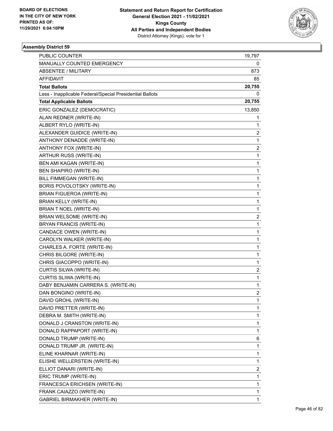

| <b>PUBLIC COUNTER</b>                                    | 19,797                  |
|----------------------------------------------------------|-------------------------|
| MANUALLY COUNTED EMERGENCY                               | 0                       |
| <b>ABSENTEE / MILITARY</b>                               | 873                     |
| AFFIDAVIT                                                | 85                      |
| <b>Total Ballots</b>                                     | 20,755                  |
| Less - Inapplicable Federal/Special Presidential Ballots | 0                       |
| <b>Total Applicable Ballots</b>                          | 20,755                  |
| ERIC GONZALEZ (DEMOCRATIC)                               | 13,850                  |
| ALAN REDNER (WRITE-IN)                                   | 1                       |
| ALBERT RYLO (WRITE-IN)                                   | 1                       |
| ALEXANDER GUIDICE (WRITE-IN)                             | 2                       |
| ANTHONY DENADDE (WRITE-IN)                               | 1                       |
| ANTHONY FOX (WRITE-IN)                                   | $\overline{\mathbf{c}}$ |
| ARTHUR RUSS (WRITE-IN)                                   | 1                       |
| BEN AMI KAGAN (WRITE-IN)                                 | 1                       |
| <b>BEN SHAPIRO (WRITE-IN)</b>                            | 1                       |
| BILL FIMMEGAN (WRITE-IN)                                 | 1                       |
| BORIS POVOLOTSKY (WRITE-IN)                              | 1                       |
| <b>BRIAN FIGUEROA (WRITE-IN)</b>                         | 1                       |
| BRIAN KELLY (WRITE-IN)                                   | 1                       |
| <b>BRIAN T NOEL (WRITE-IN)</b>                           | 1                       |
| <b>BRIAN WELSOME (WRITE-IN)</b>                          | 2                       |
| BRYAN FRANCIS (WRITE-IN)                                 | 1                       |
| CANDACE OWEN (WRITE-IN)                                  | 1                       |
| CAROLYN WALKER (WRITE-IN)                                | 1                       |
| CHARLES A. FORTE (WRITE-IN)                              | 1                       |
| CHRIS BILGORE (WRITE-IN)                                 | 1                       |
| CHRIS GIACOPPO (WRITE-IN)                                | 1                       |
| CURTIS SILWA (WRITE-IN)                                  | 2                       |
| CURTIS SLIWA (WRITE-IN)                                  | 1                       |
| DABY BENJAMIN CARRERA S. (WRITE-IN)                      | 1                       |
| DAN BONGINO (WRITE-IN)                                   | $\overline{c}$          |
| DAVID GROHL (WRITE-IN)                                   | 1                       |
| DAVID PRETTER (WRITE-IN)                                 | 1                       |
| DEBRA M. SMITH (WRITE-IN)                                | 1                       |
| DONALD J CRANSTON (WRITE-IN)                             | 1                       |
| DONALD RAPPAPORT (WRITE-IN)                              | 1                       |
| DONALD TRUMP (WRITE-IN)                                  | 6                       |
| DONALD TRUMP JR. (WRITE-IN)                              | 1                       |
| ELINE KHARNAR (WRITE-IN)                                 | 1                       |
| ELISHE WELLERSTEIN (WRITE-IN)                            | 1                       |
| ELLIOT DANARI (WRITE-IN)                                 | 2                       |
| ERIC TRUMP (WRITE-IN)                                    | 1                       |
| FRANCESCA ERICHSEN (WRITE-IN)                            | 1                       |
| FRANK CAIAZZO (WRITE-IN)                                 | 1                       |
| GABRIEL BIRMAKHER (WRITE-IN)                             | 1                       |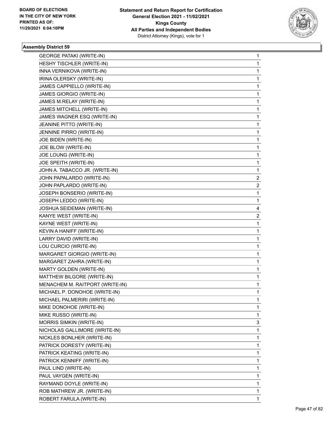

| <b>GEORGE PATAKI (WRITE-IN)</b> | 1              |
|---------------------------------|----------------|
| HESHY TISCHLER (WRITE-IN)       | 1              |
| INNA VERNIKOVA (WRITE-IN)       | 1              |
| IRINA OLERSKY (WRITE-IN)        | 1              |
| JAMES CAPPIELLO (WRITE-IN)      | 1              |
| JAMES GIORGIO (WRITE-IN)        | 1              |
| JAMES M.RELAY (WRITE-IN)        | 1              |
| JAMES MITCHELL (WRITE-IN)       | 1              |
| JAMES WAGNER ESQ (WRITE-IN)     | 1              |
| JEANINE PITTO (WRITE-IN)        | 1              |
| JENNINE PIRRO (WRITE-IN)        | 1              |
| JOE BIDEN (WRITE-IN)            | 1              |
| JOE BLOW (WRITE-IN)             | 1              |
| JOE LOUNG (WRITE-IN)            | 1              |
| JOE SPEITH (WRITE-IN)           | 1              |
| JOHN A. TABACCO JR. (WRITE-IN)  | 1              |
| JOHN PAPALARDO (WRITE-IN)       | 2              |
| JOHN PAPLARDO (WRITE-IN)        | 2              |
| JOSEPH BONSERIO (WRITE-IN)      | 1              |
| JOSEPH LEDDO (WRITE-IN)         | 1              |
| JOSHUA SEIDEMAN (WRITE-IN)      | 4              |
| KANYE WEST (WRITE-IN)           | $\overline{c}$ |
| KAYNE WEST (WRITE-IN)           | 1              |
| KEVIN A HANIFF (WRITE-IN)       | 1              |
| LARRY DAVID (WRITE-IN)          | 1              |
| LOU CURCIO (WRITE-IN)           | 1              |
| MARGARET GIORGIO (WRITE-IN)     | 1              |
| MARGARET ZAHRA (WRITE-IN)       | 1              |
| MARTY GOLDEN (WRITE-IN)         | 1              |
| MATTHEW BILGORE (WRITE-IN)      | 1              |
| MENACHEM M. RAITPORT (WRITE-IN) | 1              |
| MICHAEL P. DONOHOE (WRITE-IN)   | 1              |
| MICHAEL PALMERIRI (WRITE-IN)    | 1              |
| MIKE DONOHOE (WRITE-IN)         | 1              |
| MIKE RUSSO (WRITE-IN)           | 1              |
| MORRIS SIMKIN (WRITE-IN)        | 3              |
| NICHOLAS GALLIMORE (WRITE-IN)   | 1              |
| NICKLES BONLHER (WRITE-IN)      | 1              |
| PATRICK DORESTY (WRITE-IN)      | 1              |
| PATRICK KEATING (WRITE-IN)      | 1              |
| PATRICK KENNIFF (WRITE-IN)      | 1              |
| PAUL LIND (WRITE-IN)            | 1              |
| PAUL VAYGEN (WRITE-IN)          | 1              |
| RAYMAND DOYLE (WRITE-IN)        | 1              |
| ROB MATHREW JR. (WRITE-IN)      | 1              |
| ROBERT FARULA (WRITE-IN)        | 1              |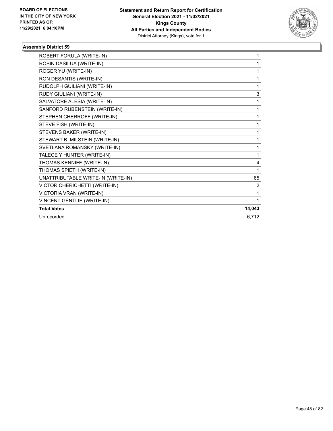

| ROBERT FORULA (WRITE-IN)           | 1              |
|------------------------------------|----------------|
| ROBIN DASILUA (WRITE-IN)           | 1              |
| ROGER YU (WRITE-IN)                | 1              |
| RON DESANTIS (WRITE-IN)            | 1              |
| RUDOLPH GUILIANI (WRITE-IN)        | 1              |
| RUDY GIULIANI (WRITE-IN)           | 3              |
| SALVATORE ALESIA (WRITE-IN)        | 1              |
| SANFORD RUBENSTEIN (WRITE-IN)      | 1              |
| STEPHEN CHERROFF (WRITE-IN)        | 1              |
| STEVE FISH (WRITE-IN)              | 1              |
| STEVENS BAKER (WRITE-IN)           | 1              |
| STEWART B. MILSTEIN (WRITE-IN)     | 1              |
| SVETLANA ROMANSKY (WRITE-IN)       | 1              |
| TALECE Y HUNTER (WRITE-IN)         | 1              |
| THOMAS KENNIFF (WRITE-IN)          | 4              |
| THOMAS SPIETH (WRITE-IN)           | 1              |
| UNATTRIBUTABLE WRITE-IN (WRITE-IN) | 65             |
| VICTOR CHERICHETTI (WRITE-IN)      | $\overline{2}$ |
| VICTORIA VRAN (WRITE-IN)           | 1              |
| <b>VINCENT GENTLIE (WRITE-IN)</b>  | 1              |
| <b>Total Votes</b>                 | 14,043         |
| Unrecorded                         | 6,712          |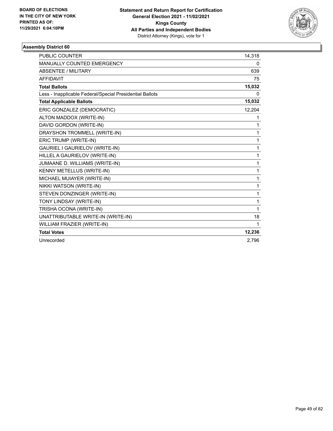

| <b>PUBLIC COUNTER</b>                                    | 14,318 |
|----------------------------------------------------------|--------|
| MANUALLY COUNTED EMERGENCY                               | 0      |
| <b>ABSENTEE / MILITARY</b>                               | 639    |
| <b>AFFIDAVIT</b>                                         | 75     |
| <b>Total Ballots</b>                                     | 15,032 |
| Less - Inapplicable Federal/Special Presidential Ballots | 0      |
| <b>Total Applicable Ballots</b>                          | 15,032 |
| ERIC GONZALEZ (DEMOCRATIC)                               | 12,204 |
| ALTON MADDOX (WRITE-IN)                                  | 1      |
| DAVID GORDON (WRITE-IN)                                  | 1      |
| DRAYSHON TROMMELL (WRITE-IN)                             | 1      |
| ERIC TRUMP (WRITE-IN)                                    | 1      |
| GAURIEL I GAURIELOV (WRITE-IN)                           | 1      |
| HILLEL A GAURIELOV (WRITE-IN)                            | 1      |
| JUMAANE D. WILLIAMS (WRITE-IN)                           | 1      |
| <b>KENNY METELLUS (WRITE-IN)</b>                         | 1      |
| MICHAEL MUIAYER (WRITE-IN)                               | 1      |
| NIKKI WATSON (WRITE-IN)                                  | 1      |
| STEVEN DONZINGER (WRITE-IN)                              | 1      |
| TONY LINDSAY (WRITE-IN)                                  | 1      |
| TRISHA OCONA (WRITE-IN)                                  | 1      |
| UNATTRIBUTABLE WRITE-IN (WRITE-IN)                       | 18     |
| WILLIAM FRAZIER (WRITE-IN)                               | 1      |
| <b>Total Votes</b>                                       | 12,236 |
| Unrecorded                                               | 2,796  |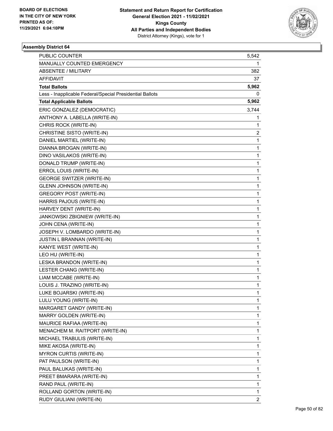

| PUBLIC COUNTER                                           | 5,542        |
|----------------------------------------------------------|--------------|
| MANUALLY COUNTED EMERGENCY                               | 1            |
| <b>ABSENTEE / MILITARY</b>                               | 382          |
| AFFIDAVIT                                                | 37           |
| <b>Total Ballots</b>                                     | 5,962        |
| Less - Inapplicable Federal/Special Presidential Ballots | 0            |
| <b>Total Applicable Ballots</b>                          | 5,962        |
| ERIC GONZALEZ (DEMOCRATIC)                               | 3,744        |
| ANTHONY A. LABELLA (WRITE-IN)                            | 1            |
| CHRIS ROCK (WRITE-IN)                                    | 1            |
| CHRISTINE SISTO (WRITE-IN)                               | 2            |
| DANIEL MARTIEL (WRITE-IN)                                | 1            |
| DIANNA BROGAN (WRITE-IN)                                 | $\mathbf 1$  |
| DINO VASILAKOS (WRITE-IN)                                | 1            |
| DONALD TRUMP (WRITE-IN)                                  | $\mathbf 1$  |
| ERROL LOUIS (WRITE-IN)                                   | 1            |
| <b>GEORGE SWITZER (WRITE-IN)</b>                         | 1            |
| <b>GLENN JOHNSON (WRITE-IN)</b>                          | 1            |
| <b>GREGORY POST (WRITE-IN)</b>                           | $\mathbf{1}$ |
| HARRIS PAJOUS (WRITE-IN)                                 | 1            |
| HARVEY DENT (WRITE-IN)                                   | $\mathbf{1}$ |
| JANKOWSKI ZBIGNIEW (WRITE-IN)                            | 1            |
| JOHN CENA (WRITE-IN)                                     | 1            |
| JOSEPH V. LOMBARDO (WRITE-IN)                            | 1            |
| JUSTIN L BRANNAN (WRITE-IN)                              | $\mathbf{1}$ |
| KANYE WEST (WRITE-IN)                                    | 1            |
| LEO HU (WRITE-IN)                                        | 1            |
| LESKA BRANDON (WRITE-IN)                                 | 1            |
| LESTER CHANG (WRITE-IN)                                  | 1            |
| LIAM MCCABE (WRITE-IN)                                   | 1            |
| LOUIS J. TRAZINO (WRITE-IN)                              | 1            |
| LUKE BOJARSKI (WRITE-IN)                                 | 1            |
| LULU YOUNG (WRITE-IN)                                    | 1            |
| MARGARET GANDY (WRITE-IN)                                | 1            |
| MARRY GOLDEN (WRITE-IN)                                  | 1            |
| MAURICE RAFIAA (WRITE-IN)                                | 1            |
| MENACHEM M. RAITPORT (WRITE-IN)                          | 1            |
| MICHAEL TRABULIS (WRITE-IN)                              | 1            |
| MIKE AKOSA (WRITE-IN)                                    | 1            |
| <b>MYRON CURTIS (WRITE-IN)</b>                           | 1            |
| PAT PAULSON (WRITE-IN)                                   | 1            |
| PAUL BALUKAS (WRITE-IN)                                  | 1            |
| PREET BMARARA (WRITE-IN)                                 | 1            |
| RAND PAUL (WRITE-IN)                                     | 1            |
| ROLLAND GORTON (WRITE-IN)                                | 1            |
| RUDY GIULIANI (WRITE-IN)                                 | 2            |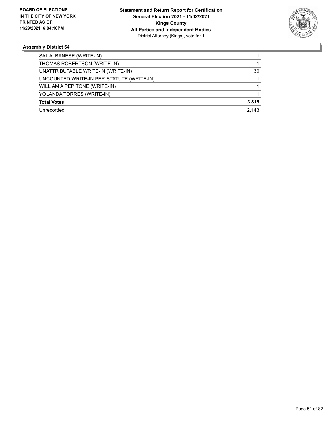

| SAL ALBANESE (WRITE-IN)                   |       |
|-------------------------------------------|-------|
| THOMAS ROBERTSON (WRITE-IN)               |       |
| UNATTRIBUTABLE WRITE-IN (WRITE-IN)        | 30    |
| UNCOUNTED WRITE-IN PER STATUTE (WRITE-IN) |       |
| WILLIAM A PEPITONE (WRITE-IN)             |       |
| YOLANDA TORRES (WRITE-IN)                 |       |
| <b>Total Votes</b>                        | 3,819 |
| Unrecorded                                | 2.143 |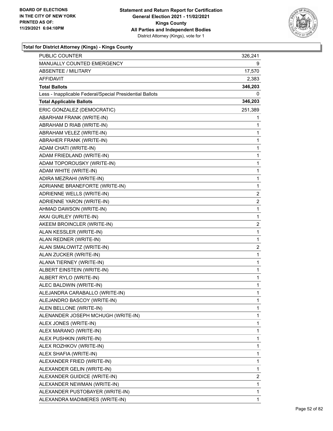

| PUBLIC COUNTER                                           | 326,241                 |
|----------------------------------------------------------|-------------------------|
| MANUALLY COUNTED EMERGENCY                               | 9                       |
| <b>ABSENTEE / MILITARY</b>                               | 17,570                  |
| AFFIDAVIT                                                | 2,383                   |
| <b>Total Ballots</b>                                     | 346,203                 |
| Less - Inapplicable Federal/Special Presidential Ballots | 0                       |
| <b>Total Applicable Ballots</b>                          | 346,203                 |
| ERIC GONZALEZ (DEMOCRATIC)                               | 251,389                 |
| ABARHAM FRANK (WRITE-IN)                                 | 1                       |
| ABRAHAM D RIAB (WRITE-IN)                                | 1                       |
| ABRAHAM VELEZ (WRITE-IN)                                 | 1                       |
| ABRAHER FRANK (WRITE-IN)                                 | 1                       |
| ADAM CHATI (WRITE-IN)                                    | 1                       |
| ADAM FRIEDLAND (WRITE-IN)                                | 1                       |
| ADAM TOPOROUSKY (WRITE-IN)                               | 1                       |
| ADAM WHITE (WRITE-IN)                                    | 1                       |
| ADIRA MEZRAHI (WRITE-IN)                                 | 1                       |
| ADRIANNE BRANEFORTE (WRITE-IN)                           | 1                       |
| ADRIENNE WELLS (WRITE-IN)                                | 2                       |
| ADRIENNE YARON (WRITE-IN)                                | $\overline{\mathbf{c}}$ |
| AHMAD DAWSON (WRITE-IN)                                  | 1                       |
| AKAI GURLEY (WRITE-IN)                                   | 1                       |
| AKEEM BROINCLER (WRITE-IN)                               | 2                       |
| ALAN KESSLER (WRITE-IN)                                  | 1                       |
| ALAN REDNER (WRITE-IN)                                   | 1                       |
| ALAN SMALOWITZ (WRITE-IN)                                | $\overline{\mathbf{c}}$ |
| ALAN ZUCKER (WRITE-IN)                                   | 1                       |
| ALANA TIERNEY (WRITE-IN)                                 | 1                       |
| ALBERT EINSTEIN (WRITE-IN)                               | 1                       |
| ALBERT RYLO (WRITE-IN)                                   | 1                       |
| ALEC BALDWIN (WRITE-IN)                                  | 1                       |
| ALEJANDRA CARABALLO (WRITE-IN)                           | 1                       |
| ALEJANDRO BASCOY (WRITE-IN)                              | 1                       |
| ALEN BELLONE (WRITE-IN)                                  | 1                       |
| ALENANDER JOSEPH MCHUGH (WRITE-IN)                       | 1                       |
| ALEX JONES (WRITE-IN)                                    | 1                       |
| ALEX MARANO (WRITE-IN)                                   | 1                       |
| ALEX PUSHKIN (WRITE-IN)                                  | 1                       |
| ALEX ROZHKOV (WRITE-IN)                                  | 1                       |
| ALEX SHAFIA (WRITE-IN)                                   | 1                       |
| ALEXANDER FRIED (WRITE-IN)                               | 1                       |
| ALEXANDER GELIN (WRITE-IN)                               | 1                       |
| ALEXANDER GUIDICE (WRITE-IN)                             | 2                       |
| ALEXANDER NEWMAN (WRITE-IN)                              | 1                       |
| ALEXANDER PUSTOBAYER (WRITE-IN)                          | 1                       |
| ALEXANDRA MADIMERES (WRITE-IN)                           | 1                       |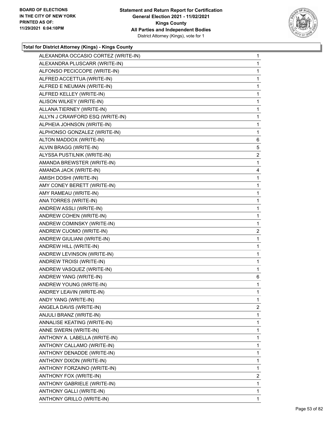

| ALEXANDRA OCCASIO CORTEZ (WRITE-IN) | 1              |
|-------------------------------------|----------------|
| ALEXANDRA PLUSCARR (WRITE-IN)       | 1              |
| ALFONSO PECICCOPE (WRITE-IN)        | 1              |
| ALFRED ACCETTUA (WRITE-IN)          | 1              |
| ALFRED E NEUMAN (WRITE-IN)          | 1              |
| ALFRED KELLEY (WRITE-IN)            | 1              |
| ALISON WILKEY (WRITE-IN)            | 1              |
| ALLANA TIERNEY (WRITE-IN)           | 1              |
| ALLYN J CRAWFORD ESQ (WRITE-IN)     | 1              |
| ALPHEIA JOHNSON (WRITE-IN)          | 1              |
| ALPHONSO GONZALEZ (WRITE-IN)        | 1              |
| ALTON MADDOX (WRITE-IN)             | 6              |
| ALVIN BRAGG (WRITE-IN)              | 5              |
| ALYSSA PUSTILNIK (WRITE-IN)         | $\overline{2}$ |
| AMANDA BREWSTER (WRITE-IN)          | 1              |
| AMANDA JACK (WRITE-IN)              | 4              |
| AMISH DOSHI (WRITE-IN)              | 1              |
| AMY CONEY BERETT (WRITE-IN)         | 1              |
| AMY RAMEAU (WRITE-IN)               | 1              |
| ANA TORRES (WRITE-IN)               | 1              |
| ANDREW ASSLI (WRITE-IN)             | 1              |
| ANDREW COHEN (WRITE-IN)             | 1              |
| ANDREW COMINSKY (WRITE-IN)          | 1              |
| ANDREW CUOMO (WRITE-IN)             | $\overline{2}$ |
| ANDREW GIULIANI (WRITE-IN)          | 1              |
| ANDREW HILL (WRITE-IN)              | 1              |
| ANDREW LEVINSON (WRITE-IN)          | 1              |
| ANDREW TROISI (WRITE-IN)            | 1              |
| ANDREW VASQUEZ (WRITE-IN)           | 1              |
| ANDREW YANG (WRITE-IN)              | 6              |
| ANDREW YOUNG (WRITE-IN)             | 1              |
| ANDREY LEAVIN (WRITE-IN)            | $\mathbf{1}$   |
| ANDY YANG (WRITE-IN)                | 1              |
| ANGELA DAVIS (WRITE-IN)             | $\mathbf{2}$   |
| ANJULI BRANZ (WRITE-IN)             | 1              |
| ANNALISE KEATING (WRITE-IN)         | 1              |
| ANNE SWERN (WRITE-IN)               | 1              |
| ANTHONY A. LABELLA (WRITE-IN)       | 1              |
| ANTHONY CALLAMO (WRITE-IN)          | 1              |
| ANTHONY DENADDE (WRITE-IN)          | 1              |
| ANTHONY DIXON (WRITE-IN)            | 1              |
| ANTHONY FORZAINO (WRITE-IN)         | 1              |
| ANTHONY FOX (WRITE-IN)              | $\overline{2}$ |
| ANTHONY GABRIELE (WRITE-IN)         | 1              |
| ANTHONY GALLI (WRITE-IN)            | 1              |
|                                     |                |
|                                     |                |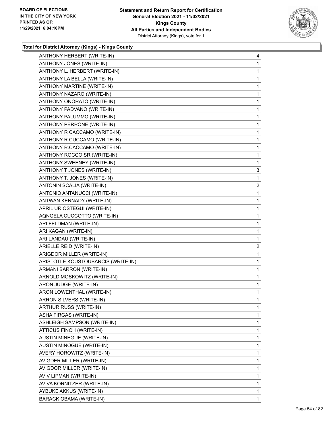

| ANTHONY HERBERT (WRITE-IN)         | 4              |
|------------------------------------|----------------|
| ANTHONY JONES (WRITE-IN)           | 1              |
| ANTHONY L. HERBERT (WRITE-IN)      | 1              |
| ANTHONY LA BELLA (WRITE-IN)        | 1              |
| ANTHONY MARTINE (WRITE-IN)         | 1              |
| ANTHONY NAZARO (WRITE-IN)          | 1              |
| ANTHONY ONORATO (WRITE-IN)         | 1              |
| ANTHONY PADVANO (WRITE-IN)         | 1              |
| ANTHONY PALUMMO (WRITE-IN)         | 1              |
| ANTHONY PERRONE (WRITE-IN)         | 1              |
| ANTHONY R CACCAMO (WRITE-IN)       | 1              |
| ANTHONY R CUCCAMO (WRITE-IN)       | 1              |
| ANTHONY R.CACCAMO (WRITE-IN)       | 1              |
| ANTHONY ROCCO SR (WRITE-IN)        | 1              |
| ANTHONY SWEENEY (WRITE-IN)         | 1              |
| ANTHONY T JONES (WRITE-IN)         | 3              |
| ANTHONY T. JONES (WRITE-IN)        | 1              |
| ANTONIN SCALIA (WRITE-IN)          | $\overline{2}$ |
| ANTONIO ANTANUCCI (WRITE-IN)       | 1              |
| ANTWAN KENNADY (WRITE-IN)          | 1              |
| APRIL URIOSTEGUI (WRITE-IN)        | 1              |
| AQNGELA CUCCOTTO (WRITE-IN)        | 1              |
| ARI FELDMAN (WRITE-IN)             | 1              |
| ARI KAGAN (WRITE-IN)               | 1              |
| ARI LANDAU (WRITE-IN)              | 1              |
| ARIELLE REID (WRITE-IN)            | $\overline{a}$ |
| ARIGDOR MILLER (WRITE-IN)          | 1              |
| ARISTOTLE KOUSTOUBARCIS (WRITE-IN) | $\mathbf{1}$   |
| ARMANI BARRON (WRITE-IN)           | $\mathbf{1}$   |
| ARNOLD MOSKOWITZ (WRITE-IN)        | 1              |
| ARON JUDGE (WRITE-IN)              | 1              |
| ARON LOWENTHAL (WRITE-IN)          | 1              |
| ARRON SILVERS (WRITE-IN)           | 1              |
|                                    |                |
| ARTHUR RUSS (WRITE-IN)             | 1              |
| ASHA FIRGAS (WRITE-IN)             | 1              |
| ASHLEIGH SAMPSON (WRITE-IN)        | 1              |
| ATTICUS FINCH (WRITE-IN)           | 1              |
| <b>AUSTIN MINEGUE (WRITE-IN)</b>   | 1              |
| AUSTIN MINOGUE (WRITE-IN)          | 1              |
| AVERY HOROWITZ (WRITE-IN)          | 1              |
| AVIGDER MILLER (WRITE-IN)          | 1              |
| AVIGDOR MILLER (WRITE-IN)          | 1              |
| AVIV LIPMAN (WRITE-IN)             | 1              |
| AVIVA KORNITZER (WRITE-IN)         | 1              |
| AYBUKE AKKUS (WRITE-IN)            | 1              |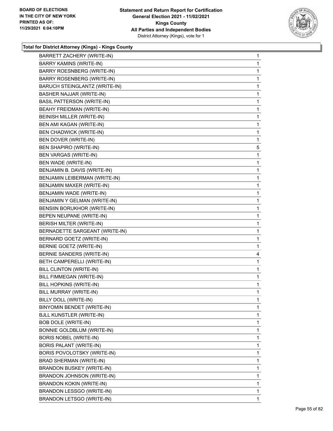

| BARRETT ZACHERY (WRITE-IN)        | $\mathbf{1}$ |
|-----------------------------------|--------------|
| BARRY KAMINS (WRITE-IN)           | 1            |
| BARRY ROESNBERG (WRITE-IN)        | 1            |
| BARRY ROSENBERG (WRITE-IN)        | 1            |
| BARUCH STEINGLANTZ (WRITE-IN)     | 1            |
| BASHER NAJJAR (WRITE-IN)          | 1            |
| <b>BASIL PATTERSON (WRITE-IN)</b> | 1            |
| BEAHY FREIDMAN (WRITE-IN)         | 1            |
| <b>BEINISH MILLER (WRITE-IN)</b>  | 1            |
| BEN AMI KAGAN (WRITE-IN)          | 1            |
| <b>BEN CHADWICK (WRITE-IN)</b>    | 1            |
| BEN DOVER (WRITE-IN)              | 1            |
| <b>BEN SHAPIRO (WRITE-IN)</b>     | 5            |
| <b>BEN VARGAS (WRITE-IN)</b>      | 1            |
| BEN WADE (WRITE-IN)               | 1            |
| BENJAMIN B. DAVIS (WRITE-IN)      | 1            |
| BENJAMIN LEIBERMAN (WRITE-IN)     | 1            |
| BENJAMIN MAXER (WRITE-IN)         | 1            |
| BENJAMIN WADE (WRITE-IN)          | 1            |
| BENJAMIN Y GELMAN (WRITE-IN)      | 1            |
| BENSIIN BORUKHOR (WRITE-IN)       | 1            |
| BEPEN NEUPANE (WRITE-IN)          | 1            |
| BERISH MILTER (WRITE-IN)          | 1            |
| BERNADETTE SARGEANT (WRITE-IN)    | 1            |
| BERNARD GOETZ (WRITE-IN)          | 1            |
| BERNIE GOETZ (WRITE-IN)           | 1            |
| BERNIE SANDERS (WRITE-IN)         | 4            |
| BETH CAMPERELLI (WRITE-IN)        | 1            |
| BILL CLINTON (WRITE-IN)           | 1            |
| BILL FIMMEGAN (WRITE-IN)          | 1            |
| BILL HOPKINS (WRITE-IN)           | 1            |
| BILL MURRAY (WRITE-IN)            | 1            |
| BILLY DOLL (WRITE-IN)             | 1            |
| BINYOMIN BENDET (WRITE-IN)        | 1            |
| <b>BJLL KUNSTLER (WRITE-IN)</b>   | 1            |
| <b>BOB DOLE (WRITE-IN)</b>        | 1            |
| BONNIE GOLDBLUM (WRITE-IN)        | 1            |
| <b>BORIS NOBEL (WRITE-IN)</b>     | 1            |
| BORIS PALANT (WRITE-IN)           | 1            |
| BORIS POVOLOTSKY (WRITE-IN)       | 1            |
| <b>BRAD SHERMAN (WRITE-IN)</b>    | 1            |
| BRANDON BUSKEY (WRITE-IN)         | 1            |
| BRANDON JOHNSON (WRITE-IN)        | 1            |
| <b>BRANDON KOKIN (WRITE-IN)</b>   | 1            |
| BRANDON LESSGO (WRITE-IN)         | 1            |
| <b>BRANDON LETSGO (WRITE-IN)</b>  | 1            |
|                                   |              |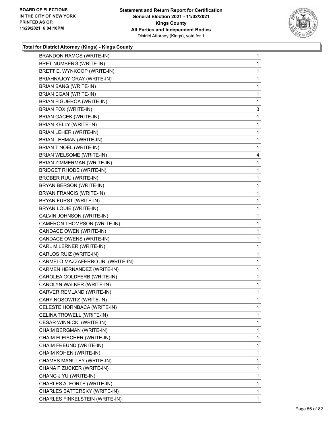

| <b>BRANDON RAMOS (WRITE-IN)</b>   | $\mathbf{1}$ |
|-----------------------------------|--------------|
| BRET NUMBERG (WRITE-IN)           | 1            |
| BRETT E. WYNKOOP (WRITE-IN)       | 1            |
| BRIAHNAJOY GRAY (WRITE-IN)        | $\mathbf 1$  |
| BRIAN BANG (WRITE-IN)             | 1            |
| BRIAN EGAN (WRITE-IN)             | 1            |
| <b>BRIAN FIGUEROA (WRITE-IN)</b>  | $\mathbf{1}$ |
| BRIAN FOX (WRITE-IN)              | 3            |
| <b>BRIAN GACEK (WRITE-IN)</b>     | 1            |
| BRIAN KELLY (WRITE-IN)            | $\mathbf{1}$ |
| BRIAN LEHER (WRITE-IN)            | 1            |
| BRIAN LEHMAN (WRITE-IN)           | 1            |
| <b>BRIAN T NOEL (WRITE-IN)</b>    | $\mathbf 1$  |
| <b>BRIAN WELSOME (WRITE-IN)</b>   | 4            |
| BRIAN ZIMMERMAN (WRITE-IN)        | 1            |
| <b>BRIDGET RHODE (WRITE-IN)</b>   | $\mathbf{1}$ |
| BROBER RUU (WRITE-IN)             | 1            |
| BRYAN BERSON (WRITE-IN)           | 1            |
| <b>BRYAN FRANCIS (WRITE-IN)</b>   | $\mathbf 1$  |
| BRYAN FURST (WRITE-IN)            | 1            |
| BRYAN LOUIE (WRITE-IN)            | 1            |
| CALVIN JOHNSON (WRITE-IN)         | $\mathbf{1}$ |
| CAMERON THOMPSON (WRITE-IN)       | 1            |
| CANDACE OWEN (WRITE-IN)           | 1            |
| CANDACE OWENS (WRITE-IN)          | $\mathbf 1$  |
| CARL M LERNER (WRITE-IN)          | 1            |
| CARLOS RUIZ (WRITE-IN)            | 1            |
| CARMELO MAZZAFERRO JR. (WRITE-IN) | $\mathbf{1}$ |
| CARMEN HERNANDEZ (WRITE-IN)       | 1            |
| CAROLEA GOLDFERB (WRITE-IN)       | 1            |
| CAROLYN WALKER (WRITE-IN)         | $\mathbf 1$  |
| CARVER REMLAND (WRITE-IN)         | 1            |
| CARY NOSOWITZ (WRITE-IN)          | 1            |
| CELESTE HORNBACA (WRITE-IN)       | 1            |
| CELINA TROWELL (WRITE-IN)         | 1            |
| CESAR WINNICKI (WRITE-IN)         | 1            |
| CHAIM BERGMAN (WRITE-IN)          | 1            |
| CHAIM FLEISCHER (WRITE-IN)        | 1            |
| CHAIM FREUND (WRITE-IN)           | 1            |
| CHAIM KOHEN (WRITE-IN)            | 1            |
| CHAMES MANULEY (WRITE-IN)         | 1            |
| CHANA P ZUCKER (WRITE-IN)         | 1            |
| CHANG J YU (WRITE-IN)             | 1            |
| CHARLES A. FORTE (WRITE-IN)       | 1            |
| CHARLES BATTERSKY (WRITE-IN)      | 1            |
| CHARLES FINKELSTEIN (WRITE-IN)    | $\mathbf{1}$ |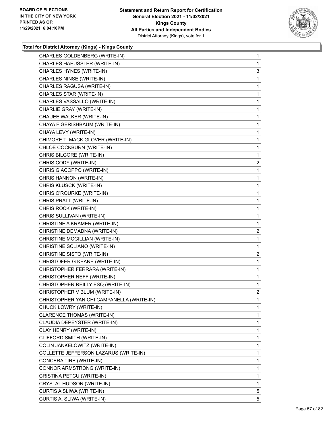

| CHARLES GOLDENBERG (WRITE-IN)             | $\mathbf{1}$   |
|-------------------------------------------|----------------|
| CHARLES HAEUSSLER (WRITE-IN)              | 1              |
| CHARLES HYNES (WRITE-IN)                  | 3              |
| CHARLES NINSE (WRITE-IN)                  | 1              |
| CHARLES RAGUSA (WRITE-IN)                 | 1              |
| CHARLES STAR (WRITE-IN)                   | 1              |
| CHARLES VASSALLO (WRITE-IN)               | 1              |
| CHARLIE GRAY (WRITE-IN)                   | 1              |
| CHAUEE WALKER (WRITE-IN)                  | 1              |
| CHAYA F GERISHBAUM (WRITE-IN)             | 1              |
| CHAYA LEVY (WRITE-IN)                     | 1              |
| CHIMORE T. MACK GLOVER (WRITE-IN)         | 1              |
| CHLOE COCKBURN (WRITE-IN)                 | 1              |
| CHRIS BILGORE (WRITE-IN)                  | 1              |
| CHRIS CODY (WRITE-IN)                     | $\overline{a}$ |
| CHRIS GIACOPPO (WRITE-IN)                 | 1              |
| CHRIS HANNON (WRITE-IN)                   | 1              |
| CHRIS KLUSCK (WRITE-IN)                   | 1              |
| CHRIS O'ROURKE (WRITE-IN)                 | 1              |
| CHRIS PRATT (WRITE-IN)                    | 1              |
| CHRIS ROCK (WRITE-IN)                     | 1              |
| CHRIS SULLIVAN (WRITE-IN)                 | 1              |
| CHRISTINE A KRAMER (WRITE-IN)             | 1              |
| CHRISTINE DEMADNA (WRITE-IN)              | $\overline{a}$ |
| CHRISTINE MCGILLIAN (WRITE-IN)            | 1              |
| CHRISTINE SCLIANO (WRITE-IN)              | 1              |
| CHRISTINE SISTO (WRITE-IN)                | $\overline{a}$ |
| CHRISTOFER G KEANE (WRITE-IN)             | $\mathbf{1}$   |
| CHRISTOPHER FERRARA (WRITE-IN)            | $\mathbf{1}$   |
| CHRISTOPHER NEFF (WRITE-IN)               | $\mathbf{1}$   |
| CHRISTOPHER REILLY ESQ (WRITE-IN)         | 1              |
| CHRISTOPHER V BLUM (WRITE-IN)             | 2              |
| CHRISTOPHER YAN CHI CAMPANELLA (WRITE-IN) | 1              |
| CHUCK LOWRY (WRITE-IN)                    | 1              |
| CLARENCE THOMAS (WRITE-IN)                | 1              |
| CLAUDIA DEPEYSTER (WRITE-IN)              | 1              |
| CLAY HENRY (WRITE-IN)                     | 1              |
| CLIFFORD SMITH (WRITE-IN)                 | 1              |
| COLIN JANKELOWITZ (WRITE-IN)              | 1              |
| COLLETTE JEFFERSON LAZARUS (WRITE-IN)     | 1              |
| CONCERA TIRE (WRITE-IN)                   | 1              |
| CONNOR ARMSTRONG (WRITE-IN)               | 1              |
| CRISTINA PETCU (WRITE-IN)                 | 1              |
| CRYSTAL HUDSON (WRITE-IN)                 | 1              |
| CURTIS A SLIWA (WRITE-IN)                 | 5              |
| CURTIS A. SLIWA (WRITE-IN)                | 5              |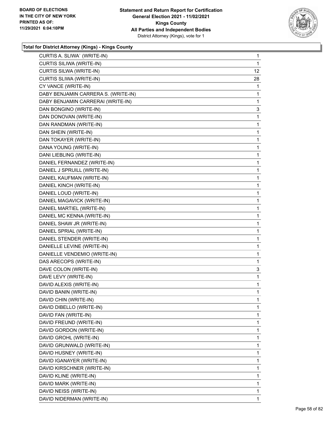

| CURTIS A. SLIWA` (WRITE-IN)         | $\mathbf{1}$ |
|-------------------------------------|--------------|
| CURTIS SILIWA (WRITE-IN)            | 1            |
| <b>CURTIS SILWA (WRITE-IN)</b>      | 12           |
| CURTIS SLIWA (WRITE-IN)             | 28           |
| CY VANCE (WRITE-IN)                 | 1            |
| DABY BENJAMIN CARRERA S. (WRITE-IN) | 1            |
| DABY BENJAMIN CARRERAI (WRITE-IN)   | 1            |
| DAN BONGINO (WRITE-IN)              | 3            |
| DAN DONOVAN (WRITE-IN)              | 1            |
| DAN RANDMAN (WRITE-IN)              | 1            |
| DAN SHEIN (WRITE-IN)                | 1            |
| DAN TOKAYER (WRITE-IN)              | 1            |
| DANA YOUNG (WRITE-IN)               | $\mathbf{1}$ |
| DANI LIEBLING (WRITE-IN)            | 1            |
| DANIEL FERNANDEZ (WRITE-IN)         | 1            |
| DANIEL J SPRUILL (WRITE-IN)         | $\mathbf{1}$ |
| DANIEL KAUFMAN (WRITE-IN)           | 1            |
| DANIEL KINCH (WRITE-IN)             | 1            |
| DANIEL LOUD (WRITE-IN)              | $\mathbf{1}$ |
| DANIEL MAGAVICK (WRITE-IN)          | 1            |
| DANIEL MARTIEL (WRITE-IN)           | 1            |
| DANIEL MC KENNA (WRITE-IN)          | 1            |
| DANIEL SHAW JR (WRITE-IN)           | 1            |
| DANIEL SPRIAL (WRITE-IN)            | 1            |
| DANIEL STENDER (WRITE-IN)           | $\mathbf{1}$ |
| DANIELLE LEVINE (WRITE-IN)          | 1            |
| DANIELLE VENDEMIO (WRITE-IN)        | 1            |
| DAS ARECOPS (WRITE-IN)              | 1            |
| DAVE COLON (WRITE-IN)               | 3            |
| DAVE LEVY (WRITE-IN)                | 1            |
| DAVID ALEXIS (WRITE-IN)             | $\mathbf{1}$ |
| DAVID BANIN (WRITE-IN)              | 1            |
| DAVID CHIN (WRITE-IN)               | 1            |
| DAVID DIBELLO (WRITE-IN)            | 1            |
| DAVID FAN (WRITE-IN)                | 1            |
| DAVID FREUND (WRITE-IN)             | 1            |
| DAVID GORDON (WRITE-IN)             | 1            |
| DAVID GROHL (WRITE-IN)              | 1            |
| DAVID GRUNWALD (WRITE-IN)           | 1            |
| DAVID HUSNEY (WRITE-IN)             | 1            |
| DAVID IGANAYER (WRITE-IN)           | 1            |
| DAVID KIRSCHNER (WRITE-IN)          | 1            |
| DAVID KLINE (WRITE-IN)              | 1            |
| DAVID MARK (WRITE-IN)               | 1            |
| DAVID NEISS (WRITE-IN)              | 1            |
| DAVID NIDERMAN (WRITE-IN)           | 1            |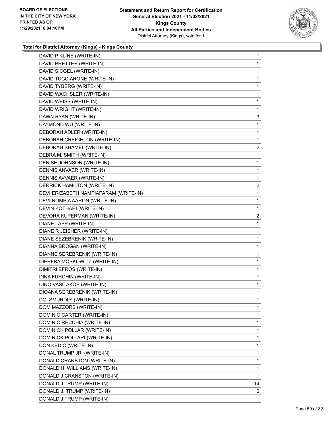

| DAVID P KLINE (WRITE-IN)              | 1              |
|---------------------------------------|----------------|
| DAVID PRETTER (WRITE-IN)              | $\mathbf 1$    |
| DAVID SICGEL (WRITE-IN)               | $\mathbf{1}$   |
| DAVID TUCCIARONE (WRITE-IN)           | $\mathbf 1$    |
| DAVID TYBERG (WRITE-IN)               | 1              |
| DAVID WACHSLER (WRITE-IN)             | 1              |
| DAVID WEISS (WRITE-IN)                | 1              |
| DAVID WRIGHT (WRITE-IN)               | 1              |
| DAWN RYAN (WRITE-IN)                  | 3              |
| DAYMOND WU (WRITE-IN)                 | 1              |
| DEBORAH ADLER (WRITE-IN)              | 1              |
| DEBORAH CREIGHTON (WRITE-IN)          | 1              |
| DEBORAH SHAMEL (WRITE-IN)             | $\overline{c}$ |
| DEBRA M. SMITH (WRITE-IN)             | 1              |
| DENISE JOHNSON (WRITE-IN)             | 1              |
| DENNIS ANVAER (WRITE-IN)              | $\mathbf 1$    |
| DENNIS AVVAER (WRITE-IN)              | 1              |
| DERRICK HAMILTON (WRITE-IN)           | 2              |
| DEVI ERIZABETH NAMPIAPARAM (WRITE-IN) | 1              |
| DEVI NOMPIA AARON (WRITE-IN)          | 1              |
| DEVIN KOTHARI (WRITE-IN)              | $\mathbf 1$    |
| DEVORA KUPERMAN (WRITE-IN)            | 2              |
| DIANE LAPP (WRITE-IN)                 | 1              |
| DIANE R JEISHER (WRITE-IN)            | 1              |
| DIANE SEZEBRENIK (WRITE-IN)           | 1              |
| DIANNA BROGAN (WRITE-IN)              | 1              |
| DIANNE SEREBRENIK (WRITE-IN)          | $\mathbf{1}$   |
| DIERFRA MOSKOWITZ (WRITE-IN)          | 1              |
| DIMITRI EFROS (WRITE-IN)              | 1              |
| DINA FURCHIN (WRITE-IN)               | 1              |
| DINO VASILAKOS (WRITE-IN)             | 1              |
| DIOANA SEREBRENIK (WRITE-IN)          | 1              |
| DO. SMURDLY (WRITE-IN)                | 1              |
| DOM MAZZORS (WRITE-IN)                | 1              |
| DOMINIC CARTER (WRITE-IN)             | 1              |
| DOMINIC RECCHIA (WRITE-IN)            | $\mathbf 1$    |
| DOMINICK POLLAR (WRITE-IN)            | 1              |
| DOMINICK POLLARI (WRITE-IN)           | 1              |
| DON KEDIC (WRITE-IN)                  | $\mathbf 1$    |
| DONAL TRUMP JR. (WRITE-IN)            | 1              |
| DONALD CRANSTON (WRITE-IN)            | 1              |
| DONALD H. WILLIAMS (WRITE-IN)         | $\mathbf 1$    |
| DONALD J CRANSTON (WRITE-IN)          | 1              |
| DONALD J TRUMP (WRITE-IN)             | 14             |
| DONALD J. TRUMP (WRITE-IN)            | 6              |
| DONALD J.TRUMP (WRITE-IN)             | 1              |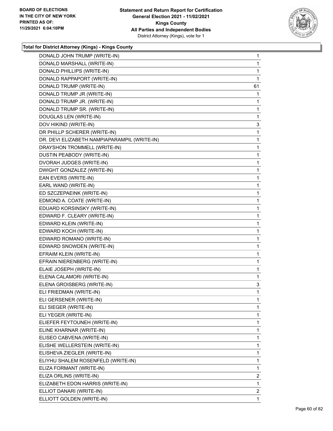

| DONALD JOHN TRUMP (WRITE-IN)                 | $\mathbf{1}$ |
|----------------------------------------------|--------------|
| DONALD MARSHALL (WRITE-IN)                   | 1            |
| DONALD PHILLIPS (WRITE-IN)                   | 1            |
| DONALD RAPPAPORT (WRITE-IN)                  | 1            |
| DONALD TRUMP (WRITE-IN)                      | 61           |
| DONALD TRUMP JR (WRITE-IN)                   | 1            |
| DONALD TRUMP JR. (WRITE-IN)                  | 1            |
| DONALD TRUMP SR. (WRITE-IN)                  | 1            |
| DOUGLAS LEN (WRITE-IN)                       | 1            |
| DOV HIKIND (WRITE-IN)                        | 3            |
| DR PHILLP SCHERER (WRITE-IN)                 | 1            |
| DR. DEVI ELIZABETH NAMPIAPARAMPIL (WRITE-IN) | 1            |
| DRAYSHON TROMMELL (WRITE-IN)                 | $\mathbf{1}$ |
| DUSTIN PEABODY (WRITE-IN)                    | 1            |
| DVORAH JUDGES (WRITE-IN)                     | 1            |
| DWIGHT GONZALEZ (WRITE-IN)                   | $\mathbf{1}$ |
| EAN EVERS (WRITE-IN)                         | 1            |
| EARL WAND (WRITE-IN)                         | 1            |
| ED SZCZEPAEINK (WRITE-IN)                    | $\mathbf{1}$ |
| EDMOND A. COATE (WRITE-IN)                   | 1            |
| EDUARD KORSINSKY (WRITE-IN)                  | 1            |
| EDWARD F. CLEARY (WRITE-IN)                  | $\mathbf{1}$ |
| EDWARD KLEIN (WRITE-IN)                      | 1            |
| EDWARD KOCH (WRITE-IN)                       | 1            |
| EDWARD ROMANO (WRITE-IN)                     | $\mathbf{1}$ |
| EDWARD SNOWDEN (WRITE-IN)                    | 1            |
| EFRAIM KLEIN (WRITE-IN)                      | 1            |
| EFRAIN NIERENBERG (WRITE-IN)                 | $\mathbf{1}$ |
| ELAIE JOSEPH (WRITE-IN)                      | 1            |
| ELENA CALAMORI (WRITE-IN)                    | 1            |
| ELENA GROISBERG (WRITE-IN)                   | 3            |
| ELI FRIEDMAN (WRITE-IN)                      | 1            |
| ELI GERSENER (WRITE-IN)                      | $\mathbf 1$  |
| ELI SIEGER (WRITE-IN)                        | 1            |
| ELI YEGER (WRITE-IN)                         | 1            |
| ELIEFER FEYTOUNEH (WRITE-IN)                 | 1            |
| ELINE KHARNAR (WRITE-IN)                     | 1            |
| ELISEO CABVENA (WRITE-IN)                    | 1            |
| ELISHE WELLERSTEIN (WRITE-IN)                | $\mathbf{1}$ |
| ELISHEVA ZIEGLER (WRITE-IN)                  | 1            |
| ELIYHU SHALEM ROSENFELD (WRITE-IN)           | 1            |
| ELIZA FORMANT (WRITE-IN)                     | 1            |
| ELIZA ORLINS (WRITE-IN)                      | 2            |
| ELIZABETH EDON HARRIS (WRITE-IN)             | 1            |
| ELLIOT DANARI (WRITE-IN)                     | $\mathbf{2}$ |
| ELLIOTT GOLDEN (WRITE-IN)                    | $\mathbf{1}$ |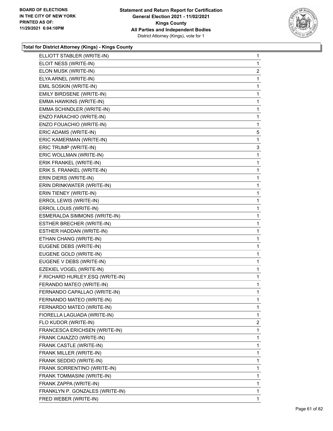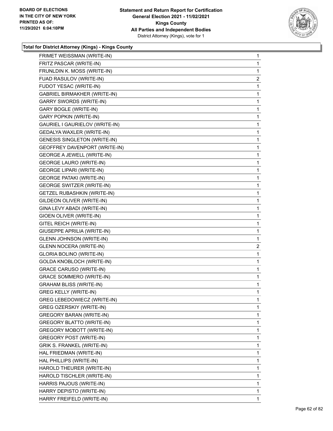

|                                     | 1              |
|-------------------------------------|----------------|
| FRITZ PASCAR (WRITE-IN)             | 1              |
| FRUNLDIN K. MOSS (WRITE-IN)         | 1              |
| FUAD RASULOV (WRITE-IN)             | $\overline{a}$ |
| FUDOT YESAC (WRITE-IN)              | 1              |
| <b>GABRIEL BIRMAKHER (WRITE-IN)</b> | 1              |
| <b>GARRY SWORDS (WRITE-IN)</b>      | 1              |
| GARY BOGLE (WRITE-IN)               | 1              |
| <b>GARY POPKIN (WRITE-IN)</b>       | 1              |
| GAURIEL I GAURIELOV (WRITE-IN)      | 1              |
| GEDALYA WAXLER (WRITE-IN)           | 1              |
| GENESIS SINGLETON (WRITE-IN)        | 1              |
| GEOFFREY DAVENPORT (WRITE-IN)       | 1              |
| <b>GEORGE A JEWELL (WRITE-IN)</b>   | 1              |
| <b>GEORGE LAURO (WRITE-IN)</b>      | 1              |
| <b>GEORGE LIPARI (WRITE-IN)</b>     | 1              |
| <b>GEORGE PATAKI (WRITE-IN)</b>     | 1              |
| <b>GEORGE SWITZER (WRITE-IN)</b>    | 1              |
| <b>GETZEL RUBASHKIN (WRITE-IN)</b>  | 1              |
| GILDEON OLIVER (WRITE-IN)           | 1              |
| GINA LEVY ABADI (WRITE-IN)          | 1              |
| GIOEN OLIVER (WRITE-IN)             | 1              |
| GITEL REICH (WRITE-IN)              | 1              |
| GIUSEPPE APRILIA (WRITE-IN)         | 1              |
| <b>GLENN JOHNSON (WRITE-IN)</b>     | 1              |
| <b>GLENN NOCERA (WRITE-IN)</b>      | $\overline{2}$ |
| GLORIA BOLINO (WRITE-IN)            | 1              |
|                                     |                |
| GOLDA KNOBLOCH (WRITE-IN)           | 1              |
| <b>GRACE CARUSO (WRITE-IN)</b>      | 1              |
| <b>GRACE SOMMERO (WRITE-IN)</b>     | 1              |
| <b>GRAHAM BLISS (WRITE-IN)</b>      | 1              |
| <b>GREG KELLY (WRITE-IN)</b>        | 1              |
| GREG LEBEDOWIECZ (WRITE-IN)         | 1              |
| <b>GREG OZERSKIY (WRITE-IN)</b>     | 1              |
| <b>GREGORY BARAN (WRITE-IN)</b>     | 1              |
| GREGORY BLATTO (WRITE-IN)           | 1              |
| <b>GREGORY MOBOTT (WRITE-IN)</b>    | 1              |
| GREGORY POST (WRITE-IN)             | 1              |
| GRIK S. FRANKEL (WRITE-IN)          | 1              |
| HAL FRIEDMAN (WRITE-IN)             | 1              |
| HAL PHILLIPS (WRITE-IN)             | 1              |
| HAROLD THEURER (WRITE-IN)           | 1              |
| HAROLD TISCHLER (WRITE-IN)          | 1              |
| HARRIS PAJOUS (WRITE-IN)            | 1              |
| HARRY DEPISTO (WRITE-IN)            | 1              |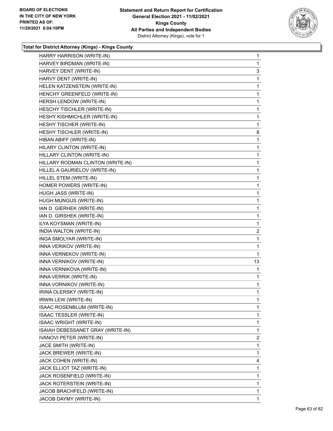

| HARRY HARRISON (WRITE-IN)         | 1              |
|-----------------------------------|----------------|
| HARVEY BIRDMAN (WRITE-IN)         | 1              |
| HARVEY DENT (WRITE-IN)            | 3              |
| HARVY DENT (WRITE-IN)             | 1              |
| HELEN KATZENSTEIN (WRITE-IN)      | 1              |
| HENCHY GREENFELD (WRITE-IN)       | 1              |
| HERSH LENDOW (WRITE-IN)           | $\mathbf{1}$   |
| HESCHY TISCHLER (WRITE-IN)        | 1              |
| HESHY KISHMICHLER (WRITE-IN)      | 1              |
| HESHY TISCHER (WRITE-IN)          | 1              |
| HESHY TISCHLER (WRITE-IN)         | 8              |
| HIBAN ABIFF (WRITE-IN)            | 1              |
| HILARY CLINTON (WRITE-IN)         | $\mathbf{1}$   |
| HILLARY CLINTON (WRITE-IN)        | 1              |
| HILLARY RODMAN CLINTON (WRITE-IN) | 1              |
| HILLEL A GAURIELOV (WRITE-IN)     | 1              |
| HILLEL STEM (WRITE-IN)            | 1              |
| HOMER POWERS (WRITE-IN)           | 1              |
| HUGH JASS (WRITE-IN)              | $\mathbf{1}$   |
| HUGH MUNGUS (WRITE-IN)            | 1              |
| IAN D. GIERHEK (WRITE-IN)         | 1              |
| IAN D. GIRSHEK (WRITE-IN)         | $\mathbf{1}$   |
| ILYA KOYSMAN (WRITE-IN)           | 1              |
| INDIA WALTON (WRITE-IN)           | $\overline{2}$ |
| INGA SMOLYAR (WRITE-IN)           | $\mathbf{1}$   |
| INNA VERIKOV (WRITE-IN)           | 1              |
| INNA VERNEKOV (WRITE-IN)          | 1              |
| INNA VERNIKOV (WRITE-IN)          | 13             |
| INNA VERNIKOVA (WRITE-IN)         | 1              |
| INNA VERRIK (WRITE-IN)            | 1              |
| INNA VORNIKOV (WRITE-IN)          | $\mathbf{1}$   |
| IRINA OLERSKY (WRITE-IN)          | 1              |
| <b>IRWIN LEW (WRITE-IN)</b>       | 1              |
| ISAAC ROSENBLUM (WRITE-IN)        | 1              |
| ISAAC TESSLER (WRITE-IN)          | 1              |
| <b>ISAAC WRIGHT (WRITE-IN)</b>    | 1              |
| ISAIAH DEBESSANET GRAY (WRITE-IN) | 1              |
| IVANOVI PETER (WRITE-IN)          | 2              |
| JACE SMITH (WRITE-IN)             | 1              |
| JACK BREWER (WRITE-IN)            | 1              |
| JACK COHEN (WRITE-IN)             | 4              |
| JACK ELLIOT TAZ (WRITE-IN)        | 1              |
| JACK ROSENFIELD (WRITE-IN)        | 1              |
| JACK ROTERSTEIN (WRITE-IN)        | 1              |
| JACOB BRACHFELD (WRITE-IN)        | 1              |
| JACOB DAYMY (WRITE-IN)            | 1              |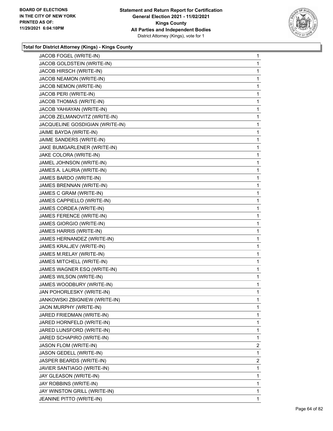

| JACOB FOGEL (WRITE-IN)          | 1              |
|---------------------------------|----------------|
| JACOB GOLDSTEIN (WRITE-IN)      | 1              |
| JACOB HIRSCH (WRITE-IN)         | 1              |
| JACOB NEAMON (WRITE-IN)         | 1              |
| JACOB NEMON (WRITE-IN)          | 1              |
| JACOB PERI (WRITE-IN)           | 1              |
| JACOB THOMAS (WRITE-IN)         | 1              |
| JACOB YAHIAYAN (WRITE-IN)       | 1              |
| JACOB ZELMANOVITZ (WRITE-IN)    | 1              |
| JACQUELINE GOSDIGIAN (WRITE-IN) | 1              |
| JAIME BAYDA (WRITE-IN)          | 1              |
| JAIME SANDERS (WRITE-IN)        | 1              |
| JAKE BUMGARLENER (WRITE-IN)     | 1              |
| JAKE COLORA (WRITE-IN)          | 1              |
| JAMEL JOHNSON (WRITE-IN)        | 1              |
| JAMES A. LAURIA (WRITE-IN)      | 1              |
| JAMES BARDO (WRITE-IN)          | 1              |
| JAMES BRENNAN (WRITE-IN)        | 1              |
| JAMES C GRAM (WRITE-IN)         | 1              |
| JAMES CAPPIELLO (WRITE-IN)      | 1              |
| JAMES CORDEA (WRITE-IN)         | 1              |
| JAMES FERENCE (WRITE-IN)        | 1              |
| JAMES GIORGIO (WRITE-IN)        | 1              |
| JAMES HARRIS (WRITE-IN)         | 1              |
| JAMES HERNANDEZ (WRITE-IN)      | 1              |
| JAMES KRALJEV (WRITE-IN)        | 1              |
| JAMES M.RELAY (WRITE-IN)        | 1              |
| JAMES MITCHELL (WRITE-IN)       | 1              |
| JAMES WAGNER ESQ (WRITE-IN)     | 1              |
| JAMES WILSON (WRITE-IN)         | 1              |
| JAMES WOODBURY (WRITE-IN)       | 1              |
| JAN POHORLESKY (WRITE-IN)       | 1              |
| JANKOWSKI ZBIGNIEW (WRITE-IN)   | 1              |
| JAON MURPHY (WRITE-IN)          | 1              |
| JARED FRIEDMAN (WRITE-IN)       | 1              |
| JARED HORNFELD (WRITE-IN)       | 1              |
| JARED LUNSFORD (WRITE-IN)       | 1              |
| JARED SCHAPIRO (WRITE-IN)       | 1              |
| JASON FLOM (WRITE-IN)           | $\overline{2}$ |
| JASON GEDELL (WRITE-IN)         | 1              |
| JASPER BEARDS (WRITE-IN)        | $\overline{2}$ |
| JAVIER SANTIAGO (WRITE-IN)      | 1              |
| JAY GLEASON (WRITE-IN)          | 1              |
| JAY ROBBINS (WRITE-IN)          | 1              |
| JAY WINSTON GRILL (WRITE-IN)    | 1              |
| JEANINE PITTO (WRITE-IN)        | 1.             |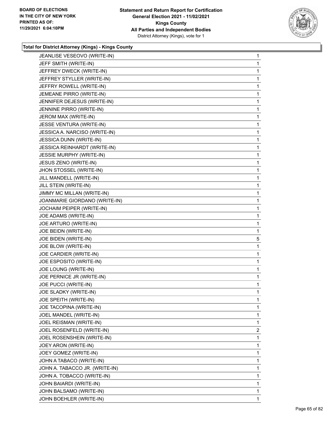

| JEANLISE VESEOVO (WRITE-IN)     | 1              |
|---------------------------------|----------------|
| JEFF SMITH (WRITE-IN)           | 1              |
| JEFFREY DWECK (WRITE-IN)        | 1              |
| JEFFREY STYLLER (WRITE-IN)      | 1              |
| JEFFRY ROWELL (WRITE-IN)        | 1              |
| JEMEANE PIRRO (WRITE-IN)        | 1              |
| JENNIFER DEJESUS (WRITE-IN)     | 1              |
| JENNINE PIRRO (WRITE-IN)        | 1              |
| JEROM MAX (WRITE-IN)            | 1              |
| JESSE VENTURA (WRITE-IN)        | 1              |
| JESSICA A. NARCISO (WRITE-IN)   | 1              |
| JESSICA DUNN (WRITE-IN)         | 1              |
| JESSICA REINHARDT (WRITE-IN)    | 1              |
| <b>JESSIE MURPHY (WRITE-IN)</b> | 1              |
| JESUS ZENO (WRITE-IN)           | 1              |
| JHON STOSSEL (WRITE-IN)         | 1              |
| JILL MANDELL (WRITE-IN)         | 1              |
| JILL STEIN (WRITE-IN)           | 1              |
| JIMMY MC MILLAN (WRITE-IN)      | 1              |
| JOANMARIE GIORDANO (WRITE-IN)   | 1              |
| JOCHAIM PEIPER (WRITE-IN)       | 1              |
| JOE ADAMS (WRITE-IN)            | 1              |
| JOE ARTURO (WRITE-IN)           | 1              |
|                                 |                |
| JOE BEIDN (WRITE-IN)            | 1              |
| JOE BIDEN (WRITE-IN)            | 5              |
| JOE BLOW (WRITE-IN)             | 1              |
| JOE CARDIER (WRITE-IN)          | 1              |
| JOE ESPOSITO (WRITE-IN)         | 1              |
| JOE LOUNG (WRITE-IN)            | 1              |
| JOE PERNICE JR (WRITE-IN)       | 1              |
| JOE PUCCI (WRITE-IN)            | 1              |
| JOE SLADKY (WRITE-IN)           | 1              |
| JOE SPEITH (WRITE-IN)           | 1              |
| JOE TACOPINA (WRITE-IN)         | 1              |
| JOEL MANDEL (WRITE-IN)          | 1              |
| JOEL REISMAN (WRITE-IN)         | 1              |
| JOEL ROSENFELD (WRITE-IN)       | $\overline{2}$ |
| JOEL ROSENSHEIN (WRITE-IN)      | 1              |
| JOEY ARON (WRITE-IN)            | 1              |
| JOEY GOMEZ (WRITE-IN)           | 1              |
| JOHN A TABACO (WRITE-IN)        | 1              |
| JOHN A. TABACCO JR. (WRITE-IN)  | 1              |
| JOHN A. TOBACCO (WRITE-IN)      | 1              |
| JOHN BAIARDI (WRITE-IN)         | 1              |
| JOHN BALSAMO (WRITE-IN)         | 1              |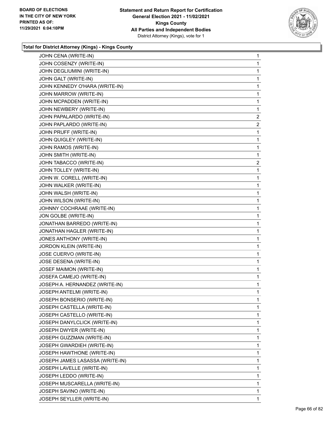

| JOHN CENA (WRITE-IN)            | 1              |
|---------------------------------|----------------|
| JOHN COSENZY (WRITE-IN)         | 1              |
| JOHN DEGLIUMINI (WRITE-IN)      | 1              |
| JOHN GALT (WRITE-IN)            | 1              |
| JOHN KENNEDY O'HARA (WRITE-IN)  | 1              |
| JOHN MARROW (WRITE-IN)          | 1              |
| JOHN MCPADDEN (WRITE-IN)        | 1              |
| JOHN NEWBERY (WRITE-IN)         | 1              |
| JOHN PAPALARDO (WRITE-IN)       | $\overline{c}$ |
| JOHN PAPLARDO (WRITE-IN)        | $\overline{2}$ |
| JOHN PRUFF (WRITE-IN)           | 1              |
| JOHN QUIGLEY (WRITE-IN)         | 1              |
| JOHN RAMOS (WRITE-IN)           | 1              |
| JOHN SMITH (WRITE-IN)           | 1              |
| JOHN TABACCO (WRITE-IN)         | $\overline{c}$ |
| JOHN TOLLEY (WRITE-IN)          | 1              |
| JOHN W. CORELL (WRITE-IN)       | 1              |
| JOHN WALKER (WRITE-IN)          | 1              |
| JOHN WALSH (WRITE-IN)           | 1              |
| JOHN WILSON (WRITE-IN)          | 1              |
| JOHNNY COCHRAAE (WRITE-IN)      | 1              |
| JON GOLBE (WRITE-IN)            | 1              |
| JONATHAN BARREDO (WRITE-IN)     | 1              |
| JONATHAN HAGLER (WRITE-IN)      | 1              |
| JONES ANTHONY (WRITE-IN)        | 1              |
| JORDON KLEIN (WRITE-IN)         | 1              |
| JOSE CUERVO (WRITE-IN)          | 1              |
| JOSE DESENA (WRITE-IN)          | 1              |
| JOSEF MAIMON (WRITE-IN)         | 1              |
| JOSEFA CAMEJO (WRITE-IN)        | 1              |
| JOSEPH A. HERNANDEZ (WRITE-IN)  | 1              |
| JOSEPH ANTELMI (WRITE-IN)       | 1              |
| JOSEPH BONSERIO (WRITE-IN)      | 1              |
| JOSEPH CASTELLA (WRITE-IN)      | 1              |
| JOSEPH CASTELLO (WRITE-IN)      | 1              |
| JOSEPH DANYLCLICK (WRITE-IN)    | 1              |
| JOSEPH DWYER (WRITE-IN)         | 1              |
| JOSEPH GUZZMAN (WRITE-IN)       | 1              |
| JOSEPH GWARDIEH (WRITE-IN)      | 1              |
| JOSEPH HAWTHONE (WRITE-IN)      | 1              |
| JOSEPH JAMES LASASSA (WRITE-IN) | 1              |
| JOSEPH LAVELLE (WRITE-IN)       | 1              |
| JOSEPH LEDDO (WRITE-IN)         | 1              |
| JOSEPH MUSCARELLA (WRITE-IN)    | 1              |
| JOSEPH SAVINO (WRITE-IN)        | 1              |
| JOSEPH SEYLLER (WRITE-IN)       | 1              |
|                                 |                |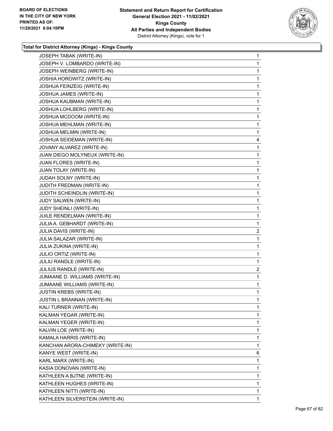

| JOSEPH TABAK (WRITE-IN)           | $\mathbf{1}$   |
|-----------------------------------|----------------|
| JOSEPH V. LOMBARDO (WRITE-IN)     | 1              |
| JOSEPH WEINBERG (WRITE-IN)        | 1              |
| <b>JOSHIA HOROWITZ (WRITE-IN)</b> | 1              |
| JOSHUA FEINZEIG (WRITE-IN)        | 1              |
| JOSHUA JAMES (WRITE-IN)           | 1              |
| JOSHUA KAUBMAN (WRITE-IN)         | 1              |
| JOSHUA LOHLBERG (WRITE-IN)        | 1              |
| JOSHUA MCDOOM (WRITE-IN)          | 1              |
| JOSHUA MEHLMAN (WRITE-IN)         | 1              |
| JOSHUA MELMIN (WRITE-IN)          | 1              |
| JOSHUA SEIDEMAN (WRITE-IN)        | 4              |
| JOVANY ALVAREZ (WRITE-IN)         | 1              |
| JUAN DIEGO MOLYNEUX (WRITE-IN)    | 1              |
| JUAN FLORES (WRITE-IN)            | 1              |
| JUAN TOLAY (WRITE-IN)             | 1              |
| JUDAH SOLNY (WRITE-IN)            | 1              |
| JUDITH FREDMAN (WRITE-IN)         | 1              |
| JUDITH SCHEINDLIN (WRITE-IN)      | 1              |
| JUDY SALWEN (WRITE-IN)            | 1              |
| JUDY SHEINLI (WRITE-IN)           | 1              |
| JUILE RENDELMAN (WRITE-IN)        | 1              |
| JULIA A. GEBHARDT (WRITE-IN)      | 1              |
| JULIA DAVIS (WRITE-IN)            | 2              |
| JULIA SALAZAR (WRITE-IN)          | 1              |
| JULIA ZUKINA (WRITE-IN)           | 1              |
| <b>JULIO ORTIZ (WRITE-IN)</b>     | 1              |
| JULIU RANDLE (WRITE-IN)           | 1              |
| JULIUS RANDLE (WRITE-IN)          | $\overline{2}$ |
| JUMAANE D. WILLIAMS (WRITE-IN)    | 1              |
| JUMAANE WILLIAMS (WRITE-IN)       | 1              |
| <b>JUSTIN KREBS (WRITE-IN)</b>    | 1              |
| JUSTIN L BRANNAN (WRITE-IN)       | 1              |
| KALI TURNER (WRITE-IN)            | 1              |
| KALMAN YEGAR (WRITE-IN)           | 1              |
| KALMAN YEGER (WRITE-IN)           | 1              |
| KALVIN LOE (WRITE-IN)             | 1              |
| KAMALA HARRIS (WRITE-IN)          | 1              |
| KANCHAN ARORA-CHIMEKY (WRITE-IN)  | 1              |
| KANYE WEST (WRITE-IN)             | 6              |
| KARL MARX (WRITE-IN)              | 1              |
| KASIA DONOVAN (WRITE-IN)          | 1              |
| KATHLEEN A BJTNE (WRITE-IN)       | 1              |
| KATHLEEN HUGHES (WRITE-IN)        | 1              |
| KATHLEEN NITTI (WRITE-IN)         | 1              |
| KATHLEEN SILVERSTEIN (WRITE-IN)   | 1              |
|                                   |                |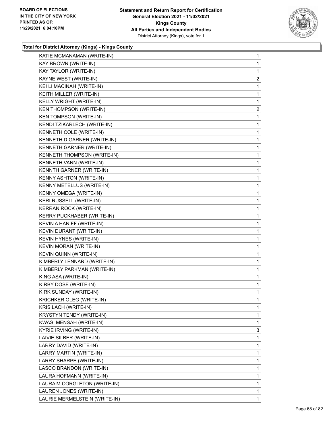

| KATIE MCMANAMAN (WRITE-IN)     | 1              |
|--------------------------------|----------------|
| KAY BROWN (WRITE-IN)           | 1              |
| KAY TAYLOR (WRITE-IN)          | 1              |
| KAYNE WEST (WRITE-IN)          | $\overline{a}$ |
| KEI LI MACINAH (WRITE-IN)      | 1              |
| KEITH MILLER (WRITE-IN)        | 1              |
| KELLY WRIGHT (WRITE-IN)        | 1              |
| <b>KEN THOMPSON (WRITE-IN)</b> | $\overline{2}$ |
| <b>KEN TOMPSON (WRITE-IN)</b>  | 1              |
| KENDI TZIKARLECH (WRITE-IN)    | 1              |
| KENNETH COLE (WRITE-IN)        | 1              |
| KENNETH D GARNER (WRITE-IN)    | 1              |
| KENNETH GARNER (WRITE-IN)      | 1              |
| KENNETH THOMPSON (WRITE-IN)    | 1              |
| KENNETH VANN (WRITE-IN)        | 1              |
| KENNTH GARNER (WRITE-IN)       | 1              |
| KENNY ASHTON (WRITE-IN)        | 1              |
| KENNY METELLUS (WRITE-IN)      | 1              |
| KENNY OMEGA (WRITE-IN)         | 1              |
| KERI RUSSELL (WRITE-IN)        | 1              |
| KERRAN ROCK (WRITE-IN)         | 1              |
| KERRY PUCKHABER (WRITE-IN)     | 1              |
| KEVIN A HANIFF (WRITE-IN)      | 1              |
| KEVIN DURANT (WRITE-IN)        | 1              |
| KEVIN HYNES (WRITE-IN)         | 1              |
| KEVIN MORAN (WRITE-IN)         | 1              |
| KEVIN QUINN (WRITE-IN)         | 1              |
| KIMBERLY LENNARD (WRITE-IN)    | 1              |
| KIMBERLY PARKMAN (WRITE-IN)    | $\mathbf{1}$   |
| KING ASA (WRITE-IN)            | 1              |
| KIRBY DOSE (WRITE-IN)          | 1              |
| KIRK SUNDAY (WRITE-IN)         | 1              |
| KRICHKER OLEG (WRITE-IN)       | 1              |
| KRIS LACH (WRITE-IN)           | 1              |
| KRYSTYN TENDY (WRITE-IN)       | 1              |
| KWASI MENSAH (WRITE-IN)        | 1              |
| <b>KYRIE IRVING (WRITE-IN)</b> | 3              |
| LAIVIE SILBER (WRITE-IN)       | 1              |
| LARRY DAVID (WRITE-IN)         | 1              |
| LARRY MARTIN (WRITE-IN)        | 1              |
| LARRY SHARPE (WRITE-IN)        | 1              |
| LASCO BRANDON (WRITE-IN)       | 1              |
| LAURA HOFMANN (WRITE-IN)       | 1              |
| LAURA M CORGLETON (WRITE-IN)   | 1              |
| LAUREN JONES (WRITE-IN)        | 1              |
| LAURIE MERMELSTEIN (WRITE-IN)  | 1              |
|                                |                |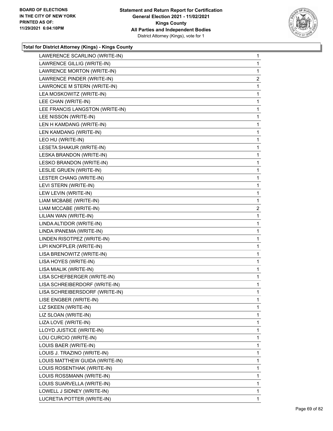

| LAWERENCE SCARLINO (WRITE-IN)   | $\mathbf{1}$   |
|---------------------------------|----------------|
| LAWRENCE GILLIG (WRITE-IN)      | 1              |
| LAWRENCE MORTON (WRITE-IN)      | 1              |
| LAWRENCE PINDER (WRITE-IN)      | $\overline{a}$ |
| LAWRONCE M STERN (WRITE-IN)     | 1              |
| LEA MOSKOWITZ (WRITE-IN)        | 1              |
| LEE CHAN (WRITE-IN)             | 1              |
| LEE FRANCIS LANGSTON (WRITE-IN) | 1              |
| LEE NISSON (WRITE-IN)           | 1              |
| LEN H KAMDANG (WRITE-IN)        | 1              |
| LEN KAMDANG (WRITE-IN)          | 1              |
| LEO HU (WRITE-IN)               | 1              |
| LESETA SHAKUR (WRITE-IN)        | 1              |
| LESKA BRANDON (WRITE-IN)        | 1              |
| LESKO BRANDON (WRITE-IN)        | 1              |
| LESLIE GRUEN (WRITE-IN)         | 1              |
| LESTER CHANG (WRITE-IN)         | 1              |
| LEVI STERN (WRITE-IN)           | 1              |
| LEW LEVIN (WRITE-IN)            | 1              |
| LIAM MCBABE (WRITE-IN)          | $\mathbf 1$    |
| LIAM MCCABE (WRITE-IN)          | $\overline{a}$ |
| LILIAN WAN (WRITE-IN)           | 1              |
| LINDA ALTIDOR (WRITE-IN)        | 1              |
| LINDA IPANEMA (WRITE-IN)        | 1              |
| LINDEN RISOTPEZ (WRITE-IN)      | 1              |
| LIPI KNOFPLER (WRITE-IN)        | 1              |
| LISA BRENOWITZ (WRITE-IN)       | 1              |
| LISA HOYES (WRITE-IN)           | 1              |
| LISA MIALIK (WRITE-IN)          | 1              |
| LISA SCHEFBERGER (WRITE-IN)     | 1              |
| LISA SCHREIBERDORF (WRITE-IN)   | 1              |
| LISA SCHREIBERSDORF (WRITE-IN)  | 1              |
| LISE ENGBER (WRITE-IN)          | 1              |
| LIZ SKEEN (WRITE-IN)            | 1              |
| LIZ SLOAN (WRITE-IN)            | 1              |
| LIZA LOVE (WRITE-IN)            | 1              |
| LLOYD JUSTICE (WRITE-IN)        | 1              |
| LOU CURCIO (WRITE-IN)           | 1              |
| LOUIS BAER (WRITE-IN)           | 1              |
| LOUIS J. TRAZINO (WRITE-IN)     | 1              |
| LOUIS MATTHEW GUIDA (WRITE-IN)  | 1              |
| LOUIS ROSENTHAK (WRITE-IN)      | 1              |
| LOUIS ROSSMANN (WRITE-IN)       | 1              |
| LOUIS SUARVELLA (WRITE-IN)      | 1              |
| LOWELL J SIDNEY (WRITE-IN)      | 1              |
| LUCRETIA POTTER (WRITE-IN)      | 1              |
|                                 |                |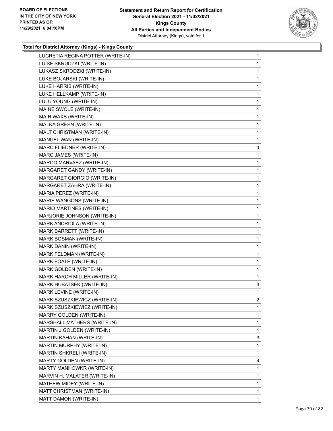

| LUISE SKRUDZKI (WRITE-IN)<br>1<br>LUKASZ SKRODZKI (WRITE-IN)<br>1<br>LUKE BOJARSKI (WRITE-IN)<br>1<br>LUKE HARRIS (WRITE-IN)<br>1<br>LUKE HELLKAMP (WRITE-IN)<br>1<br>LULU YOUNG (WRITE-IN)<br>1<br>MAINE SWOLE (WRITE-IN)<br>1<br>MAIR WAXS (WRITE-IN)<br>1<br>MALKA GREEN (WRITE-IN)<br>1<br>MALT CHRISTMAN (WRITE-IN)<br>1<br>MANUEL WAN (WRITE-IN)<br>1<br>MARC FLIEDNER (WRITE-IN)<br>4<br>MARC JAMES (WRITE-IN)<br>1<br>MARCO MARVAEZ (WRITE-IN)<br>1<br>MARGARET GANDY (WRITE-IN)<br>1<br>MARGARET GIORGIO (WRITE-IN)<br>1<br>MARGARET ZAHRA (WRITE-IN)<br>1<br>MARIA PEREZ (WRITE-IN)<br>1<br>MARIE WANGONS (WRITE-IN)<br>1<br>MARIO MARTINES (WRITE-IN)<br>1<br>MARJORIE JOHNSON (WRITE-IN)<br>1<br>MARK ANDRIOLA (WRITE-IN)<br>1<br>MARK BARRETT (WRITE-IN)<br>1<br>MARK BOSMAN (WRITE-IN)<br>1<br>MARK DANIN (WRITE-IN)<br>1<br>MARK FELDMAN (WRITE-IN)<br>1<br>MARK FOATE (WRITE-IN)<br>1<br>MARK GOLDEN (WRITE-IN)<br>1<br>MARK HARCH MILLER (WRITE-IN)<br>1<br>MARK HUBATSEK (WRITE-IN)<br>3<br>MARK LEVINE (WRITE-IN)<br>1<br>MARK SZUSZKIEWICZ (WRITE-IN)<br>$\overline{2}$<br>MARK SZUSZKIEWIEZ (WRITE-IN)<br>1<br>MARRY GOLDEN (WRITE-IN)<br>1<br>MARSHALL MATHERS (WRITE-IN)<br>1<br>MARTIN J GOLDEN (WRITE-IN)<br>1<br>MARTIN KAHAN (WRITE-IN)<br>3<br>MARTIN MURPHY (WRITE-IN)<br>1<br>MARTIN SHKRELI (WRITE-IN)<br>1<br>MARTY GOLDEN (WRITE-IN)<br>4<br>MARTY MANHOWKR (WRITE-IN)<br>1<br>MARVIN H. MALATER (WRITE-IN)<br>1<br>MATHEW MIDEY (WRITE-IN)<br>1<br>MATT CHRISTMAN (WRITE-IN)<br>1 |                                   |              |
|---------------------------------------------------------------------------------------------------------------------------------------------------------------------------------------------------------------------------------------------------------------------------------------------------------------------------------------------------------------------------------------------------------------------------------------------------------------------------------------------------------------------------------------------------------------------------------------------------------------------------------------------------------------------------------------------------------------------------------------------------------------------------------------------------------------------------------------------------------------------------------------------------------------------------------------------------------------------------------------------------------------------------------------------------------------------------------------------------------------------------------------------------------------------------------------------------------------------------------------------------------------------------------------------------------------------------------------------------------------------------------------------------------------------------------------------------------------------------------------------------------------------|-----------------------------------|--------------|
|                                                                                                                                                                                                                                                                                                                                                                                                                                                                                                                                                                                                                                                                                                                                                                                                                                                                                                                                                                                                                                                                                                                                                                                                                                                                                                                                                                                                                                                                                                                     | LUCRETIA REGINA POTTER (WRITE-IN) | $\mathbf{1}$ |
|                                                                                                                                                                                                                                                                                                                                                                                                                                                                                                                                                                                                                                                                                                                                                                                                                                                                                                                                                                                                                                                                                                                                                                                                                                                                                                                                                                                                                                                                                                                     |                                   |              |
|                                                                                                                                                                                                                                                                                                                                                                                                                                                                                                                                                                                                                                                                                                                                                                                                                                                                                                                                                                                                                                                                                                                                                                                                                                                                                                                                                                                                                                                                                                                     |                                   |              |
|                                                                                                                                                                                                                                                                                                                                                                                                                                                                                                                                                                                                                                                                                                                                                                                                                                                                                                                                                                                                                                                                                                                                                                                                                                                                                                                                                                                                                                                                                                                     |                                   |              |
|                                                                                                                                                                                                                                                                                                                                                                                                                                                                                                                                                                                                                                                                                                                                                                                                                                                                                                                                                                                                                                                                                                                                                                                                                                                                                                                                                                                                                                                                                                                     |                                   |              |
|                                                                                                                                                                                                                                                                                                                                                                                                                                                                                                                                                                                                                                                                                                                                                                                                                                                                                                                                                                                                                                                                                                                                                                                                                                                                                                                                                                                                                                                                                                                     |                                   |              |
|                                                                                                                                                                                                                                                                                                                                                                                                                                                                                                                                                                                                                                                                                                                                                                                                                                                                                                                                                                                                                                                                                                                                                                                                                                                                                                                                                                                                                                                                                                                     |                                   |              |
|                                                                                                                                                                                                                                                                                                                                                                                                                                                                                                                                                                                                                                                                                                                                                                                                                                                                                                                                                                                                                                                                                                                                                                                                                                                                                                                                                                                                                                                                                                                     |                                   |              |
|                                                                                                                                                                                                                                                                                                                                                                                                                                                                                                                                                                                                                                                                                                                                                                                                                                                                                                                                                                                                                                                                                                                                                                                                                                                                                                                                                                                                                                                                                                                     |                                   |              |
|                                                                                                                                                                                                                                                                                                                                                                                                                                                                                                                                                                                                                                                                                                                                                                                                                                                                                                                                                                                                                                                                                                                                                                                                                                                                                                                                                                                                                                                                                                                     |                                   |              |
|                                                                                                                                                                                                                                                                                                                                                                                                                                                                                                                                                                                                                                                                                                                                                                                                                                                                                                                                                                                                                                                                                                                                                                                                                                                                                                                                                                                                                                                                                                                     |                                   |              |
|                                                                                                                                                                                                                                                                                                                                                                                                                                                                                                                                                                                                                                                                                                                                                                                                                                                                                                                                                                                                                                                                                                                                                                                                                                                                                                                                                                                                                                                                                                                     |                                   |              |
|                                                                                                                                                                                                                                                                                                                                                                                                                                                                                                                                                                                                                                                                                                                                                                                                                                                                                                                                                                                                                                                                                                                                                                                                                                                                                                                                                                                                                                                                                                                     |                                   |              |
|                                                                                                                                                                                                                                                                                                                                                                                                                                                                                                                                                                                                                                                                                                                                                                                                                                                                                                                                                                                                                                                                                                                                                                                                                                                                                                                                                                                                                                                                                                                     |                                   |              |
|                                                                                                                                                                                                                                                                                                                                                                                                                                                                                                                                                                                                                                                                                                                                                                                                                                                                                                                                                                                                                                                                                                                                                                                                                                                                                                                                                                                                                                                                                                                     |                                   |              |
|                                                                                                                                                                                                                                                                                                                                                                                                                                                                                                                                                                                                                                                                                                                                                                                                                                                                                                                                                                                                                                                                                                                                                                                                                                                                                                                                                                                                                                                                                                                     |                                   |              |
|                                                                                                                                                                                                                                                                                                                                                                                                                                                                                                                                                                                                                                                                                                                                                                                                                                                                                                                                                                                                                                                                                                                                                                                                                                                                                                                                                                                                                                                                                                                     |                                   |              |
|                                                                                                                                                                                                                                                                                                                                                                                                                                                                                                                                                                                                                                                                                                                                                                                                                                                                                                                                                                                                                                                                                                                                                                                                                                                                                                                                                                                                                                                                                                                     |                                   |              |
|                                                                                                                                                                                                                                                                                                                                                                                                                                                                                                                                                                                                                                                                                                                                                                                                                                                                                                                                                                                                                                                                                                                                                                                                                                                                                                                                                                                                                                                                                                                     |                                   |              |
|                                                                                                                                                                                                                                                                                                                                                                                                                                                                                                                                                                                                                                                                                                                                                                                                                                                                                                                                                                                                                                                                                                                                                                                                                                                                                                                                                                                                                                                                                                                     |                                   |              |
|                                                                                                                                                                                                                                                                                                                                                                                                                                                                                                                                                                                                                                                                                                                                                                                                                                                                                                                                                                                                                                                                                                                                                                                                                                                                                                                                                                                                                                                                                                                     |                                   |              |
|                                                                                                                                                                                                                                                                                                                                                                                                                                                                                                                                                                                                                                                                                                                                                                                                                                                                                                                                                                                                                                                                                                                                                                                                                                                                                                                                                                                                                                                                                                                     |                                   |              |
|                                                                                                                                                                                                                                                                                                                                                                                                                                                                                                                                                                                                                                                                                                                                                                                                                                                                                                                                                                                                                                                                                                                                                                                                                                                                                                                                                                                                                                                                                                                     |                                   |              |
|                                                                                                                                                                                                                                                                                                                                                                                                                                                                                                                                                                                                                                                                                                                                                                                                                                                                                                                                                                                                                                                                                                                                                                                                                                                                                                                                                                                                                                                                                                                     |                                   |              |
|                                                                                                                                                                                                                                                                                                                                                                                                                                                                                                                                                                                                                                                                                                                                                                                                                                                                                                                                                                                                                                                                                                                                                                                                                                                                                                                                                                                                                                                                                                                     |                                   |              |
|                                                                                                                                                                                                                                                                                                                                                                                                                                                                                                                                                                                                                                                                                                                                                                                                                                                                                                                                                                                                                                                                                                                                                                                                                                                                                                                                                                                                                                                                                                                     |                                   |              |
|                                                                                                                                                                                                                                                                                                                                                                                                                                                                                                                                                                                                                                                                                                                                                                                                                                                                                                                                                                                                                                                                                                                                                                                                                                                                                                                                                                                                                                                                                                                     |                                   |              |
|                                                                                                                                                                                                                                                                                                                                                                                                                                                                                                                                                                                                                                                                                                                                                                                                                                                                                                                                                                                                                                                                                                                                                                                                                                                                                                                                                                                                                                                                                                                     |                                   |              |
|                                                                                                                                                                                                                                                                                                                                                                                                                                                                                                                                                                                                                                                                                                                                                                                                                                                                                                                                                                                                                                                                                                                                                                                                                                                                                                                                                                                                                                                                                                                     |                                   |              |
|                                                                                                                                                                                                                                                                                                                                                                                                                                                                                                                                                                                                                                                                                                                                                                                                                                                                                                                                                                                                                                                                                                                                                                                                                                                                                                                                                                                                                                                                                                                     |                                   |              |
|                                                                                                                                                                                                                                                                                                                                                                                                                                                                                                                                                                                                                                                                                                                                                                                                                                                                                                                                                                                                                                                                                                                                                                                                                                                                                                                                                                                                                                                                                                                     |                                   |              |
|                                                                                                                                                                                                                                                                                                                                                                                                                                                                                                                                                                                                                                                                                                                                                                                                                                                                                                                                                                                                                                                                                                                                                                                                                                                                                                                                                                                                                                                                                                                     |                                   |              |
|                                                                                                                                                                                                                                                                                                                                                                                                                                                                                                                                                                                                                                                                                                                                                                                                                                                                                                                                                                                                                                                                                                                                                                                                                                                                                                                                                                                                                                                                                                                     |                                   |              |
|                                                                                                                                                                                                                                                                                                                                                                                                                                                                                                                                                                                                                                                                                                                                                                                                                                                                                                                                                                                                                                                                                                                                                                                                                                                                                                                                                                                                                                                                                                                     |                                   |              |
|                                                                                                                                                                                                                                                                                                                                                                                                                                                                                                                                                                                                                                                                                                                                                                                                                                                                                                                                                                                                                                                                                                                                                                                                                                                                                                                                                                                                                                                                                                                     |                                   |              |
|                                                                                                                                                                                                                                                                                                                                                                                                                                                                                                                                                                                                                                                                                                                                                                                                                                                                                                                                                                                                                                                                                                                                                                                                                                                                                                                                                                                                                                                                                                                     |                                   |              |
|                                                                                                                                                                                                                                                                                                                                                                                                                                                                                                                                                                                                                                                                                                                                                                                                                                                                                                                                                                                                                                                                                                                                                                                                                                                                                                                                                                                                                                                                                                                     |                                   |              |
|                                                                                                                                                                                                                                                                                                                                                                                                                                                                                                                                                                                                                                                                                                                                                                                                                                                                                                                                                                                                                                                                                                                                                                                                                                                                                                                                                                                                                                                                                                                     |                                   |              |
|                                                                                                                                                                                                                                                                                                                                                                                                                                                                                                                                                                                                                                                                                                                                                                                                                                                                                                                                                                                                                                                                                                                                                                                                                                                                                                                                                                                                                                                                                                                     |                                   |              |
|                                                                                                                                                                                                                                                                                                                                                                                                                                                                                                                                                                                                                                                                                                                                                                                                                                                                                                                                                                                                                                                                                                                                                                                                                                                                                                                                                                                                                                                                                                                     |                                   |              |
|                                                                                                                                                                                                                                                                                                                                                                                                                                                                                                                                                                                                                                                                                                                                                                                                                                                                                                                                                                                                                                                                                                                                                                                                                                                                                                                                                                                                                                                                                                                     |                                   |              |
|                                                                                                                                                                                                                                                                                                                                                                                                                                                                                                                                                                                                                                                                                                                                                                                                                                                                                                                                                                                                                                                                                                                                                                                                                                                                                                                                                                                                                                                                                                                     |                                   |              |
|                                                                                                                                                                                                                                                                                                                                                                                                                                                                                                                                                                                                                                                                                                                                                                                                                                                                                                                                                                                                                                                                                                                                                                                                                                                                                                                                                                                                                                                                                                                     |                                   |              |
|                                                                                                                                                                                                                                                                                                                                                                                                                                                                                                                                                                                                                                                                                                                                                                                                                                                                                                                                                                                                                                                                                                                                                                                                                                                                                                                                                                                                                                                                                                                     |                                   |              |
|                                                                                                                                                                                                                                                                                                                                                                                                                                                                                                                                                                                                                                                                                                                                                                                                                                                                                                                                                                                                                                                                                                                                                                                                                                                                                                                                                                                                                                                                                                                     |                                   |              |
|                                                                                                                                                                                                                                                                                                                                                                                                                                                                                                                                                                                                                                                                                                                                                                                                                                                                                                                                                                                                                                                                                                                                                                                                                                                                                                                                                                                                                                                                                                                     | MATT DAMON (WRITE-IN)             | 1            |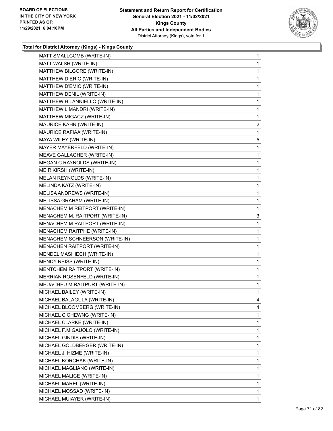

| MATT SMALLCOMB (WRITE-IN)       | 1              |
|---------------------------------|----------------|
| MATT WALSH (WRITE-IN)           | 1              |
| MATTHEW BILGORE (WRITE-IN)      | 1              |
| MATTHEW D ERIC (WRITE-IN)       | 1              |
| MATTHEW D'EMIC (WRITE-IN)       | 1              |
| MATTHEW DENIL (WRITE-IN)        | 1              |
| MATTHEW H LANNIELLO (WRITE-IN)  | 1              |
| MATTHEW LIMANDRI (WRITE-IN)     | 1              |
| MATTHEW MIGACZ (WRITE-IN)       | 1              |
| MAURICE KAHN (WRITE-IN)         | $\overline{a}$ |
| MAURICE RAFIAA (WRITE-IN)       | 1              |
| MAYA WILEY (WRITE-IN)           | 5              |
| MAYER MAYERFELD (WRITE-IN)      | 1              |
| MEAVE GALLAGHER (WRITE-IN)      | 1              |
| MEGAN C RAYNOLDS (WRITE-IN)     | 1              |
| MEIR KIRSH (WRITE-IN)           | 1              |
| MELAN REYNOLDS (WRITE-IN)       | 1              |
| MELINDA KATZ (WRITE-IN)         | 1              |
| MELISA ANDREWS (WRITE-IN)       | 1              |
| MELISSA GRAHAM (WRITE-IN)       | 1              |
| MENACHEM M REITPORT (WRITE-IN)  | 1              |
| MENACHEM M. RAITPORT (WRITE-IN) | 3              |
| MENACHEM M.RAITPORT (WRITE-IN)  | 1              |
| MENACHEM RAITPHE (WRITE-IN)     | 1              |
| MENACHEM SCHNEERSON (WRITE-IN)  | 1              |
| MENACHEN RAITPORT (WRITE-IN)    | 1              |
| MENDEL MASHIECH (WRITE-IN)      | 1              |
| MENDY REISS (WRITE-IN)          | 1              |
| MENTCHEM RAITPORT (WRITE-IN)    | $\mathbf{1}$   |
| MERRIAN ROSENFELD (WRITE-IN)    | 1              |
| MEUACHEU M RAITPURT (WRITE-IN)  | 1              |
| MICHAEL BAILEY (WRITE-IN)       | 1              |
| MICHAEL BALAGULA (WRITE-IN)     | 4              |
| MICHAEL BLOOMBERG (WRITE-IN)    | 4              |
| MICHAEL C.CHEWNG (WRITE-IN)     | 1              |
| MICHAEL CLARKE (WRITE-IN)       | 1              |
| MICHAEL F.MIGAUOLO (WRITE-IN)   | 1              |
| MICHAEL GINDIS (WRITE-IN)       | 1              |
| MICHAEL GOLDBERGER (WRITE-IN)   | 1              |
| MICHAEL J. HIZME (WRITE-IN)     | 1              |
| MICHAEL KORCHAK (WRITE-IN)      | 1              |
| MICHAEL MAGLIANO (WRITE-IN)     | 1              |
| MICHAEL MALICE (WRITE-IN)       | 1              |
| MICHAEL MAREL (WRITE-IN)        | 1              |
| MICHAEL MOSSAD (WRITE-IN)       | 1              |
| MICHAEL MUIAYER (WRITE-IN)      | 1              |
|                                 |                |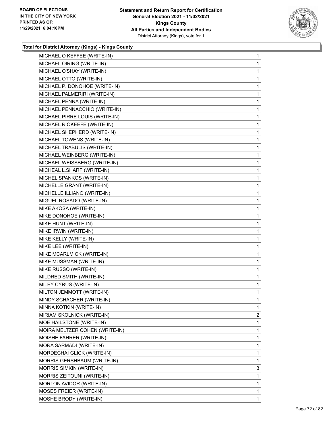

| MICHAEL OIRING (WRITE-IN)<br>MICHAEL O'SHAY (WRITE-IN)<br>MICHAEL OTTO (WRITE-IN)<br>MICHAEL P. DONOHOE (WRITE-IN)<br>MICHAEL PALMERIRI (WRITE-IN)<br>MICHAEL PENNA (WRITE-IN)<br>MICHAEL PENNACCHIO (WRITE-IN)<br>MICHAEL PIRRE LOUIS (WRITE-IN)<br>MICHAEL R OKEEFE (WRITE-IN)<br>MICHAEL SHEPHERD (WRITE-IN)<br>MICHAEL TOWENS (WRITE-IN)<br>MICHAEL TRABULIS (WRITE-IN)<br>MICHAEL WEINBERG (WRITE-IN)<br>MICHAEL WEISSBERG (WRITE-IN)<br>MICHEAL L.SHARF (WRITE-IN)<br>MICHEL SPANKOS (WRITE-IN)<br>MICHELLE GRANT (WRITE-IN)<br>MICHELLE ILLIANO (WRITE-IN)<br>MIGUEL ROSADO (WRITE-IN)<br>MIKE AKOSA (WRITE-IN)<br>MIKE DONOHOE (WRITE-IN)<br>MIKE HUNT (WRITE-IN)<br>MIKE IRWIN (WRITE-IN)<br>MIKE KELLY (WRITE-IN)<br>MIKE LEE (WRITE-IN)<br>MIKE MCARLMICK (WRITE-IN)<br>MIKE MUSSMAN (WRITE-IN)<br>MIKE RUSSO (WRITE-IN)<br>MILDRED SMITH (WRITE-IN)<br>MILEY CYRUS (WRITE-IN)<br>MILTON JEMMOTT (WRITE-IN)<br>MINDY SCHACHER (WRITE-IN)<br>MINNA KOTKIN (WRITE-IN)<br>MIRIAM SKOLNICK (WRITE-IN)<br>MOE HAILSTONE (WRITE-IN)<br>MOIRA MELTZER COHEN (WRITE-IN)<br>MOISHE FAHRER (WRITE-IN)<br>MORA SARMADI (WRITE-IN)<br>MORDECHAI GLICK (WRITE-IN)<br>MORRIS GERSHBAUM (WRITE-IN)<br><b>MORRIS SIMKIN (WRITE-IN)</b><br>MORRIS ZEITOUNI (WRITE-IN)<br>MORTON AVIDOR (WRITE-IN) | MICHAEL O KEFFEE (WRITE-IN) | 1              |
|---------------------------------------------------------------------------------------------------------------------------------------------------------------------------------------------------------------------------------------------------------------------------------------------------------------------------------------------------------------------------------------------------------------------------------------------------------------------------------------------------------------------------------------------------------------------------------------------------------------------------------------------------------------------------------------------------------------------------------------------------------------------------------------------------------------------------------------------------------------------------------------------------------------------------------------------------------------------------------------------------------------------------------------------------------------------------------------------------------------------------------------------------------------------------------------------------------------------------------------------------------------------------------------------|-----------------------------|----------------|
|                                                                                                                                                                                                                                                                                                                                                                                                                                                                                                                                                                                                                                                                                                                                                                                                                                                                                                                                                                                                                                                                                                                                                                                                                                                                                             |                             | 1              |
|                                                                                                                                                                                                                                                                                                                                                                                                                                                                                                                                                                                                                                                                                                                                                                                                                                                                                                                                                                                                                                                                                                                                                                                                                                                                                             |                             | 1              |
|                                                                                                                                                                                                                                                                                                                                                                                                                                                                                                                                                                                                                                                                                                                                                                                                                                                                                                                                                                                                                                                                                                                                                                                                                                                                                             |                             | 1              |
|                                                                                                                                                                                                                                                                                                                                                                                                                                                                                                                                                                                                                                                                                                                                                                                                                                                                                                                                                                                                                                                                                                                                                                                                                                                                                             |                             | 1              |
|                                                                                                                                                                                                                                                                                                                                                                                                                                                                                                                                                                                                                                                                                                                                                                                                                                                                                                                                                                                                                                                                                                                                                                                                                                                                                             |                             | 1              |
|                                                                                                                                                                                                                                                                                                                                                                                                                                                                                                                                                                                                                                                                                                                                                                                                                                                                                                                                                                                                                                                                                                                                                                                                                                                                                             |                             | 1              |
|                                                                                                                                                                                                                                                                                                                                                                                                                                                                                                                                                                                                                                                                                                                                                                                                                                                                                                                                                                                                                                                                                                                                                                                                                                                                                             |                             | 1              |
|                                                                                                                                                                                                                                                                                                                                                                                                                                                                                                                                                                                                                                                                                                                                                                                                                                                                                                                                                                                                                                                                                                                                                                                                                                                                                             |                             | 1              |
|                                                                                                                                                                                                                                                                                                                                                                                                                                                                                                                                                                                                                                                                                                                                                                                                                                                                                                                                                                                                                                                                                                                                                                                                                                                                                             |                             | 1              |
|                                                                                                                                                                                                                                                                                                                                                                                                                                                                                                                                                                                                                                                                                                                                                                                                                                                                                                                                                                                                                                                                                                                                                                                                                                                                                             |                             | 1              |
|                                                                                                                                                                                                                                                                                                                                                                                                                                                                                                                                                                                                                                                                                                                                                                                                                                                                                                                                                                                                                                                                                                                                                                                                                                                                                             |                             | 1              |
|                                                                                                                                                                                                                                                                                                                                                                                                                                                                                                                                                                                                                                                                                                                                                                                                                                                                                                                                                                                                                                                                                                                                                                                                                                                                                             |                             | 1              |
|                                                                                                                                                                                                                                                                                                                                                                                                                                                                                                                                                                                                                                                                                                                                                                                                                                                                                                                                                                                                                                                                                                                                                                                                                                                                                             |                             | 1              |
|                                                                                                                                                                                                                                                                                                                                                                                                                                                                                                                                                                                                                                                                                                                                                                                                                                                                                                                                                                                                                                                                                                                                                                                                                                                                                             |                             | 1              |
|                                                                                                                                                                                                                                                                                                                                                                                                                                                                                                                                                                                                                                                                                                                                                                                                                                                                                                                                                                                                                                                                                                                                                                                                                                                                                             |                             | 1              |
|                                                                                                                                                                                                                                                                                                                                                                                                                                                                                                                                                                                                                                                                                                                                                                                                                                                                                                                                                                                                                                                                                                                                                                                                                                                                                             |                             | 1              |
|                                                                                                                                                                                                                                                                                                                                                                                                                                                                                                                                                                                                                                                                                                                                                                                                                                                                                                                                                                                                                                                                                                                                                                                                                                                                                             |                             | 1              |
|                                                                                                                                                                                                                                                                                                                                                                                                                                                                                                                                                                                                                                                                                                                                                                                                                                                                                                                                                                                                                                                                                                                                                                                                                                                                                             |                             | 1              |
|                                                                                                                                                                                                                                                                                                                                                                                                                                                                                                                                                                                                                                                                                                                                                                                                                                                                                                                                                                                                                                                                                                                                                                                                                                                                                             |                             | 1              |
|                                                                                                                                                                                                                                                                                                                                                                                                                                                                                                                                                                                                                                                                                                                                                                                                                                                                                                                                                                                                                                                                                                                                                                                                                                                                                             |                             | 1              |
|                                                                                                                                                                                                                                                                                                                                                                                                                                                                                                                                                                                                                                                                                                                                                                                                                                                                                                                                                                                                                                                                                                                                                                                                                                                                                             |                             | 1              |
|                                                                                                                                                                                                                                                                                                                                                                                                                                                                                                                                                                                                                                                                                                                                                                                                                                                                                                                                                                                                                                                                                                                                                                                                                                                                                             |                             | 1              |
|                                                                                                                                                                                                                                                                                                                                                                                                                                                                                                                                                                                                                                                                                                                                                                                                                                                                                                                                                                                                                                                                                                                                                                                                                                                                                             |                             | 1              |
|                                                                                                                                                                                                                                                                                                                                                                                                                                                                                                                                                                                                                                                                                                                                                                                                                                                                                                                                                                                                                                                                                                                                                                                                                                                                                             |                             | 1              |
|                                                                                                                                                                                                                                                                                                                                                                                                                                                                                                                                                                                                                                                                                                                                                                                                                                                                                                                                                                                                                                                                                                                                                                                                                                                                                             |                             | 1              |
|                                                                                                                                                                                                                                                                                                                                                                                                                                                                                                                                                                                                                                                                                                                                                                                                                                                                                                                                                                                                                                                                                                                                                                                                                                                                                             |                             | 1              |
|                                                                                                                                                                                                                                                                                                                                                                                                                                                                                                                                                                                                                                                                                                                                                                                                                                                                                                                                                                                                                                                                                                                                                                                                                                                                                             |                             | 1              |
|                                                                                                                                                                                                                                                                                                                                                                                                                                                                                                                                                                                                                                                                                                                                                                                                                                                                                                                                                                                                                                                                                                                                                                                                                                                                                             |                             | 1              |
|                                                                                                                                                                                                                                                                                                                                                                                                                                                                                                                                                                                                                                                                                                                                                                                                                                                                                                                                                                                                                                                                                                                                                                                                                                                                                             |                             | $\mathbf{1}$   |
|                                                                                                                                                                                                                                                                                                                                                                                                                                                                                                                                                                                                                                                                                                                                                                                                                                                                                                                                                                                                                                                                                                                                                                                                                                                                                             |                             | 1              |
|                                                                                                                                                                                                                                                                                                                                                                                                                                                                                                                                                                                                                                                                                                                                                                                                                                                                                                                                                                                                                                                                                                                                                                                                                                                                                             |                             | 1              |
|                                                                                                                                                                                                                                                                                                                                                                                                                                                                                                                                                                                                                                                                                                                                                                                                                                                                                                                                                                                                                                                                                                                                                                                                                                                                                             |                             | 1              |
|                                                                                                                                                                                                                                                                                                                                                                                                                                                                                                                                                                                                                                                                                                                                                                                                                                                                                                                                                                                                                                                                                                                                                                                                                                                                                             |                             | 1              |
|                                                                                                                                                                                                                                                                                                                                                                                                                                                                                                                                                                                                                                                                                                                                                                                                                                                                                                                                                                                                                                                                                                                                                                                                                                                                                             |                             | $\overline{2}$ |
|                                                                                                                                                                                                                                                                                                                                                                                                                                                                                                                                                                                                                                                                                                                                                                                                                                                                                                                                                                                                                                                                                                                                                                                                                                                                                             |                             | 1              |
|                                                                                                                                                                                                                                                                                                                                                                                                                                                                                                                                                                                                                                                                                                                                                                                                                                                                                                                                                                                                                                                                                                                                                                                                                                                                                             |                             | 1              |
|                                                                                                                                                                                                                                                                                                                                                                                                                                                                                                                                                                                                                                                                                                                                                                                                                                                                                                                                                                                                                                                                                                                                                                                                                                                                                             |                             | 1              |
|                                                                                                                                                                                                                                                                                                                                                                                                                                                                                                                                                                                                                                                                                                                                                                                                                                                                                                                                                                                                                                                                                                                                                                                                                                                                                             |                             | 1              |
|                                                                                                                                                                                                                                                                                                                                                                                                                                                                                                                                                                                                                                                                                                                                                                                                                                                                                                                                                                                                                                                                                                                                                                                                                                                                                             |                             | 1              |
|                                                                                                                                                                                                                                                                                                                                                                                                                                                                                                                                                                                                                                                                                                                                                                                                                                                                                                                                                                                                                                                                                                                                                                                                                                                                                             |                             | 1              |
|                                                                                                                                                                                                                                                                                                                                                                                                                                                                                                                                                                                                                                                                                                                                                                                                                                                                                                                                                                                                                                                                                                                                                                                                                                                                                             |                             | 3              |
|                                                                                                                                                                                                                                                                                                                                                                                                                                                                                                                                                                                                                                                                                                                                                                                                                                                                                                                                                                                                                                                                                                                                                                                                                                                                                             |                             | 1              |
|                                                                                                                                                                                                                                                                                                                                                                                                                                                                                                                                                                                                                                                                                                                                                                                                                                                                                                                                                                                                                                                                                                                                                                                                                                                                                             |                             | 1              |
| MOSES FREIER (WRITE-IN)                                                                                                                                                                                                                                                                                                                                                                                                                                                                                                                                                                                                                                                                                                                                                                                                                                                                                                                                                                                                                                                                                                                                                                                                                                                                     |                             | 1              |
| MOSHE BRODY (WRITE-IN)                                                                                                                                                                                                                                                                                                                                                                                                                                                                                                                                                                                                                                                                                                                                                                                                                                                                                                                                                                                                                                                                                                                                                                                                                                                                      |                             | 1.             |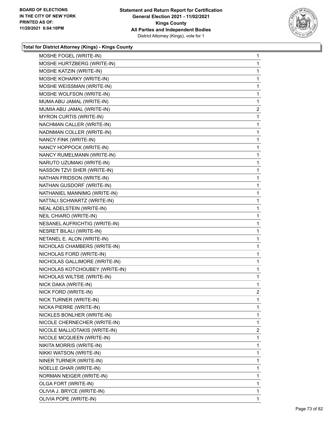

| MOSHE FOGEL (WRITE-IN)          | 1              |
|---------------------------------|----------------|
| MOSHE HURTZBERG (WRITE-IN)      | 1              |
| MOSHE KATZIN (WRITE-IN)         | 1              |
| MOSHE KOHARKY (WRITE-IN)        | 1              |
| MOSHE WEISSMAN (WRITE-IN)       | 1              |
| MOSHE WOLFSON (WRITE-IN)        | 1              |
| MUMA ABU JAMAL (WRITE-IN)       | 1              |
| MUMIA ABU JAMAL (WRITE-IN)      | $\overline{a}$ |
| <b>MYRON CURTIS (WRITE-IN)</b>  | 1              |
| NACHMAN CALLER (WRITE-IN)       | 1              |
| NADNMAN COLLER (WRITE-IN)       | 1              |
| NANCY FINK (WRITE-IN)           | 1              |
| NANCY HOPPOCK (WRITE-IN)        | 1              |
| NANCY RUMELMANN (WRITE-IN)      | 1              |
| NARUTO UZUMAKI (WRITE-IN)       | 1              |
| NASSON TZVI SHER (WRITE-IN)     | 1              |
| NATHAN FRIDSON (WRITE-IN)       | 1              |
| NATHAN GUSDORF (WRITE-IN)       | 1              |
| NATHANIEL MANNIMG (WRITE-IN)    | 1              |
| NATTALI SCHWARTZ (WRITE-IN)     | 1              |
| NEAL ADELSTEIN (WRITE-IN)       | 1              |
| NEIL CHIARO (WRITE-IN)          | 1              |
| NESANEL AUFRICHTIG (WRITE-IN)   | 1              |
| <b>NESRET BILALI (WRITE-IN)</b> | 1              |
| NETANEL E. ALON (WRITE-IN)      | 1              |
| NICHOLAS CHAMBERS (WRITE-IN)    | 1              |
| NICHOLAS FORD (WRITE-IN)        | 1              |
| NICHOLAS GALLIMORE (WRITE-IN)   | 1              |
| NICHOLAS KOTCHOUBEY (WRITE-IN)  | 1              |
| NICHOLAS WILTSIE (WRITE-IN)     | 1              |
| NICK DAKA (WRITE-IN)            | 1              |
| NICK FORD (WRITE-IN)            | $\overline{2}$ |
| NICK TURNER (WRITE-IN)          | 1              |
| NICKA PIERRE (WRITE-IN)         | 1              |
| NICKLES BONLHER (WRITE-IN)      | 1              |
| NICOLE CHERNECHER (WRITE-IN)    | 1              |
| NICOLE MALLIOTAKIS (WRITE-IN)   | 2              |
| NICOLE MCQUEEN (WRITE-IN)       | 1              |
| NIKITA MORRIS (WRITE-IN)        | 1              |
| NIKKI WATSON (WRITE-IN)         | 1              |
| NINER TURNER (WRITE-IN)         | 1              |
| NOELLE GHAR (WRITE-IN)          | 1              |
| NORMAN NEIGER (WRITE-IN)        | 1              |
| OLGA FORT (WRITE-IN)            | 1              |
| OLIVIA J. BRYCE (WRITE-IN)      | 1              |
| OLIVIA POPE (WRITE-IN)          | 1              |
|                                 |                |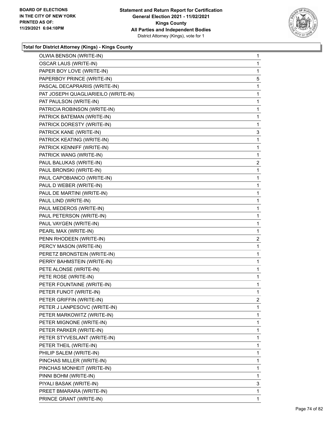

| OLWIA BENSON (WRITE-IN)             | 1              |
|-------------------------------------|----------------|
| <b>OSCAR LAUS (WRITE-IN)</b>        | 1              |
| PAPER BOY LOVE (WRITE-IN)           | 1              |
| PAPERBOY PRINCE (WRITE-IN)          | 5              |
| PASCAL DECAPRARIIS (WRITE-IN)       | 1              |
| PAT JOSEPH QUAGLIARIEILO (WRITE-IN) | 1              |
| PAT PAULSON (WRITE-IN)              | 1              |
| PATRICIA ROBINSON (WRITE-IN)        | 1              |
| PATRICK BATEMAN (WRITE-IN)          | 1              |
| PATRICK DORESTY (WRITE-IN)          | 1              |
| PATRICK KANE (WRITE-IN)             | 3              |
| PATRICK KEATING (WRITE-IN)          | 1              |
| PATRICK KENNIFF (WRITE-IN)          | 1              |
| PATRICK WANG (WRITE-IN)             | 1              |
| PAUL BALUKAS (WRITE-IN)             | $\overline{2}$ |
| PAUL BRONSKI (WRITE-IN)             | 1              |
| PAUL CAPOBIANCO (WRITE-IN)          | 1              |
| PAUL D WEBER (WRITE-IN)             | 1              |
| PAUL DE MARTINI (WRITE-IN)          | 1              |
| PAUL LIND (WRITE-IN)                | 1              |
| PAUL MEDEROS (WRITE-IN)             | 1              |
| PAUL PETERSON (WRITE-IN)            | 1              |
| PAUL VAYGEN (WRITE-IN)              | 1              |
| PEARL MAX (WRITE-IN)                | 1              |
| PENN RHODEEN (WRITE-IN)             | $\overline{2}$ |
| PERCY MASON (WRITE-IN)              | 1              |
| PERETZ BRONSTEIN (WRITE-IN)         | 1              |
| PERRY BAHMSTEIN (WRITE-IN)          | 1              |
| PETE ALONSE (WRITE-IN)              | 1              |
| PETE ROSE (WRITE-IN)                | 1              |
| PETER FOUNTAINE (WRITE-IN)          | 1              |
| PETER FUNOT (WRITE-IN)              | 1              |
| PETER GRIFFIN (WRITE-IN)            | 2              |
| PETER J LANPESOVC (WRITE-IN)        | 1              |
| PETER MARKOWITZ (WRITE-IN)          | 1              |
| PETER MIGNONE (WRITE-IN)            | 1              |
| PETER PARKER (WRITE-IN)             | 1              |
| PETER STYVESLANT (WRITE-IN)         | 1              |
| PETER THEIL (WRITE-IN)              | 1              |
| PHILIP SALEM (WRITE-IN)             | 1              |
| PINCHAS MILLER (WRITE-IN)           | 1              |
| PINCHAS MONHEIT (WRITE-IN)          | 1              |
| PINNI BOHM (WRITE-IN)               | 1              |
| PIYALI BASAK (WRITE-IN)             | 3              |
| PREET BMARARA (WRITE-IN)            | 1              |
| PRINCE GRANT (WRITE-IN)             | 1              |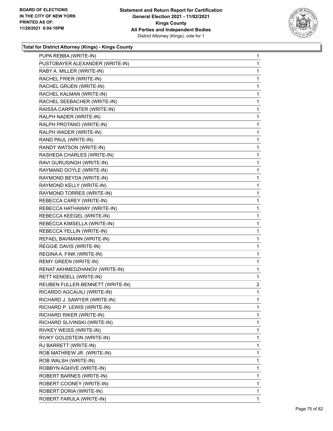

| PUPA REBBA (WRITE-IN)            | 1              |
|----------------------------------|----------------|
| PUSTOBAYER ALEXANDER (WRITE-IN)  | 1              |
| RABY A. MILLER (WRITE-IN)        | 1              |
| RACHEL FRIER (WRITE-IN)          | 1              |
| RACHEL GRUEN (WRITE-IN)          | 1              |
| RACHEL KALMAN (WRITE-IN)         | 1              |
| RACHEL SEEBACHER (WRITE-IN)      | 1              |
| RAISSA CARPENTER (WRITE-IN)      | 1              |
| RALPH NADER (WRITE-IN)           | 1              |
| RALPH PROTANO (WRITE-IN)         | 1              |
| RALPH WADER (WRITE-IN)           | 1              |
| RAND PAUL (WRITE-IN)             | 1              |
| RANDY WATSON (WRITE-IN)          | 1              |
| RASHEDA CHARLES (WRITE-IN)       | 1              |
| RAVI GURUSINGH (WRITE-IN)        | 1              |
| RAYMAND DOYLE (WRITE-IN)         | 1              |
| RAYMOND BEYDA (WRITE-IN)         | 1              |
| RAYMOND KELLY (WRITE-IN)         | 1              |
| RAYMOND TORRES (WRITE-IN)        | 1              |
| REBECCA CAREY (WRITE-IN)         | 1              |
| REBECCA HATHAWAY (WRITE-IN)      | 1              |
| REBECCA KEEGEL (WRITE-IN)        | 1              |
| REBECCA KIMSELLA (WRITE-IN)      | 1              |
| REBECCA YELLIN (WRITE-IN)        | 1              |
| REFAEL BAVMANN (WRITE-IN)        | 1              |
| REGGIE DAVIS (WRITE-IN)          | 1              |
| REGINA A. FINK (WRITE-IN)        | 1              |
| REMY GREEN (WRITE-IN)            | 1              |
| RENAT AKHMEDZHANOV (WRITE-IN)    | 1              |
| RETT KENDELL (WRITE-IN)          | 1              |
| REUBEN FULLER-BENNETT (WRITE-IN) | $\overline{a}$ |
| RICARDO AGCAUILI (WRITE-IN)      | 1              |
| RICHARD J. SAWYER (WRITE-IN)     | 1              |
| RICHARD P. LEWIS (WRITE-IN)      | 1              |
| RICHARD RIKER (WRITE-IN)         | 1              |
| RICHARD SLIVINSKI (WRITE-IN)     | 1              |
| RIVKEY WEISS (WRITE-IN)          | 1              |
| RIVKY GOLDSTEIN (WRITE-IN)       | 1              |
| RJ BARRETT (WRITE-IN)            | 1              |
| ROB MATHREW JR. (WRITE-IN)       | 1              |
| ROB WALSH (WRITE-IN)             | 1              |
| ROBBYN AGHIVE (WRITE-IN)         | 1              |
| ROBERT BARNES (WRITE-IN)         | 1              |
| ROBERT COONEY (WRITE-IN)         | 1              |
| ROBERT DORIA (WRITE-IN)          | 1              |
| ROBERT FARULA (WRITE-IN)         | 1.             |
|                                  |                |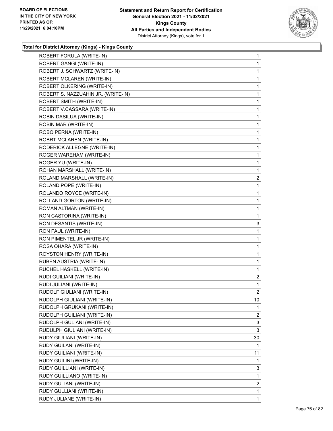

| ROBERT FORULA (WRITE-IN)           | $\mathbf{1}$   |
|------------------------------------|----------------|
| ROBERT GANGI (WRITE-IN)            | $\mathbf{1}$   |
| ROBERT J. SCHWARTZ (WRITE-IN)      | 1              |
| ROBERT MCLAREN (WRITE-IN)          | $\mathbf{1}$   |
| ROBERT OLKERING (WRITE-IN)         | $\mathbf{1}$   |
| ROBERT S. NAZZUAHIN JR. (WRITE-IN) | 1              |
| ROBERT SMITH (WRITE-IN)            | 1              |
| ROBERT V.CASSARA (WRITE-IN)        | $\mathbf{1}$   |
| ROBIN DASILUA (WRITE-IN)           | 1              |
| ROBIN MAR (WRITE-IN)               | 1              |
| ROBO PERNA (WRITE-IN)              | $\mathbf{1}$   |
| ROBRT MCLAREN (WRITE-IN)           | 1              |
| RODERICK ALLEGNE (WRITE-IN)        | $\mathbf 1$    |
| ROGER WAREHAM (WRITE-IN)           | $\mathbf{1}$   |
| ROGER YU (WRITE-IN)                | 1              |
| ROHAN MARSHALL (WRITE-IN)          | 1              |
| ROLAND MARSHALL (WRITE-IN)         | $\overline{2}$ |
| ROLAND POPE (WRITE-IN)             | $\mathbf{1}$   |
| ROLANDO ROYCE (WRITE-IN)           | 1              |
| ROLLAND GORTON (WRITE-IN)          | $\mathbf{1}$   |
| ROMAN ALTMAN (WRITE-IN)            | 1              |
| RON CASTORINA (WRITE-IN)           | 1              |
| RON DESANTIS (WRITE-IN)            | 3              |
| RON PAUL (WRITE-IN)                | 1              |
| RON PIMENTEL JR (WRITE-IN)         | 1              |
| ROSA OHARA (WRITE-IN)              | $\mathbf{1}$   |
| ROYSTON HENRY (WRITE-IN)           | 1              |
| RUBEN AUSTRIA (WRITE-IN)           | 1              |
| RUCHEL HASKELL (WRITE-IN)          | 1              |
| RUDI GUILIANI (WRITE-IN)           | $\overline{2}$ |
| RUDI JULIANI (WRITE-IN)            | 1              |
| RUDOLF GIULIANI (WRITE-IN)         | 2              |
| RUDOLPH GIULIANI (WRITE-IN)        | 10             |
| RUDOLPH GRUKANI (WRITE-IN)         | 1              |
| RUDOLPH GUILIANI (WRITE-IN)        | $\overline{2}$ |
| RUDOLPH GULIANI (WRITE-IN)         | 3              |
| RUDULPH GIULIANI (WRITE-IN)        | 3              |
| RUDY GIULIANI (WRITE-IN)           | 30             |
| RUDY GUILANI (WRITE-IN)            | 1              |
| RUDY GUILIANI (WRITE-IN)           | 11             |
| RUDY GUILINI (WRITE-IN)            | 1              |
| RUDY GUILLIANI (WRITE-IN)          | 3              |
|                                    |                |
| RUDY GUILLIANO (WRITE-IN)          | 1              |
| RUDY GULIANI (WRITE-IN)            | 2              |
| RUDY GULLIANI (WRITE-IN)           | $\mathbf{1}$   |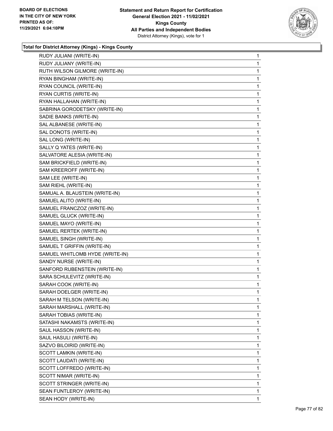

| RUDY JULIANI (WRITE-IN)         | $\mathbf{1}$ |
|---------------------------------|--------------|
| RUDY JULIANY (WRITE-IN)         | 1            |
| RUTH WILSON GILMORE (WRITE-IN)  | 1            |
| RYAN BINGHAM (WRITE-IN)         | 1            |
| RYAN COUNCIL (WRITE-IN)         | 1            |
| RYAN CURTIS (WRITE-IN)          | 1            |
| RYAN HALLAHAN (WRITE-IN)        | 1            |
| SABRINA GORODETSKY (WRITE-IN)   | 1            |
| SADIE BANKS (WRITE-IN)          | 1            |
| SAL ALBANESE (WRITE-IN)         | 1            |
| SAL DONOTS (WRITE-IN)           | 1            |
| SAL LONG (WRITE-IN)             | 1            |
| SALLY Q YATES (WRITE-IN)        | 1            |
| SALVATORE ALESIA (WRITE-IN)     | 1            |
| SAM BRICKFIELD (WRITE-IN)       | 1            |
| SAM KREEROFF (WRITE-IN)         | 1            |
| SAM LEE (WRITE-IN)              | 1            |
| SAM RIEHL (WRITE-IN)            | 1            |
| SAMUAL A. BLAUSTEIN (WRITE-IN)  | 1            |
| SAMUEL ALITO (WRITE-IN)         | 1            |
| SAMUEL FRANCZOZ (WRITE-IN)      | 1            |
| SAMUEL GLUCK (WRITE-IN)         | 1            |
| SAMUEL MAYO (WRITE-IN)          | 1            |
| SAMUEL RERTEK (WRITE-IN)        | 1            |
| SAMUEL SINGH (WRITE-IN)         | 1            |
| SAMUEL T GRIFFIN (WRITE-IN)     | 1            |
| SAMUEL WHITLOMB HYDE (WRITE-IN) | 1            |
| SANDY NURSE (WRITE-IN)          | 1            |
| SANFORD RUBENSTEIN (WRITE-IN)   | 1            |
| SARA SCHULEVITZ (WRITE-IN)      | 1            |
| SARAH COOK (WRITE-IN)           | 1            |
| SARAH DOELGER (WRITE-IN)        | 1            |
| SARAH M TELSON (WRITE-IN)       | 1            |
| SARAH MARSHALL (WRITE-IN)       | 1            |
| SARAH TOBIAS (WRITE-IN)         | 1            |
| SATASHI NAKAMSTS (WRITE-IN)     | 1            |
| SAUL HASSON (WRITE-IN)          | 1            |
| SAUL HASULI (WRITE-IN)          | 1            |
| SAZVO BILOIRID (WRITE-IN)       | 1            |
| SCOTT LAMKIN (WRITE-IN)         | 1            |
| SCOTT LAUDATI (WRITE-IN)        | 1            |
| SCOTT LOFFREDO (WRITE-IN)       | 1            |
| SCOTT NIMAR (WRITE-IN)          | 1            |
| SCOTT STRINGER (WRITE-IN)       | 1            |
| SEAN FUNTLEROY (WRITE-IN)       | 1            |
| SEAN HODY (WRITE-IN)            | 1.           |
|                                 |              |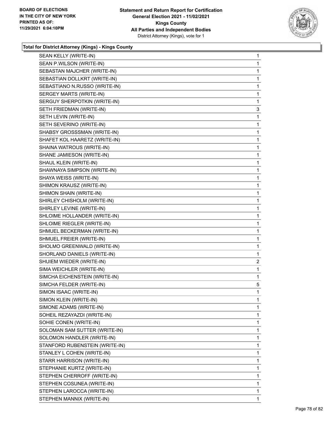

| SEAN KELLY (WRITE-IN)          | $\mathbf{1}$   |
|--------------------------------|----------------|
| SEAN P.WILSON (WRITE-IN)       | 1              |
| SEBASTAN MAJCHER (WRITE-IN)    | 1              |
| SEBASTIAN DOLLKRT (WRITE-IN)   | 1              |
| SEBASTIANO N.RUSSO (WRITE-IN)  | 1              |
| SERGEY MARTS (WRITE-IN)        | 1              |
| SERGUY SHERPOTKIN (WRITE-IN)   | 1              |
| SETH FRIEDMAN (WRITE-IN)       | 3              |
| SETH LEVIN (WRITE-IN)          | 1              |
| SETH SEVERINO (WRITE-IN)       | 1              |
| SHABSY GROSSSMAN (WRITE-IN)    | 1              |
| SHAFET KOL HAARETZ (WRITE-IN)  | 1              |
| SHAINA WATROUS (WRITE-IN)      | 1              |
| SHANE JAMIESON (WRITE-IN)      | 1              |
| SHAUL KLEIN (WRITE-IN)         | 1              |
| SHAWNAYA SIMPSON (WRITE-IN)    | 1              |
| SHAYA WEISS (WRITE-IN)         | 1              |
| SHIMON KRAUSZ (WRITE-IN)       | 1              |
| SHIMON SHAIN (WRITE-IN)        | 1              |
| SHIRLEY CHISHOLM (WRITE-IN)    | 1              |
| SHIRLEY LEVINE (WRITE-IN)      | 1              |
| SHLOIME HOLLANDER (WRITE-IN)   | 1              |
| SHLOIME RIEGLER (WRITE-IN)     | 1              |
| SHMUEL BECKERMAN (WRITE-IN)    | 1              |
| SHMUEL FREIER (WRITE-IN)       | 1              |
| SHOLMO GREENWALD (WRITE-IN)    | 1              |
| SHORLAND DANIELS (WRITE-IN)    | 1              |
| SHUIEM WIEDER (WRITE-IN)       | $\overline{a}$ |
| SIMA WEICHLER (WRITE-IN)       | 1              |
| SIMCHA EICHENSTEIN (WRITE-IN)  | 1              |
| SIMCHA FELDER (WRITE-IN)       | 5              |
| SIMON ISAAC (WRITE-IN)         | 1              |
| SIMON KLEIN (WRITE-IN)         | 1              |
| SIMONE ADAMS (WRITE-IN)        | 1              |
| SOHEIL REZAYAZDI (WRITE-IN)    | 1              |
| SOHIE CONEN (WRITE-IN)         | 1              |
| SOLOMAN SAM SUTTER (WRITE-IN)  | 1              |
| SOLOMON HANDLER (WRITE-IN)     | 1              |
| STANFORD RUBENSTEIN (WRITE-IN) | 1              |
|                                | 1              |
| STANLEY L COHEN (WRITE-IN)     |                |
| STARR HARRISON (WRITE-IN)      | 1              |
| STEPHANIE KURTZ (WRITE-IN)     | 1              |
| STEPHEN CHERROFF (WRITE-IN)    | 1              |
| STEPHEN COSUNEA (WRITE-IN)     | 1              |
| STEPHEN LAROCCA (WRITE-IN)     | 1              |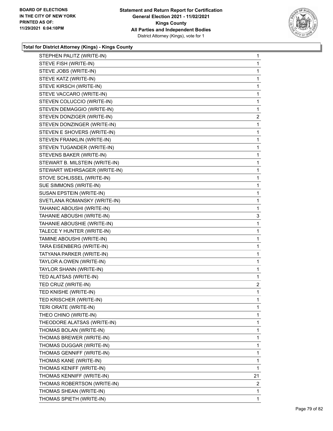

| STEPHEN PALITZ (WRITE-IN)      | $\mathbf{1}$   |
|--------------------------------|----------------|
| STEVE FISH (WRITE-IN)          | 1              |
| STEVE JOBS (WRITE-IN)          | 1              |
| STEVE KATZ (WRITE-IN)          | 1              |
| STEVE KIRSCH (WRITE-IN)        | 1              |
| STEVE VACCARO (WRITE-IN)       | 1              |
| STEVEN COLUCCIO (WRITE-IN)     | 1              |
| STEVEN DEMAGGIO (WRITE-IN)     | 1              |
| STEVEN DONZIGER (WRITE-IN)     | $\overline{c}$ |
| STEVEN DONZINGER (WRITE-IN)    | 1              |
| STEVEN E SHOVERS (WRITE-IN)    | 1              |
| STEVEN FRANKLIN (WRITE-IN)     | 1              |
| STEVEN TUGANDER (WRITE-IN)     | 1              |
| STEVENS BAKER (WRITE-IN)       | 1              |
| STEWART B. MILSTEIN (WRITE-IN) | 1              |
| STEWART WEHRSAGER (WRITE-IN)   | 1              |
| STOVE SCHLISSEL (WRITE-IN)     | 1              |
| SUE SIMMONS (WRITE-IN)         | 1              |
| SUSAN EPSTEIN (WRITE-IN)       | 1              |
| SVETLANA ROMANSKY (WRITE-IN)   | 1              |
| TAHANIC ABOUSHI (WRITE-IN)     | 1              |
| TAHANIE ABOUSHI (WRITE-IN)     | 3              |
| TAHANIE ABOUSHIE (WRITE-IN)    | 1              |
| TALECE Y HUNTER (WRITE-IN)     | 1              |
| TAMINE ABOUSHI (WRITE-IN)      | 1              |
| TARA EISENBERG (WRITE-IN)      | 1              |
| TATYANA PARKER (WRITE-IN)      | 1              |
| TAYLOR A.OWEN (WRITE-IN)       | 1              |
| TAYLOR SHANN (WRITE-IN)        | 1              |
| TED ALATSAS (WRITE-IN)         | 1              |
| TED CRUZ (WRITE-IN)            | $\overline{2}$ |
| TED KNISHE (WRITE-IN)          | 1              |
| TED KRISCHER (WRITE-IN)        | 1              |
| TERI ORATE (WRITE-IN)          | 1              |
| THEO CHINO (WRITE-IN)          | 1              |
| THEODORE ALATSAS (WRITE-IN)    | 1              |
| THOMAS BOLAN (WRITE-IN)        | 1              |
| THOMAS BREWER (WRITE-IN)       | 1              |
| THOMAS DUGGAR (WRITE-IN)       | 1              |
| THOMAS GENNIFF (WRITE-IN)      | 1              |
| THOMAS KANE (WRITE-IN)         | 1              |
| THOMAS KENIFF (WRITE-IN)       | 1              |
| THOMAS KENNIFF (WRITE-IN)      | 21             |
| THOMAS ROBERTSON (WRITE-IN)    | 2              |
| THOMAS SHEAN (WRITE-IN)        | 1              |
| THOMAS SPIETH (WRITE-IN)       | 1              |
|                                |                |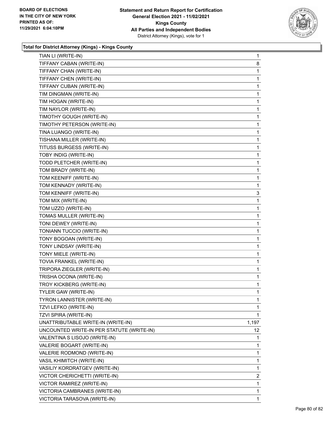

| TIAN LI (WRITE-IN)                        | 1               |
|-------------------------------------------|-----------------|
| TIFFANY CABAN (WRITE-IN)                  | 8               |
| TIFFANY CHAN (WRITE-IN)                   | 1               |
| TIFFANY CHEN (WRITE-IN)                   | 1               |
| TIFFANY CUBAN (WRITE-IN)                  | 1               |
| TIM DINGMAN (WRITE-IN)                    | 1               |
| TIM HOGAN (WRITE-IN)                      | 1               |
| TIM NAYLOR (WRITE-IN)                     | 1               |
| TIMOTHY GOUGH (WRITE-IN)                  | 1               |
| TIMOTHY PETERSON (WRITE-IN)               | 1               |
| TINA LUANGO (WRITE-IN)                    | 1               |
| TISHANA MILLER (WRITE-IN)                 | 1               |
| TITUSS BURGESS (WRITE-IN)                 | 1               |
| TOBY INDIG (WRITE-IN)                     | 1               |
| TODD PLETCHER (WRITE-IN)                  | 1               |
| TOM BRADY (WRITE-IN)                      | 1               |
| TOM KEENIFF (WRITE-IN)                    | 1               |
| TOM KENNADY (WRITE-IN)                    | 1               |
| TOM KENNIFF (WRITE-IN)                    | 3               |
| TOM MIX (WRITE-IN)                        | 1               |
| TOM UZZO (WRITE-IN)                       | 1               |
| TOMAS MULLER (WRITE-IN)                   | 1               |
| TONI DEWEY (WRITE-IN)                     | 1               |
| TONIANN TUCCIO (WRITE-IN)                 | 1               |
| TONY BOGOAN (WRITE-IN)                    | 1               |
| TONY LINDSAY (WRITE-IN)                   | 1               |
| TONY MIELE (WRITE-IN)                     | 1               |
| TOVIA FRANKEL (WRITE-IN)                  | 1               |
| TRIPORA ZIEGLER (WRITE-IN)                | 1               |
| TRISHA OCONA (WRITE-IN)                   | 1               |
| TROY KICKBERG (WRITE-IN)                  | 1               |
| TYLER GAW (WRITE-IN)                      | 1               |
| TYRON LANNISTER (WRITE-IN)                | 1               |
| TZVI LEFKO (WRITE-IN)                     | $\mathbf 1$     |
| TZVI SPIRA (WRITE-IN)                     | 1               |
| UNATTRIBUTABLE WRITE-IN (WRITE-IN)        | 1,197           |
| UNCOUNTED WRITE-IN PER STATUTE (WRITE-IN) | 12 <sup>°</sup> |
| VALENTINA S LISOJO (WRITE-IN)             | 1               |
| VALERIE BOGART (WRITE-IN)                 | 1               |
| VALERIE RODMOND (WRITE-IN)                | 1               |
| VASIL KHIMITCH (WRITE-IN)                 | 1               |
| VASILIY KORDRATGEV (WRITE-IN)             | 1               |
| VICTOR CHERICHETTI (WRITE-IN)             | $\overline{2}$  |
| VICTOR RAMIREZ (WRITE-IN)                 | 1               |
| VICTORIA CAMBRANES (WRITE-IN)             | 1               |
| VICTORIA TARASOVA (WRITE-IN)              | $\mathbf 1$     |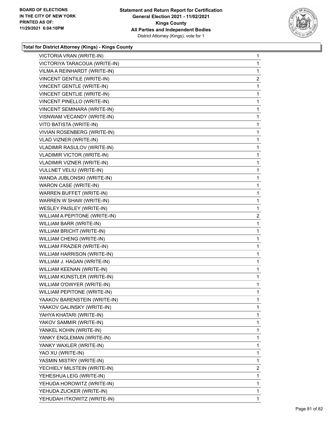

| VICTORIA VRAN (WRITE-IN)           | $\mathbf{1}$   |
|------------------------------------|----------------|
| VICTORIYA TARACOUA (WRITE-IN)      | 1              |
| VILMA A REINHARDT (WRITE-IN)       | 1              |
| VINCENT GENTILE (WRITE-IN)         | $\overline{c}$ |
| VINCENT GENTLE (WRITE-IN)          | 1              |
| VINCENT GENTLIE (WRITE-IN)         | 1              |
| VINCENT PINELLO (WRITE-IN)         | $\mathbf{1}$   |
| VINCENT SEMINARA (WRITE-IN)        | 1              |
| VISNWAM VECANDY (WRITE-IN)         | 1              |
| VITO BATISTA (WRITE-IN)            | 1              |
| VIVIAN ROSENBERG (WRITE-IN)        | 1              |
| VLAD VIZNER (WRITE-IN)             | $\mathbf{1}$   |
| VLADIMIR RASULOV (WRITE-IN)        | 1              |
| VLADIMIR VICTOR (WRITE-IN)         | 1              |
| VLADIMIR VIZNER (WRITE-IN)         | 1              |
| <b>VULLNET VELIU (WRITE-IN)</b>    | 1              |
| WANDA JUBLONSKI (WRITE-IN)         | 1              |
| WARON CASE (WRITE-IN)              | $\mathbf{1}$   |
| <b>WARREN BUFFET (WRITE-IN)</b>    | 1              |
| WARREN W SHAW (WRITE-IN)           | 1              |
| WESLEY PAISLEY (WRITE-IN)          | 1              |
| WILLIAM A PEPITONE (WRITE-IN)      | $\overline{a}$ |
| WILLIAM BARR (WRITE-IN)            | 1              |
| WILLIAM BRICHT (WRITE-IN)          | 1              |
| WILLIAM CHENG (WRITE-IN)           | 1              |
| WILLIAM FRAZIER (WRITE-IN)         | 1              |
| WILLIAM HARRISON (WRITE-IN)        | 1              |
| WILLIAM J. HAGAN (WRITE-IN)        | 1              |
| WILLIAM KEENAN (WRITE-IN)          | 1              |
| WILLIAM KUNSTLER (WRITE-IN)        | $\mathbf{1}$   |
| WILLIAM O'DWYER (WRITE-IN)         | 1              |
| <b>WILLIAM PEPITONE (WRITE-IN)</b> | 1              |
| YAAKOV BARENSTEIN (WRITE-IN)       | 1              |
| YAAKOV GALINSKY (WRITE-IN)         | 1              |
| YAHYA KHATARI (WRITE-IN)           | 1              |
| YAKOV SAMMIR (WRITE-IN)            | 1              |
| YANKEL KOHIN (WRITE-IN)            | 1              |
| YANKY ENGLEMAN (WRITE-IN)          | 1              |
| YANKY WAXLER (WRITE-IN)            | 1              |
| YAO XU (WRITE-IN)                  | 1              |
| YASMIN MISTRY (WRITE-IN)           | 1              |
| YECHIELY MILSTEIN (WRITE-IN)       | 2              |
| YEHESHUA LEIG (WRITE-IN)           | 1              |
| YEHUDA HOROWITZ (WRITE-IN)         | 1              |
| YEHUDA ZUCKER (WRITE-IN)           | 1              |
| YEHUDAH ITKOWITZ (WRITE-IN)        | 1.             |
|                                    |                |